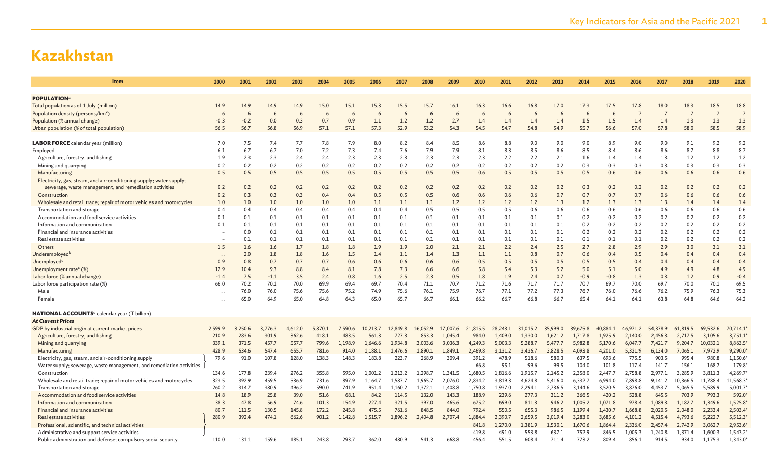| Item                                                                             | 2000    | 2001    | 2002    | 2003    | 2004    | 2005    | 2006     | 2007     | 2008     | 2009     | 2010     | 2011     | 2012     | 2013     | 2014     | 2015     | 2016     | 2017     | 2018     | 2019     | 2020     |
|----------------------------------------------------------------------------------|---------|---------|---------|---------|---------|---------|----------|----------|----------|----------|----------|----------|----------|----------|----------|----------|----------|----------|----------|----------|----------|
|                                                                                  |         |         |         |         |         |         |          |          |          |          |          |          |          |          |          |          |          |          |          |          |          |
| <b>POPULATION</b>                                                                |         |         |         |         |         |         |          |          |          |          |          |          |          |          |          |          |          |          |          |          |          |
| Total population as of 1 July (million)                                          | 14.9    | 14.9    | 14.9    | 14.9    | 15.0    | 15.1    | 15.3     | 15.5     | 15.7     | 16.1     | 16.3     | 16.6     | 16.8     | 17.0     | 17.3     | 17.5     | 17.8     | 18.0     | 18.3     | 18.5     | 18.8     |
| Population density (persons/km <sup>2</sup> )                                    | 6       | -6      |         | -6      | -6      | 6       | 6        | 6        | 6        | 6        |          | -6       | 6        | 6        | 6        | 6        |          |          |          |          |          |
| Population (% annual change)                                                     | $-0.3$  | $-0.2$  | 0.0     | 0.3     | 0.7     | 0.9     | 1.1      | 1.2      | 1.2      | 2.7      | 1.4      | 1.4      | 1.4      | 1.4      | 1.5      | 1.5      | 1.4      | 1.4      | 1.3      | 1.3      | 1.3      |
| Urban population (% of total population)                                         | 56.5    | 56.7    | 56.8    | 56.9    | 57.1    | 57.1    | 57.3     | 52.9     | 53.2     | 54.3     | 54.5     | 54.7     | 54.8     | 54.9     | 55.7     | 56.6     | 57.0     | 57.8     | 58.0     | 58.5     | 58.9     |
|                                                                                  |         |         |         |         |         |         |          |          |          |          |          |          |          |          |          |          |          |          |          |          |          |
| LABOR FORCE calendar year (million)                                              | 7.0     | 7.5     | 7.4     | 7.7     | 7.8     | 7.9     | 8.0      | 8.2      | 8.4      | 8.5      | 8.6      | 8.8      | 9.0      | 9.0      | 9.0      | 8.9      | 9.0      | 9.0      | 9.1      | 9.2      | 9.2      |
| Employed                                                                         | 6.1     | 6.7     | 6.7     | 7.0     | 7.2     | 7.3     | 7.4      | 7.6      | 7.9      | 7.9      | 8.1      | 8.3      | 8.5      | 8.6      | 8.5      | 8.4      | 8.6      | 8.6      | 8.7      | 8.8      | 8.7      |
| Agriculture, forestry, and fishing                                               | 1.9     | 2.3     | 2.3     | 2.4     | 2.4     | 2.3     | 2.3      | 2.3      | 2.3      | 2.3      | 2.3      | 2.2      | 2.2      | 2.1      | 1.6      | 1.4      | 1.4      | 1.3      | 1.2      | 1.2      | 1.2      |
| Mining and quarrying                                                             | 0.2     | 0.2     | 0.2     | 0.2     | 0.2     | 0.2     | 0.2      | 0.2      | 0.2      | 0.2      | 0.2      | 0.2      | 0.2      | 0.2      | 0.3      | 0.3      | 0.3      | 0.3      | 0.3      | 0.3      | 0.3      |
| Manufacturing                                                                    | 0.5     | 0.5     | 0.5     | 0.5     | 0.5     | 0.5     | 0.5      | 0.5      | 0.5      | 0.5      | 0.6      | 0.5      | 0.5      | 0.5      | 0.5      | 0.6      | 0.6      | 0.6      | 0.6      | 0.6      | 0.6      |
| Electricity, gas, steam, and air-conditioning supply; water supply;              |         |         |         |         |         |         |          |          |          |          |          |          |          |          |          |          |          |          |          |          |          |
| sewerage, waste management, and remediation activities                           | 0.2     | 0.2     | 0.2     | 0.2     | 0.2     | 0.2     | 0.2      | 0.2      | 0.2      | 0.2      | 0.2      | 0.2      | 0.2      | 0.2      | 0.3      | 0.2      | 0.2      | 0.2      | 0.2      | 0.2      | 0.2      |
| Construction                                                                     | 0.2     | 0.3     | 0.3     | 0.3     | 0.4     | 0.4     | 0.5      | 0.5      | 0.5      | 0.6      | 0.6      | 0.6      | 0.6      | 0.7      | 0.7      | 0.7      | 0.7      | 0.6      | 0.6      | 0.6      | 0.6      |
| Wholesale and retail trade; repair of motor vehicles and motorcycles             | 1.0     | 1.0     | 1.0     | 1.0     | 1.0     | 1.0     | 1.1      | 1.1      | 1.1      | 1.2      | 1.2      | 1.2      | 1.2      | 1.3      | 1.2      | 1.3      | 1.3      | 1.3      | 1.4      | 1.4      | 1.4      |
| Transportation and storage                                                       | 0.4     | 0.4     | 0.4     | 0.4     | 0.4     | 0.4     | 0.4      | 0.4      | 0.5      | 0.5      | 0.5      | 0.5      | 0.6      | 0.6      | 0.6      | 0.6      | 0.6      | 0.6      | 0.6      | 0.6      | 0.6      |
| Accommodation and food service activities                                        | 0.1     | 0.1     | 0.1     | 0.1     | 0.1     | 0.1     | 0.1      | 0.1      | 0.1      | 0.1      | 0.1      | 0.1      | 0.1      | 0.1      | 0.2      | 0.2      | 0.2      | 0.2      | 0.2      | 0.2      | 0.2      |
| Information and communication                                                    | 0.1     | 0.1     | 0.1     | 0.1     | 0.1     | 0.1     | 0.1      | 0.1      | 0.1      | 0.1      | 0.1      | 0.1      | 0.1      | 0.1      | 0.2      | 0.2      | 0.2      | 0.2      | 0.2      | 0.2      | 0.2      |
| Financial and insurance activities                                               |         | 0.0     | 0.1     | 0.1     | 0.1     | 0.1     | 0.1      | 0.1      | 0.1      | 0.1      | 0.1      | 0.1      | 0.1      | 0.1      | 0.2      | 0.2      | 0.2      | 0.2      | 0.2      | 0.2      | 0.2      |
| Real estate activities                                                           |         | 0.1     | 0.1     | 0.1     | 0.1     | 0.1     | 0.1      | 0.1      | 0.1      | 0.1      | 0.1      | 0.1      | 0.1      | 0.1      | 0.1      | 0.1      | 0.1      | 0.2      | 0.2      | 0.2      | 0.2      |
| Others                                                                           | 1.5     | 1.6     | 1.6     | 1.7     | 1.8     | 1.8     | 1.9      | 1.9      | 2.0      | 2.1      | 2.1      | 2.2      | 2.4      | 2.5      | 2.7      | 2.8      | 2.9      | 2.9      | 3.0      | 3.1      | 3.1      |
| Underemployed <sup>b</sup>                                                       |         | 2.0     | 1.8     | 1.8     | 1.6     | 1.5     | 1.4      | 1.1      | 1.4      | 1.3      | 1.1      | 1.1      | 0.8      | 0.7      | 0.6      | 0.4      | 0.5      | 0.4      | 0.4      | 0.4      | 0.4      |
| Unemployed <sup>c</sup>                                                          | 0.9     | 0.8     | 0.7     | 0.7     | 0.7     | 0.6     | 0.6      | 0.6      | 0.6      | 0.6      | 0.5      | 0.5      | 0.5      | 0.5      | 0.5      | 0.5      | 0.4      | 0.4      | 0.4      | 0.4      | 0.4      |
| Unemployment rate <sup>c</sup> (%)                                               | 12.9    | 10.4    | 9.3     | 8.8     | 8.4     | 8.1     | 7.8      | 7.3      | 6.6      | 6.6      | 5.8      | 5.4      | 5.3      | 5.2      | 5.0      | 5.1      | 5.0      | 4.9      | 4.9      | 4.8      | 4.9      |
| Labor force (% annual change)                                                    | $-1.4$  | 7.5     | $-1.1$  | 3.5     | 2.4     | 0.8     | 1.6      | 2.5      | 2.3      | 0.5      | 1.8      | 1.9      | 2.4      | 0.7      | $-0.9$   | $-0.8$   | 1.3      | 0.3      | 1.2      | 0.9      | $-0.4$   |
| Labor force participation rate (%)                                               | 66.0    | 70.2    | 70.1    | 70.0    | 69.9    | 69.4    | 69.7     | 70.4     | 71.1     | 70.7     | 71.2     | 71.6     | 71.7     | 71.7     | 70.7     | 69.7     | 70.0     | 69.7     | 70.0     | 70.1     | 69.5     |
| Male                                                                             |         | 76.0    | 76.0    | 75.6    | 75.6    | 75.2    | 74.9     | 75.6     | 76.1     | 75.9     | 76.7     | 77.1     | 77.2     | 77.3     | 76.7     | 76.0     | 76.6     | 76.2     | 75.9     | 76.3     | 75.3     |
| Female                                                                           |         | 65.0    | 64.9    | 65.0    | 64.8    | 64.3    | 65.0     | 65.7     | 66.7     | 66.1     | 66.2     | 66.7     | 66.8     | 66.7     | 65.4     | 64.1     | 64.1     | 63.8     | 64.8     | 64.6     | 64.2     |
|                                                                                  |         |         |         |         |         |         |          |          |          |          |          |          |          |          |          |          |          |          |          |          |          |
| <b>NATIONAL ACCOUNTS</b> d calendar year (T billion)<br><b>At Current Prices</b> |         |         |         |         |         |         |          |          |          |          |          |          |          |          |          |          |          |          |          |          |          |
| GDP by industrial origin at current market prices                                | 2,599.9 | 3,250.6 | 3,776.3 | 4,612.0 | 5,870.1 | 7,590.6 | 10,213.7 | 12,849.8 | 16,052.9 | 17,007.6 | 21,815.5 | 28,243.1 | 31,015.2 | 35,999.0 | 39,675.8 | 40,884.1 | 46,971.2 | 54,378.9 | 61,819.5 | 69,532.6 | 70,714.1 |
| Agriculture, forestry, and fishing                                               | 210.9   | 283.6   | 301.9   | 362.6   | 418.1   | 483.5   | 561.3    | 727.3    | 853.3    | 1.045.4  | 984.0    | 1,409.0  | 1.330.0  | 1,621.2  | 1.717.8  | 1,925.9  | 2,140.0  | 2,456.3  | 2,717.5  | 3,105.6  | 3,751.1  |
| Mining and quarrying                                                             | 339.1   | 371.5   | 457.7   | 557.7   | 799.6   | 1,198.9 | 1,646.6  | 1,934.8  | 3,003.6  | 3,036.3  | 4,249.3  | 5,003.3  | 5,288.7  | 5,477.7  | 5,982.8  | 5,170.6  | 6,047.7  | 7,421.7  | 9,204.7  | 10,032.1 | 8,863.5  |
| Manufacturing                                                                    | 428.9   | 534.6   | 547.4   | 655.7   | 781.6   | 914.0   | 1,188.1  | 1,476.6  | 1,890.1  | 1,849.1  | 2,469.8  | 3,131.2  | 3,436.7  | 3,828.5  | 4,093.8  | 4,201.0  | 5,321.9  | 6,134.0  | 7,065.1  | 7,972.9  | 9,290.0  |
| Electricity, gas, steam, and air-conditioning supply                             | 79.6    | 91.0    | 107.8   | 128.0   | 138.3   | 148.3   | 183.8    | 223.7    | 268.9    | 309.4    | 391.2    | 478.9    | 518.6    | 580.3    | 637.5    | 693.6    | 775.5    | 903.5    | 995.4    | 980.8    | 1,150.6  |
| Water supply; sewerage, waste management, and remediation activities             |         |         |         |         |         |         |          |          |          |          | 66.8     | 95.1     | 99.6     | 99.5     | 104.0    | 101.8    | 117.4    | 141.7    | 156.1    | 168.7    | 179.8    |
| Construction                                                                     | 134.6   | 177.8   | 239.4   | 276.2   | 355.8   | 595.0   | 1.001.2  | 1.213.2  | 1.298.7  | 1.341.5  | 1.680.5  | 1,816.6  | 1,915.7  | 2,145.2  | 2,358.0  | 2,447.7  | 2,758.8  | 2,977.1  | 3,285.9  | 3,811.3  | 4,269.7  |
| Wholesale and retail trade; repair of motor vehicles and motorcycles             | 323.5   | 392.9   | 459.5   | 536.9   | 731.6   | 897.9   | 1,164.7  | 1,587.7  | 1,965.7  | 2,076.0  | 2,834.2  | 3,819.3  | 4,624.8  | 5,416.0  | 6,332.7  | 6,994.0  | 7,898.8  | 9,141.2  | 10,366.5 | 11,788.4 | 11,568.3 |
| Transportation and storage                                                       | 260.2   | 314.7   | 380.9   | 496.2   | 590.0   | 741.9   | 951.4    | 1,160.2  | 1,372.1  | 1,408.8  | 1,750.8  | 1,937.0  | 2,294.1  | 2,736.5  | 3,144.6  | 3,520.5  | 3,876.0  | 4,453.7  | 5,065.5  | 5,589.9  | 5,001.7  |
| Accommodation and food service activities                                        | 14.8    | 18.9    | 25.8    | 39.0    | 51.6    | 68.1    | 84.2     | 114.5    | 132.0    | 143.3    | 188.9    | 239.6    | 277.3    | 311.2    | 366.5    | 420.2    | 528.8    | 645.5    | 703.9    | 793.3    | 592.0    |
| Information and communication                                                    | 38.3    | 47.8    | 56.9    | 74.6    | 101.3   | 154.9   | 227.4    | 321.5    | 397.0    | 465.6    | 675.2    | 699.0    | 811.3    | 946.2    | 1,005.2  | 1,071.8  | 978.4    | 1,089.3  | 1,182.7  | 1,349.6  | 1,525.8  |
| Financial and insurance activities                                               | 80.7    | 111.5   | 130.5   | 145.8   | 172.2   | 245.8   | 475.5    | 761.6    | 848.5    | 844.0    | 792.4    | 550.5    | 655.3    | 986.5    | 1,199.4  | 1,430.7  | 1,668.8  | 2,020.5  | 2,048.0  | 2,233.4  | 2,503.4  |
| Real estate activities                                                           | 280.9   | 392.4   | 474.1   | 662.6   | 901.2   | 1,142.8 | 1,515.7  | 1,896.2  | 2,404.8  | 2,707.4  | 1,884.4  | 2,390.7  | 2,659.5  | 3,019.4  | 3,283.0  | 3,685.6  | 4,101.2  | 4,515.4  | 4,793.6  | 5,222.7  | 5,512.3  |
| Professional, scientific, and technical activities                               |         |         |         |         |         |         |          |          |          |          | 841.8    | 1.270.0  | 1,381.9  | 1,530.1  | 1,670.6  | 1.864.4  | 2,336.0  | 2,457.4  | 2,742.9  | 3,062.7  | 2,953.6  |
| Administrative and support service activities                                    |         |         |         |         |         |         |          |          |          |          | 419.8    | 491.0    | 553.8    | 637.1    | 752.9    | 846.5    | 1,005.3  | 1,240.8  | 1,371.4  | 1,600.3  | 1,543.2  |
| Public administration and defense; compulsory social security                    | 110.0   | 131.1   | 159.6   | 185.1   | 243.8   | 293.7   | 362.0    | 480.9    | 541.3    | 668.8    | 456.4    | 551.5    | 608.4    | 711.4    | 773.2    | 809.4    | 856.1    | 914.5    | 934.0    | 1.175.3  | 1.343.0  |
|                                                                                  |         |         |         |         |         |         |          |          |          |          |          |          |          |          |          |          |          |          |          |          |          |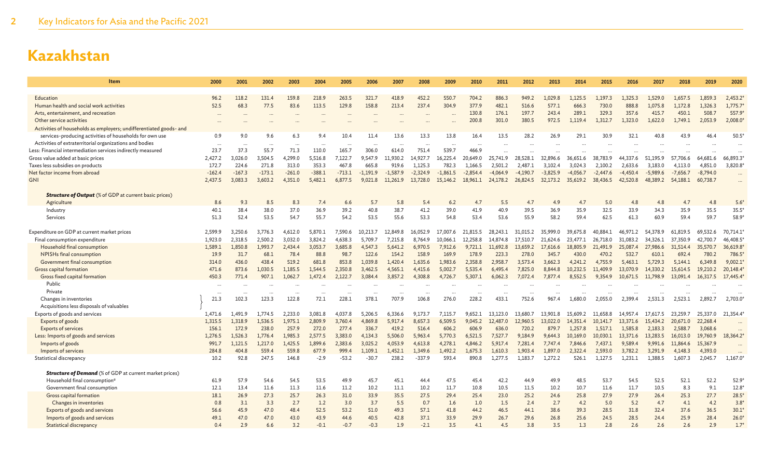| Item                                                               | 2000     | 2001     | 2002     | 2003     | 2004      | 2005                 | 2006       | 2007       | 2008       | 2009       | 2010       | 2011       | 2012       | 2013       | 2014       | 2015       | 2016       | 2017          | 2018       | 2019       | 2020           |
|--------------------------------------------------------------------|----------|----------|----------|----------|-----------|----------------------|------------|------------|------------|------------|------------|------------|------------|------------|------------|------------|------------|---------------|------------|------------|----------------|
|                                                                    |          |          |          |          |           |                      |            |            |            |            |            |            |            |            |            |            |            |               |            |            |                |
| Education                                                          | 96.2     | 118.2    | 131.4    | 159.8    | 218.9     | 263.5                | 321.7      | 418.9      | 452.2      | 550.7      | 704.2      | 886.3      | 949.2      | 1,029.8    | L,125.5    | 1,197.3    | 1,325.3    | 1,529.0       | 1,657.5    | 1,859.3    | 2,453.2        |
| Human health and social work activities                            | 52.5     | 68.3     | 77.5     | 83.6     | 113.5     | 129.8                | 158.8      | 213.4      | 237.4      | 304.9      | 377.9      | 482.1      | 516.6      | 577.1      | 666.3      | 730.0      | 888.8      | 1,075.8       | 1,172.8    | 1,326.3    | 1,775.7        |
| Arts, entertainment, and recreation                                |          |          |          |          |           | $\ddot{\phantom{a}}$ |            |            |            |            | 130.8      | 176.1      | 197.7      | 243.4      | 289.1      | 329.3      | 357.6      | 415.7         | 450.1      | 508.7      | 557.9          |
| Other service activities                                           |          |          |          |          |           |                      |            |            |            |            | 200.8      | 301.0      | 380.5      | 972.5      | 1.119.4    | 1,312.7    | 1,323.0    | 1,622.0       | 1,749.1    | 2,053.9    | 2,008.0        |
| Activities of households as employers; undifferentiated goods- and |          |          |          |          |           |                      |            |            |            |            |            |            |            |            |            |            |            |               |            |            |                |
| services-producing activities of households for own use            | 0.9      | 9.0      | 9.6      | 6.3      | 9.4       | 10.4                 | 11.4       | 13.6       | 13.3       | 13.8       | 16.4       | 13.5       | 28.2       | 26.9       | 29.1       | 30.9       | 32.1       | 40.8          | 43.9       | 46.4       | $50.5^{\circ}$ |
| Activities of extraterritorial organizations and bodies            |          | $\cdots$ | $\cdots$ | $\cdots$ | $\ddotsc$ | $\cdots$             | $\ddotsc$  |            | $\cdots$   | $\cdots$   | $\cdots$   |            |            |            |            |            |            |               |            |            | $\ldots$       |
| Less: Financial intermediation services indirectly measured        | 23.7     | 37.3     | 55.7     | 71.3     | 110.0     | 165.7                | 306.0      | 614.0      | 751.4      | 539.7      | 466.9      |            |            |            |            |            |            |               |            |            |                |
| Gross value added at basic prices                                  | 2.427.2  | 3.026.0  | 3.504.5  | 4.299.0  | 5.516.8   | 7.122.7              | 9.547.9    | 11.930.2   | 14.927.7   | 16.225.4   | 20,649.0   | 25,741.9   | 28.528.1   | 32.896.6   | 36.651.6   | 38.783.9   | 44.337.6   | .195.9<br>51  | 57.706.6   | 64,681.6   | 66,893.3       |
| Taxes less subsidies on products                                   | 172.7    | 224.6    | 271.8    | 313.0    | 353.3     | 467.8                | 665.8      | 919.6      | 1,125.3    | 782.3      | 1,166.5    | 2,501.2    | 2.487.1    | 3.102.4    | 3,024.3    | 2,100.2    | 2,633.6    | 3,183.0       | 4,113.0    | 4,851.0    | 3,820.8        |
| Net factor income from abroad                                      | $-162.4$ | $-167.3$ | $-173.1$ | $-261.0$ | $-388.1$  | $-713.1$             | $-1.191.9$ | $-1.587.9$ | $-2.324.9$ | $-1,861.5$ | $-2.854.4$ | $-4.064.9$ | $-4.190.7$ | $-3,825.9$ | $-4,056.7$ | $-2,447.6$ | $-4,450.4$ | $-5,989.6$    | $-7,656.7$ | $-8,794.0$ |                |
| <b>GNI</b>                                                         | 2,437.5  | 3,083.3  | 3,603.2  | 4,351.0  | 5,482.1   | 6,877.5              | 9,021.8    | 11,261.9   | 13,728.0   | 15,146.2   | 18,961.1   | 24,178.2   | 26,824.5   | 32,173.2   | 35,619.2   | 38,436.5   | 42,520.8   | 48,389.2      | 54,188.1   | 60,738.7   |                |
| <b>Structure of Output</b> (% of GDP at current basic prices)      |          |          |          |          |           |                      |            |            |            |            |            |            |            |            |            |            |            |               |            |            |                |
| Agriculture                                                        | 8.6      | 9.3      | 8.5      | 8.3      | 7.4       | 6.6                  | 5.7        | 5.8        | 5.4        | 6.2        | 4.7        | 5.5        | 4.7        | 4.9        | 4.7        | 5.0        | 4.8        | 4.8           | 4.7        | 4.8        | $5.6^*$        |
| Industry                                                           | 40.1     | 38.4     | 38.0     | 37.0     | 36.9      | 39.2                 | 40.8       | 38.7       | 41.2       | 39.0       | 41.9       | 40.9       | 39.5       | 36.9       | 35.9       | 32.5       | 33.9       | 34.3          | 35.9       | 35.5       | $35.5*$        |
| Services                                                           | 51.3     | 52.4     | 53.5     | 54.7     | 55.7      | 54.2                 | 53.5       | 55.6       | 53.3       | 54.8       | 53.4       | 53.6       | 55.9       | 58.2       | 59.4       | 62.5       | 61.3       | 60.9          | 59.4       | 59.7       | $58.9*$        |
|                                                                    |          |          |          |          |           |                      |            |            |            |            |            |            |            |            |            |            |            |               |            |            |                |
| Expenditure on GDP at current market prices                        | 2,599.9  | 3,250.6  | 3,776.3  | 4,612.0  | 5.870.1   | 7.590.6              | 10.213.7   | 12,849.8   | 16.052.9   | 17.007.6   | 21.815.5   | 28,243.1   | 31.015.2   | 35,999.0   | 39,675.8   | 40.884.1   | 46.971.2   | 54.<br>.378.9 | 61.819.5   | 69.532.6   | 70,714.1       |
| Final consumption expenditure                                      | 1,923.0  | 2.318.5  | 2,500.2  | 3,032.0  | 3.824.2   | 4.638.3              | 5.709.7    | 7.215.8    | 8.764.9    | 10.066.1   | 12.258.8   | 14,874.8   | 17.510.7   | 21.624.6   | 23,477.1   | 26,718.0   | 31.083.2   | 34.326.1      | 37,350.9   | 42,700.7   | 46,408.5       |
| Household final consumption                                        | 1,589.1  | 1,850.8  | 1,993.7  | 2,434.4  | 3,053.7   | 3,685.8              | 4,547.3    | 5,641.2    | 6,970.5    | 7,912.6    | 9,721.1    | 11,692.8   | 13,659.2   | 17,616.6   | 18,805.9   | 21,491.9   | 25,087.4   | 27,986.6      | 31,514.4   | 35,570.7   | 36,619.8       |
| NPISHs final consumption                                           | 19.9     | 31.7     | 68.1     | 78.4     | 88.8      | 98.7                 | 122.6      | 154.2      | 158.9      | 169.9      | 178.9      | 223.3      | 278.0      | 345.7      | 430.0      | 470.2      | 532.7      | 610.1         | 692.4      | 780.2      | 786.5          |
| Government final consumption                                       | 314.0    | 436.0    | 438.4    | 519.2    | 681.8     | 853.8                | 1.039.8    | 1.420.4    | 1.635.6    | 1.983.6    | 2.358.8    | 2.958.7    | 3.573.4    | 3.662.3    | 4.241.2    | 4.755.9    | 5.463.1    | 5.729.3       | 5,144.1    | 6.349.8    | 9.002.1        |
| Gross capital formation                                            | 471.6    | 873.6    | 1,030.5  | 1,185.5  | 1,544.5   | 2,350.8              | 3,462.5    | 4,565.1    | 4,415.6    | 5,002.7    | 5,535.4    | 6,495.4    | 7,825.0    | 8,844.8    | 10,232.5   | 11,409.9   | 13,070.9   | 14,330.2      | 15,614.5   | 19,210.2   | 20,148.4       |
| Gross fixed capital formation                                      | 450.3    | 771.4    | 907.1    | 1,062.7  | 1,472.4   | 2,122.7              | 3.084.4    | 3,857.2    | 4,308.8    | 4,726.7    | 5,307.1    | 6,062.3    | 7,072.4    | 7,877.4    | 8,552.5    | 9.354.9    | 10,671.5   | 11,798.9      | 13,091.4   | 16,317.5   | 17,445.4       |
| Public                                                             |          |          |          |          |           |                      |            |            |            |            |            |            |            |            |            |            |            |               |            |            |                |
| Private                                                            | $\cdots$ | $\cdots$ |          | $\cdots$ | $\ddotsc$ | $\cdots$             | $\ddotsc$  | $\ddots$   |            |            | $\cdots$   |            | $\ddotsc$  |            |            |            |            |               |            |            |                |
| Changes in inventories                                             | 21.3     | 102.3    | 123.3    | 122.8    | 72.1      | 228.1                | 378.1      | 707.9      | 106.8      | 276.0      | 228.2      | 433.       | 752.6      | 967.4      | 1.680.0    | 2.055.0    | 2,399.4    | 2.531.3       | 2.523.1    | 2.892.7    | 2,703.0        |
| Acquisitions less disposals of valuables                           |          |          |          |          |           |                      |            |            |            |            |            |            |            |            |            |            |            |               |            |            |                |
| Exports of goods and services                                      | 1.471.6  | ,491.9   | 1.774.5  | 2,233.0  | 3,081.8   | 4.037.8              | 5,206.5    | 6,336.6    | 9.173.7    | 7,115.7    | 9,652.1    | 13,123.0   | 13,680.7   | 13,901.8   | 15,609.2   | 11.658.8   | 14,957.4   | 17.617.5      | 23.259.7   | 25,337.0   | 21,354.4       |
| Exports of goods                                                   | 1,315.5  | 1,318.9  | 1,536.5  | 1,975.1  | 2,809.9   | 3,760.4              | 4,869.8    | 5,917.4    | 8.657.3    | 6,509.5    | 9,045.2    | 12,487.0   | 12,960.5   | 13,022.0   | 14,351.4   | 10,141.7   | 13,371.6   | 15,434.2      | 20,671.0   | 22,268.4   |                |
| <b>Exports of services</b>                                         | 156.1    | 172.9    | 238.0    | 257.9    | 272.0     | 277.4                | 336.7      | 419.2      | 516.4      | 606.2      | 606.9      | 636.0      | 720.2      | 879.7      | 1,257.8    | 1,517.1    | 1,585.8    | 2,183.3       | 2,588.7    | 3,068.6    |                |
| Less: Imports of goods and services                                | 1.276.5  | 1,526.3  | 1.776.4  | 1,985.3  | 2,577.5   | 3,383.0              | 4,134.3    | 5.506.0    | 5.963.4    | 5.770.3    | 6.521.5    | 7.527.7    | 9.184.9    | 9.644.3    | 10.169.0   | 10.030.1   | 13,371.6   | 13.283.5      | 16,013.0   | 19,760.9   | 18,364.2       |
| Imports of goods                                                   | 991.7    | 1,121.5  | 1,217.0  | 1,425.5  | 1.899.6   | 2,383.6              | 3,025.2    | 4,053.9    | 4.613.8    | 4,278.1    | 4,846.2    | 5,917.4    | 7,281.4    | 7.747.4    | 7,846.6    | 7.437.1    | 9,589.4    | 9,991.6       | 11,864.6   | 15,367.9   |                |
| Imports of services                                                | 284.8    | 404.8    | 559.4    | 559.8    | 677.9     | 999.4                | 1.109.1    | 1,452.1    | 1,349.6    | 1.492.2    | 1,675.3    | 1,610.3    | 1,903.4    | 1,897.0    | 2.322.4    | 2,593.0    | 3,782.2    | 3,291.9       | 4,148.3    | 4,393.0    |                |
| Statistical discrepancy                                            | 10.2     | 92.8     | 247.5    | 146.8    | $-2.9$    | $-53.2$              | $-30.7$    | 238.2      | $-337.9$   | 593.4      | 890.8      | 1.277.5    | 1.183.7    | 1,272.2    | 526.1      | 1.127.5    | 1.231.1    | 1.388.5       | 1,607.3    | 2.045.7    | 1,167.0        |
| <b>Structure of Demand</b> (% of GDP at current market prices)     |          |          |          |          |           |                      |            |            |            |            |            |            |            |            |            |            |            |               |            |            |                |
| Household final consumption <sup>e</sup>                           | 61.9     | 57.9     | 54.6     | 54.5     | 53.5      | 49.9                 | 45.7       | 45.1       | 44.4       | 47.5       | 45.4       | 42.2       | 44.9       | 49.9       | 48.5       | 53.7       | 54.5       | 52.5          | 52.1       | 52.2       | 52.9           |
| Government final consumption                                       | 12.1     | 13.4     | 11.6     | 11.3     | 11.6      | 11.2                 | 10.2       | 11.1       | 10.2       | 11.7       | 10.8       | 10.5       | 11.5       | 10.2       | 10.7       | 11.6       | 11.7       | 10.5          | 8.3        | 9.1        | $12.8^*$       |
| Gross capital formation                                            | 18.1     | 26.9     | 27.3     | 25.7     | 26.3      | 31.0                 | 33.9       | 35.5       | 27.5       | 29.4       | 25.4       | 23.0       | 25.2       | 24.6       | 25.8       | 27.9       | 27.9       | 26.4          | 25.3       | 27.7       | $28.5*$        |
| Changes in inventories                                             | 0.8      | 3.1      | 3.3      | 2.7      | 1.2       | 3.0                  | 3.7        | 5.5        | 0.7        | 1.6        | 1.0        | 1.5        | 2.4        | 2.7        | 4.2        | 5.0        | 5.2        | 4.7           | 4.1        | 4.2        | $3.8*$         |
| Exports of goods and services                                      | 56.6     | 45.9     | 47.0     | 48.4     | 52.5      | 53.2                 | 51.0       | 49.3       | 57.1       | 41.8       | 44.2       | 46.5       | 44.1       | 38.6       | 39.3       | 28.5       | 31.8       | 32.4          | 37.6       | 36.5       | $30.1*$        |
| Imports of goods and services                                      | 49.1     | 47.0     | 47.0     | 43.0     | 43.9      | 44.6                 | 40.5       | 42.8       | 37.1       | 33.9       | 29.9       | 26.7       | 29.6       | 26.8       | 25.6       | 24.5       | 28.5       | 24.4          | 25.9       | 28.4       | $26.0*$        |
| Statistical discrepancy                                            | 0.4      | 2.9      | 6.6      | 3.2      | $-0.1$    | $-0.7$               | $-0.3$     | 1.9        | $-2.1$     | 3.5        | 4.1        | 4.5        | 3.8        | 3.5        | 1.3        | 2.8        | 2.6        | 2.6           | 2.6        | 2.9        | $1.7*$         |
|                                                                    |          |          |          |          |           |                      |            |            |            |            |            |            |            |            |            |            |            |               |            |            |                |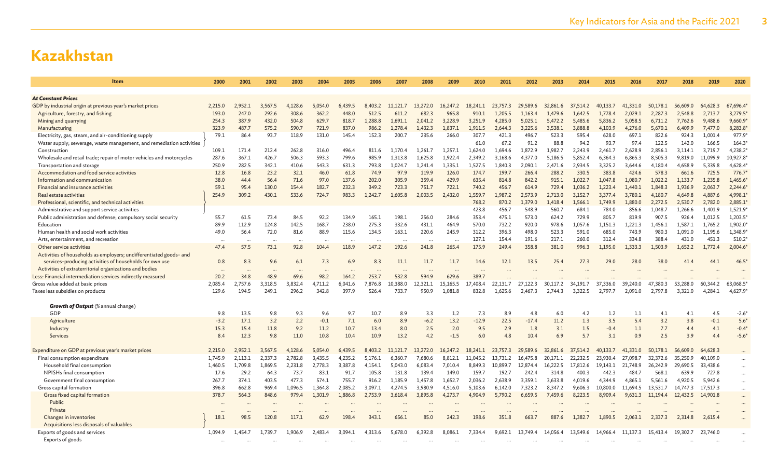| <b>At Constant Prices</b><br>41,331.0<br>64,628.3<br>67,696.4<br>GDP by industrial origin at previous year's market prices<br>2.215.0<br>3.567.5<br>4,128.6<br>5,054.0<br>8,403.2<br>11,121.7<br>13,272.0<br>16,247.2<br>29,589.6<br>32,861.6<br>40,133.7<br>56,609.0<br>2,952.1<br>6,439.5<br>18,241.1<br>23,757.3<br>37,514.2<br>50,178.1<br>3,279.5<br>292.6<br>362.2<br>512.5<br>965.8<br>Agriculture, forestry, and fishing<br>193.0<br>247.0<br>308.6<br>448.0<br>611.2<br>682.3<br>910.1<br>1.205.5<br>1,163.4<br>1,479.6<br>1.642.5<br>1,778.4<br>2,029.1<br>2,287.3<br>2,548.8<br>2,713.7<br>629.7<br>9,660.9<br>Mining and quarrying<br>387.9<br>432.0<br>504.8<br>818.7<br>1,288.8<br>3,251.9<br>5,058.5<br>6,711.2<br>254.3<br>1.691.1<br>2,041.2<br>3,228.9<br>4,285.0<br>5,025.1<br>5,472.2<br>5,485.6<br>5,836.2<br>7,762.6<br>9,488.6<br>8,283.8<br>487.7<br>721.9<br>1,278.4<br>1,911.5<br>5,670.1<br>Manufacturing<br>323.9<br>575.2<br>590.7<br>837.0<br>986.2<br>1,432.3<br>1,837.1<br>2,644.3<br>3,225.6<br>3,538.1<br>3,888.8<br>4,103.9<br>4,276.0<br>6,409.9<br>7,477.0<br>977.9<br>Electricity, gas, steam, and air-conditioning supply<br>79.1<br>86.4<br>93.7<br>118.9<br>131.0<br>152.3<br>200.7<br>235.6<br>307.7<br>421.3<br>496.7<br>523.3<br>595.4<br>628.0<br>697.1<br>822.6<br>924.3<br>1,001.4<br>145.4<br>266.0<br>164.3<br>88.8<br>61.0<br>67.2<br>91.2<br>94.2<br>93.7<br>97.4<br>122.5<br>142.0<br>166.5<br>Water supply; sewerage, waste management, and remediation activities<br>4,238.2<br>1,624.0<br>1,694.6<br>1,982.7<br>2,243.9<br>2,628.9<br>2,856.1<br>3,719.7<br>Construction<br>109.1<br>171.4<br>212.4<br>262.8<br>316.0<br>496.4<br>811.6<br>1,170.4<br>1.261.7<br>1,257.1<br>1,872.9<br>2,461.7<br>3,114.1<br>10,927.8<br>Wholesale and retail trade; repair of motor vehicles and motorcycles<br>287.6<br>367.1<br>426.7<br>506.3<br>593.3<br>799.6<br>985.9<br>1,313.8<br>1,625.8<br>1,922.4<br>2,349.2<br>3,168.6<br>5,186.5<br>5,852.4<br>6,865.3<br>8,505.3<br>9,819.0<br>11,099.9<br>4,377.0<br>6,364.3<br>282.5<br>543.3<br>1,024.7<br>1,527.5<br>2.934.5<br>4,628.4<br>Transportation and storage<br>250.9<br>342.1<br>410.6<br>631.3<br>793.8<br>1.241.4<br>1.335.1<br>1.840.3<br>2.090.1<br>2,471.6<br>3,325.2<br>3.644.6<br>4,180.4<br>4,658.9<br>5,339.8<br>32.1<br>97.9<br>119.9<br>174.7<br>199.7<br>288.2<br>330.5<br>383.8<br>424.6<br>578.3<br>661.6<br>725.5<br>776.7<br>Accommodation and food service activities<br>12.8<br>16.8<br>23.2<br>46.0<br>61.8<br>74.9<br>126.0<br>266.4<br>38.0<br>44.4<br>71.6<br>97.0<br>137.6<br>202.0<br>305.9<br>359.4<br>429.9<br>635.4<br>814.8<br>842.2<br>915.1<br>1,022.7<br>1,080.7<br>1,022.2<br>1,133.7<br>1,235.8<br>1,465.6<br>Information and communication<br>56.4<br>1,047.8<br>59.1<br>182.7<br>723.3<br>722.1<br>729.4<br>1,848.3<br>2,244.6<br>Financial and insurance activities<br>95.4<br>130.0<br>154.4<br>232.3<br>349.2<br>751.7<br>740.2<br>456.7<br>614.9<br>1.036.2<br>1.223.4<br>1.440.1<br>1.936.9<br>2,063.7<br>254.9<br>309.2<br>430.1<br>533.6<br>724.7<br>1.605.8<br>2.432.0<br>1.559.7<br>1.987.2<br>2.573.9<br>2.713.0<br>3.377.4<br>4.180.7<br>4,887.6<br>4,998.1<br>Real estate activities<br>983.3<br>1.242.7<br>2.003.5<br>3.152.7<br>3.780.1<br>4,649.8<br>2,885.1<br>870.2<br>1,379.0<br>1.566.1<br>1,880.0<br>2,272.5<br>2,782.0<br>Professional, scientific, and technical activities<br>768.2<br>1,418.4<br>1,749.9<br>2,530.7<br>456.7<br>560.7<br>684.1<br>856.6<br>1,048.7<br>1,521.9<br>Administrative and support service activities<br>423.8<br>548.9<br>784.0<br>1.266.6<br>1.401.9<br>1,203.5<br>55.7<br>73.4<br>92.2<br>165.1<br>198.1<br>353.4<br>475.1<br>573.0<br>729.9<br>819.9<br>907.5<br>926.4<br>Public administration and defense; compulsory social security<br>61.5<br>84.5<br>134.9<br>256.0<br>284.6<br>624.2<br>805.7<br>1,012.5<br>332.6<br>1,902.0<br>89.9<br>112.9<br>124.8<br>142.5<br>168.7<br>238.0<br>275.3<br>431.1<br>464.9<br>570.0<br>732.2<br>1,221.3<br>Education<br>920.0<br>978.6<br>1,057.6<br>1,151.3<br>1,456.1<br>1,587.1<br>1,765.2<br>1,348.9<br>Human health and social work activities<br>56.4<br>72.0<br>88.9<br>134.5<br>163.1<br>312.2<br>396.3<br>523.3<br>591.0<br>685.0<br>743.9<br>980.3<br>1,195.6<br>49.0<br>81.6<br>115.6<br>220.6<br>245.9<br>498.0<br>1,091.0<br>334.8<br>388.4<br>431.0<br>510.2<br>Arts, entertainment, and recreation<br>127.1<br>154.4<br>191.6<br>217.1<br>260.0<br>312.4<br>451.3<br>$\cdots$<br>$\cdots$<br>$\ddotsc$<br>$\cdots$<br>$\cdots$<br>$\cdots$<br>$\ddotsc$<br>57.5<br>73.1<br>92.8<br>118.9<br>241.8<br>265.4<br>249.4<br>358.8<br>381.0<br>996.3<br>1,333.3<br>1,503.9<br>1,652.2<br>2,004.6<br>Other service activities<br>47.4<br>104.4<br>147.2<br>192.6<br>175.9<br>1,195.0<br>1,772.4<br>Activities of households as employers; undifferentiated goods- and<br>services-producing activities of households for own use<br>0.8<br>9.6<br>7.3<br>8.3<br>11.1<br>11.7<br>11.7<br>14.6<br>12.1<br>13.5<br>25.4<br>27.3<br>29.0<br>28.0<br>38.0<br>46.5<br>8.3<br>6.1<br>6.9<br>41.4<br>44.1<br>Activities of extraterritorial organizations and bodies<br>$\ddots$<br>Less: Financial intermediation services indirectly measured<br>20.2<br>34.8<br>48.9<br>69.6<br>98.2<br>253.7<br>532.8<br>594.9<br>629.6<br>389.7<br>164.2<br>Gross value added at basic prices<br>2.085.4<br>2.757.6<br>3.318.5<br>3.832.4<br>4.711.2<br>6.041.6<br>7,876.8<br>10.388.0<br>12.321.1<br>15.165.5<br>17,408.4<br>27,122.3<br>60,344.2<br>63,068.5<br>22.131.7<br>30,117.2<br>34.191.7<br>37,336.0<br>39,240.0<br>47,380.3<br>53,288.0<br>Taxes less subsidies on products<br>249.1<br>342.8<br>733.7<br>1,081.8<br>4,627.9<br>129.6<br>194.5<br>296.2<br>397.9<br>526.4<br>950.9<br>832.8<br>1,625.6<br>2,467.3<br>3,322.5<br>2.797.7<br>2,091.0<br>2,797.8<br>3,321.0<br>4.284.1<br>2,744.3<br><b>Growth of Output</b> (% annual change)<br>GDP<br>$-2.6$<br>9.8<br>13.5<br>9.8<br>9.3<br>9.6<br>9.7<br>3.3<br>1.2<br>7.3<br>8.9<br>4.8<br>1.2<br>4.1<br>4.5<br>10.7<br>8.9<br>6.0<br>4.2<br>1.1<br>4.1<br>17.1<br>13.2<br>$-12.9$<br>$5.6^{\circ}$<br>$-3.2$<br>3.2<br>2.2<br>$-0.1$<br>7.1<br>6.0<br>8.9<br>$-6.2$<br>22.5<br>$-17.4$<br>11.2<br>1.3<br>3.5<br>5.4<br>3.2<br>3.8<br>$-0.1$<br>Agriculture<br>Industry<br>15.3<br>15.4<br>11.8<br>11.2<br>10.7<br>2.5<br>2.0<br>9.5<br>2.9<br>1.5<br>7.7<br>4.4<br>4.1<br>$-0.4*$<br>9.2<br>13.4<br>8.0<br>1.8<br>3.1<br>$-0.4$<br>1.1<br>12.3<br>0.9<br>2.5<br>$-5.6*$<br>Services<br>8.4<br>9.8<br>11.0<br>10.8<br>10.4<br>10.9<br>13.2<br>4.2<br>$-1.5$<br>4.8<br>10.4<br>6.9<br>5.7<br>3.1<br>6.0<br>3.9<br>4.4<br>Expenditure on GDP at previous year's market prices<br>2.215.0<br>2.952.1<br>3,567.5<br>4,128.6<br>5.054.0<br>6,439.5<br>8,403.2<br>11.121.7<br>13,272.0<br>16,247.2<br>18,241.1<br>23,757.3<br>29,589.6<br>32,861.6<br>37,514.2<br>40.133.7<br>41,331.0<br>50,178.1<br>56,609.0<br>64,628.3<br>Final consumption expenditure<br>1.745.9<br>2,337.3<br>2,782.8<br>3,435.5<br>4,235.2<br>5,176.1<br>6,360.7<br>7.680.6<br>8,812.1<br>11.045.2<br>22,232.5<br>23,930.4<br>27,098.7<br>32,372.6<br>35,250.9<br>40,109.0<br>2,113.1<br>13.731.2<br>16,475.8<br>20.171.1<br>$\ddotsc$<br>Household final consumption<br>1,869.5<br>2,231.8<br>2,778.3<br>3,387.8<br>5,043.0<br>8,849.3<br>16,222.5<br>26,242.9<br>33,438.6<br>1,460.5<br>1,709.8<br>4,154.1<br>6,083.4<br>7,010.4<br>10,899.7<br>12,874.4<br>17,812.6<br>19,143.1<br>21,748.9<br>29,690.5<br>$\cdots$<br>NPISHs final consumption<br>17.6<br>29.2<br>73.7<br>83.1<br>91.7<br>105.8<br>131.8<br>139.4<br>149.0<br>159.7<br>192.7<br>242.4<br>314.8<br>400.3<br>442.3<br>484.<br>568.1<br>639.9<br>727.8<br>64.3<br>$\cdots$<br>Government final consumption<br>477.3<br>574.1<br>1.185.9<br>3,633.8<br>267.7<br>374.1<br>403.5<br>755.7<br>916.2<br>1.457.8<br>1.652.7<br>2,036.2<br>2.638.9<br>3.359.1<br>4.019.6<br>4,344.9<br>4.865.1<br>5.561.6<br>4.920.5<br>5.942.6<br>$\ldots$<br>Gross capital formation<br>662.8<br>969.4<br>1,096.5<br>1,364.8<br>2,085.2<br>3,097.1<br>4,274.5<br>3,980.9<br>4,516.0<br>5,103.6<br>6,142.0<br>7,323.2<br>8,347.2<br>9,606.3<br>10,800.0<br>11,694.5<br>13,531.7<br>17,517.3<br>396.8<br>14,747.3<br>$\cdots$<br>Gross fixed capital formation<br>378.7<br>564.3<br>848.6<br>979.4<br>1,301.9<br>1,886.8<br>2,753.9<br>3,618.4<br>3,895.8<br>4,273.7<br>4.904.9<br>5,790.2<br>6,659.5<br>7,459.6<br>8.223.5<br>8,909.4<br>9.631.3<br>11.194.4<br>12,432.5<br>14,901.8<br>$\cdots$<br>Public<br>$\cdots$<br>Private<br>$\ddots$<br>242.3<br>Changes in inventories<br>18.1<br>98.5<br>120.8<br>117.1<br>62.9<br>198.4<br>343.1<br>656.1<br>85.0<br>198.6<br>351.8<br>663.7<br>887.6<br>1,890.5<br>2,063.1<br>1.382.7<br>2,337.3<br>2,314.8<br>2,615.4<br>$\ddots$<br>Acquisitions less disposals of valuables<br>Exports of goods and services<br>1.906.9<br>2.483.4<br>5.678.0<br>6.392.8<br>7.334.4<br>23,746.0<br>1.094.9<br>1.454.7<br>1.739.7<br>3.094.1<br>4.313.6<br>8.086.1<br>9.692.1<br>13.749.4<br>14.056.4<br>13,549.6<br>14,966.4<br>11.137.3<br>19,302.7<br>15.413.4<br>Exports of goods | Item | 2000 | 2001 | 2002 | 2003 | 2004 | 2005 | 2006 | 2007 | 2008 | 2009 | 2010 | 2011 | 2012 | 2013 | 2014 | 2015 | 2016 | 2017 | 2018 | 2019 | 2020 |
|---------------------------------------------------------------------------------------------------------------------------------------------------------------------------------------------------------------------------------------------------------------------------------------------------------------------------------------------------------------------------------------------------------------------------------------------------------------------------------------------------------------------------------------------------------------------------------------------------------------------------------------------------------------------------------------------------------------------------------------------------------------------------------------------------------------------------------------------------------------------------------------------------------------------------------------------------------------------------------------------------------------------------------------------------------------------------------------------------------------------------------------------------------------------------------------------------------------------------------------------------------------------------------------------------------------------------------------------------------------------------------------------------------------------------------------------------------------------------------------------------------------------------------------------------------------------------------------------------------------------------------------------------------------------------------------------------------------------------------------------------------------------------------------------------------------------------------------------------------------------------------------------------------------------------------------------------------------------------------------------------------------------------------------------------------------------------------------------------------------------------------------------------------------------------------------------------------------------------------------------------------------------------------------------------------------------------------------------------------------------------------------------------------------------------------------------------------------------------------------------------------------------------------------------------------------------------------------------------------------------------------------------------------------------------------------------------------------------------------------------------------------------------------------------------------------------------------------------------------------------------------------------------------------------------------------------------------------------------------------------------------------------------------------------------------------------------------------------------------------------------------------------------------------------------------------------------------------------------------------------------------------------------------------------------------------------------------------------------------------------------------------------------------------------------------------------------------------------------------------------------------------------------------------------------------------------------------------------------------------------------------------------------------------------------------------------------------------------------------------------------------------------------------------------------------------------------------------------------------------------------------------------------------------------------------------------------------------------------------------------------------------------------------------------------------------------------------------------------------------------------------------------------------------------------------------------------------------------------------------------------------------------------------------------------------------------------------------------------------------------------------------------------------------------------------------------------------------------------------------------------------------------------------------------------------------------------------------------------------------------------------------------------------------------------------------------------------------------------------------------------------------------------------------------------------------------------------------------------------------------------------------------------------------------------------------------------------------------------------------------------------------------------------------------------------------------------------------------------------------------------------------------------------------------------------------------------------------------------------------------------------------------------------------------------------------------------------------------------------------------------------------------------------------------------------------------------------------------------------------------------------------------------------------------------------------------------------------------------------------------------------------------------------------------------------------------------------------------------------------------------------------------------------------------------------------------------------------------------------------------------------------------------------------------------------------------------------------------------------------------------------------------------------------------------------------------------------------------------------------------------------------------------------------------------------------------------------------------------------------------------------------------------------------------------------------------------------------------------------------------------------------------------------------------------------------------------------------------------------------------------------------------------------------------------------------------------------------------------------------------------------------------------------------------------------------------------------------------------------------------------------------------------------------------------------------------------------------------------------------------------------------------------------------------------------------------------------------------------------------------------------------------------------------------------------------------------------------------------------------------------------------------------------------------------------------------------------------------------------------------------------------------------------------------------------------------------------------------------------------------------------------------------------------------------------------------------------------------------------------------------------------------------------------------------------------------------------------------------------------------------------------------------------------------------------------------------------------------------------------------------------------------------------------------------------------------------------------------------------------------------------------------------------------------------------------------------------------------------------------------------------------------------------------------------------------------------------------------------------------------------------------------------------------------------------------------------------------------------------------------------------------------------------------------------------------------------------------------------------------------------------------------------------------------------------------------------------------------------------------------------------------------------------------------------------------------------------------------------------------------------------------------------------------------------------------------------------------------------------------------------------------------------------------------------------------------------------------------------------------------------------------------------------------------------------------------------------------------------------------------------------------------------------------------------------------------------------------------------------------------------------------------------------------------------------------------------------------------------|------|------|------|------|------|------|------|------|------|------|------|------|------|------|------|------|------|------|------|------|------|------|
|                                                                                                                                                                                                                                                                                                                                                                                                                                                                                                                                                                                                                                                                                                                                                                                                                                                                                                                                                                                                                                                                                                                                                                                                                                                                                                                                                                                                                                                                                                                                                                                                                                                                                                                                                                                                                                                                                                                                                                                                                                                                                                                                                                                                                                                                                                                                                                                                                                                                                                                                                                                                                                                                                                                                                                                                                                                                                                                                                                                                                                                                                                                                                                                                                                                                                                                                                                                                                                                                                                                                                                                                                                                                                                                                                                                                                                                                                                                                                                                                                                                                                                                                                                                                                                                                                                                                                                                                                                                                                                                                                                                                                                                                                                                                                                                                                                                                                                                                                                                                                                                                                                                                                                                                                                                                                                                                                                                                                                                                                                                                                                                                                                                                                                                                                                                                                                                                                                                                                                                                                                                                                                                                                                                                                                                                                                                                                                                                                                                                                                                                                                                                                                                                                                                                                                                                                                                                                                                                                                                                                                                                                                                                                                                                                                                                                                                                                                                                                                                                                                                                                                                                                                                                                                                                                                                                                                                                                                                                                                                                                                                                                                                                                                                                                                                                                                                                                                                                                                                                                                                                                                                                                                                                                                                                                                                                                                                                                                                                                                                                                                                                                                                                                                                                                           |      |      |      |      |      |      |      |      |      |      |      |      |      |      |      |      |      |      |      |      |      |      |
|                                                                                                                                                                                                                                                                                                                                                                                                                                                                                                                                                                                                                                                                                                                                                                                                                                                                                                                                                                                                                                                                                                                                                                                                                                                                                                                                                                                                                                                                                                                                                                                                                                                                                                                                                                                                                                                                                                                                                                                                                                                                                                                                                                                                                                                                                                                                                                                                                                                                                                                                                                                                                                                                                                                                                                                                                                                                                                                                                                                                                                                                                                                                                                                                                                                                                                                                                                                                                                                                                                                                                                                                                                                                                                                                                                                                                                                                                                                                                                                                                                                                                                                                                                                                                                                                                                                                                                                                                                                                                                                                                                                                                                                                                                                                                                                                                                                                                                                                                                                                                                                                                                                                                                                                                                                                                                                                                                                                                                                                                                                                                                                                                                                                                                                                                                                                                                                                                                                                                                                                                                                                                                                                                                                                                                                                                                                                                                                                                                                                                                                                                                                                                                                                                                                                                                                                                                                                                                                                                                                                                                                                                                                                                                                                                                                                                                                                                                                                                                                                                                                                                                                                                                                                                                                                                                                                                                                                                                                                                                                                                                                                                                                                                                                                                                                                                                                                                                                                                                                                                                                                                                                                                                                                                                                                                                                                                                                                                                                                                                                                                                                                                                                                                                                                                           |      |      |      |      |      |      |      |      |      |      |      |      |      |      |      |      |      |      |      |      |      |      |
|                                                                                                                                                                                                                                                                                                                                                                                                                                                                                                                                                                                                                                                                                                                                                                                                                                                                                                                                                                                                                                                                                                                                                                                                                                                                                                                                                                                                                                                                                                                                                                                                                                                                                                                                                                                                                                                                                                                                                                                                                                                                                                                                                                                                                                                                                                                                                                                                                                                                                                                                                                                                                                                                                                                                                                                                                                                                                                                                                                                                                                                                                                                                                                                                                                                                                                                                                                                                                                                                                                                                                                                                                                                                                                                                                                                                                                                                                                                                                                                                                                                                                                                                                                                                                                                                                                                                                                                                                                                                                                                                                                                                                                                                                                                                                                                                                                                                                                                                                                                                                                                                                                                                                                                                                                                                                                                                                                                                                                                                                                                                                                                                                                                                                                                                                                                                                                                                                                                                                                                                                                                                                                                                                                                                                                                                                                                                                                                                                                                                                                                                                                                                                                                                                                                                                                                                                                                                                                                                                                                                                                                                                                                                                                                                                                                                                                                                                                                                                                                                                                                                                                                                                                                                                                                                                                                                                                                                                                                                                                                                                                                                                                                                                                                                                                                                                                                                                                                                                                                                                                                                                                                                                                                                                                                                                                                                                                                                                                                                                                                                                                                                                                                                                                                                                           |      |      |      |      |      |      |      |      |      |      |      |      |      |      |      |      |      |      |      |      |      |      |
|                                                                                                                                                                                                                                                                                                                                                                                                                                                                                                                                                                                                                                                                                                                                                                                                                                                                                                                                                                                                                                                                                                                                                                                                                                                                                                                                                                                                                                                                                                                                                                                                                                                                                                                                                                                                                                                                                                                                                                                                                                                                                                                                                                                                                                                                                                                                                                                                                                                                                                                                                                                                                                                                                                                                                                                                                                                                                                                                                                                                                                                                                                                                                                                                                                                                                                                                                                                                                                                                                                                                                                                                                                                                                                                                                                                                                                                                                                                                                                                                                                                                                                                                                                                                                                                                                                                                                                                                                                                                                                                                                                                                                                                                                                                                                                                                                                                                                                                                                                                                                                                                                                                                                                                                                                                                                                                                                                                                                                                                                                                                                                                                                                                                                                                                                                                                                                                                                                                                                                                                                                                                                                                                                                                                                                                                                                                                                                                                                                                                                                                                                                                                                                                                                                                                                                                                                                                                                                                                                                                                                                                                                                                                                                                                                                                                                                                                                                                                                                                                                                                                                                                                                                                                                                                                                                                                                                                                                                                                                                                                                                                                                                                                                                                                                                                                                                                                                                                                                                                                                                                                                                                                                                                                                                                                                                                                                                                                                                                                                                                                                                                                                                                                                                                                                           |      |      |      |      |      |      |      |      |      |      |      |      |      |      |      |      |      |      |      |      |      |      |
|                                                                                                                                                                                                                                                                                                                                                                                                                                                                                                                                                                                                                                                                                                                                                                                                                                                                                                                                                                                                                                                                                                                                                                                                                                                                                                                                                                                                                                                                                                                                                                                                                                                                                                                                                                                                                                                                                                                                                                                                                                                                                                                                                                                                                                                                                                                                                                                                                                                                                                                                                                                                                                                                                                                                                                                                                                                                                                                                                                                                                                                                                                                                                                                                                                                                                                                                                                                                                                                                                                                                                                                                                                                                                                                                                                                                                                                                                                                                                                                                                                                                                                                                                                                                                                                                                                                                                                                                                                                                                                                                                                                                                                                                                                                                                                                                                                                                                                                                                                                                                                                                                                                                                                                                                                                                                                                                                                                                                                                                                                                                                                                                                                                                                                                                                                                                                                                                                                                                                                                                                                                                                                                                                                                                                                                                                                                                                                                                                                                                                                                                                                                                                                                                                                                                                                                                                                                                                                                                                                                                                                                                                                                                                                                                                                                                                                                                                                                                                                                                                                                                                                                                                                                                                                                                                                                                                                                                                                                                                                                                                                                                                                                                                                                                                                                                                                                                                                                                                                                                                                                                                                                                                                                                                                                                                                                                                                                                                                                                                                                                                                                                                                                                                                                                                           |      |      |      |      |      |      |      |      |      |      |      |      |      |      |      |      |      |      |      |      |      |      |
|                                                                                                                                                                                                                                                                                                                                                                                                                                                                                                                                                                                                                                                                                                                                                                                                                                                                                                                                                                                                                                                                                                                                                                                                                                                                                                                                                                                                                                                                                                                                                                                                                                                                                                                                                                                                                                                                                                                                                                                                                                                                                                                                                                                                                                                                                                                                                                                                                                                                                                                                                                                                                                                                                                                                                                                                                                                                                                                                                                                                                                                                                                                                                                                                                                                                                                                                                                                                                                                                                                                                                                                                                                                                                                                                                                                                                                                                                                                                                                                                                                                                                                                                                                                                                                                                                                                                                                                                                                                                                                                                                                                                                                                                                                                                                                                                                                                                                                                                                                                                                                                                                                                                                                                                                                                                                                                                                                                                                                                                                                                                                                                                                                                                                                                                                                                                                                                                                                                                                                                                                                                                                                                                                                                                                                                                                                                                                                                                                                                                                                                                                                                                                                                                                                                                                                                                                                                                                                                                                                                                                                                                                                                                                                                                                                                                                                                                                                                                                                                                                                                                                                                                                                                                                                                                                                                                                                                                                                                                                                                                                                                                                                                                                                                                                                                                                                                                                                                                                                                                                                                                                                                                                                                                                                                                                                                                                                                                                                                                                                                                                                                                                                                                                                                                                           |      |      |      |      |      |      |      |      |      |      |      |      |      |      |      |      |      |      |      |      |      |      |
|                                                                                                                                                                                                                                                                                                                                                                                                                                                                                                                                                                                                                                                                                                                                                                                                                                                                                                                                                                                                                                                                                                                                                                                                                                                                                                                                                                                                                                                                                                                                                                                                                                                                                                                                                                                                                                                                                                                                                                                                                                                                                                                                                                                                                                                                                                                                                                                                                                                                                                                                                                                                                                                                                                                                                                                                                                                                                                                                                                                                                                                                                                                                                                                                                                                                                                                                                                                                                                                                                                                                                                                                                                                                                                                                                                                                                                                                                                                                                                                                                                                                                                                                                                                                                                                                                                                                                                                                                                                                                                                                                                                                                                                                                                                                                                                                                                                                                                                                                                                                                                                                                                                                                                                                                                                                                                                                                                                                                                                                                                                                                                                                                                                                                                                                                                                                                                                                                                                                                                                                                                                                                                                                                                                                                                                                                                                                                                                                                                                                                                                                                                                                                                                                                                                                                                                                                                                                                                                                                                                                                                                                                                                                                                                                                                                                                                                                                                                                                                                                                                                                                                                                                                                                                                                                                                                                                                                                                                                                                                                                                                                                                                                                                                                                                                                                                                                                                                                                                                                                                                                                                                                                                                                                                                                                                                                                                                                                                                                                                                                                                                                                                                                                                                                                                           |      |      |      |      |      |      |      |      |      |      |      |      |      |      |      |      |      |      |      |      |      |      |
|                                                                                                                                                                                                                                                                                                                                                                                                                                                                                                                                                                                                                                                                                                                                                                                                                                                                                                                                                                                                                                                                                                                                                                                                                                                                                                                                                                                                                                                                                                                                                                                                                                                                                                                                                                                                                                                                                                                                                                                                                                                                                                                                                                                                                                                                                                                                                                                                                                                                                                                                                                                                                                                                                                                                                                                                                                                                                                                                                                                                                                                                                                                                                                                                                                                                                                                                                                                                                                                                                                                                                                                                                                                                                                                                                                                                                                                                                                                                                                                                                                                                                                                                                                                                                                                                                                                                                                                                                                                                                                                                                                                                                                                                                                                                                                                                                                                                                                                                                                                                                                                                                                                                                                                                                                                                                                                                                                                                                                                                                                                                                                                                                                                                                                                                                                                                                                                                                                                                                                                                                                                                                                                                                                                                                                                                                                                                                                                                                                                                                                                                                                                                                                                                                                                                                                                                                                                                                                                                                                                                                                                                                                                                                                                                                                                                                                                                                                                                                                                                                                                                                                                                                                                                                                                                                                                                                                                                                                                                                                                                                                                                                                                                                                                                                                                                                                                                                                                                                                                                                                                                                                                                                                                                                                                                                                                                                                                                                                                                                                                                                                                                                                                                                                                                                           |      |      |      |      |      |      |      |      |      |      |      |      |      |      |      |      |      |      |      |      |      |      |
|                                                                                                                                                                                                                                                                                                                                                                                                                                                                                                                                                                                                                                                                                                                                                                                                                                                                                                                                                                                                                                                                                                                                                                                                                                                                                                                                                                                                                                                                                                                                                                                                                                                                                                                                                                                                                                                                                                                                                                                                                                                                                                                                                                                                                                                                                                                                                                                                                                                                                                                                                                                                                                                                                                                                                                                                                                                                                                                                                                                                                                                                                                                                                                                                                                                                                                                                                                                                                                                                                                                                                                                                                                                                                                                                                                                                                                                                                                                                                                                                                                                                                                                                                                                                                                                                                                                                                                                                                                                                                                                                                                                                                                                                                                                                                                                                                                                                                                                                                                                                                                                                                                                                                                                                                                                                                                                                                                                                                                                                                                                                                                                                                                                                                                                                                                                                                                                                                                                                                                                                                                                                                                                                                                                                                                                                                                                                                                                                                                                                                                                                                                                                                                                                                                                                                                                                                                                                                                                                                                                                                                                                                                                                                                                                                                                                                                                                                                                                                                                                                                                                                                                                                                                                                                                                                                                                                                                                                                                                                                                                                                                                                                                                                                                                                                                                                                                                                                                                                                                                                                                                                                                                                                                                                                                                                                                                                                                                                                                                                                                                                                                                                                                                                                                                                           |      |      |      |      |      |      |      |      |      |      |      |      |      |      |      |      |      |      |      |      |      |      |
|                                                                                                                                                                                                                                                                                                                                                                                                                                                                                                                                                                                                                                                                                                                                                                                                                                                                                                                                                                                                                                                                                                                                                                                                                                                                                                                                                                                                                                                                                                                                                                                                                                                                                                                                                                                                                                                                                                                                                                                                                                                                                                                                                                                                                                                                                                                                                                                                                                                                                                                                                                                                                                                                                                                                                                                                                                                                                                                                                                                                                                                                                                                                                                                                                                                                                                                                                                                                                                                                                                                                                                                                                                                                                                                                                                                                                                                                                                                                                                                                                                                                                                                                                                                                                                                                                                                                                                                                                                                                                                                                                                                                                                                                                                                                                                                                                                                                                                                                                                                                                                                                                                                                                                                                                                                                                                                                                                                                                                                                                                                                                                                                                                                                                                                                                                                                                                                                                                                                                                                                                                                                                                                                                                                                                                                                                                                                                                                                                                                                                                                                                                                                                                                                                                                                                                                                                                                                                                                                                                                                                                                                                                                                                                                                                                                                                                                                                                                                                                                                                                                                                                                                                                                                                                                                                                                                                                                                                                                                                                                                                                                                                                                                                                                                                                                                                                                                                                                                                                                                                                                                                                                                                                                                                                                                                                                                                                                                                                                                                                                                                                                                                                                                                                                                                           |      |      |      |      |      |      |      |      |      |      |      |      |      |      |      |      |      |      |      |      |      |      |
|                                                                                                                                                                                                                                                                                                                                                                                                                                                                                                                                                                                                                                                                                                                                                                                                                                                                                                                                                                                                                                                                                                                                                                                                                                                                                                                                                                                                                                                                                                                                                                                                                                                                                                                                                                                                                                                                                                                                                                                                                                                                                                                                                                                                                                                                                                                                                                                                                                                                                                                                                                                                                                                                                                                                                                                                                                                                                                                                                                                                                                                                                                                                                                                                                                                                                                                                                                                                                                                                                                                                                                                                                                                                                                                                                                                                                                                                                                                                                                                                                                                                                                                                                                                                                                                                                                                                                                                                                                                                                                                                                                                                                                                                                                                                                                                                                                                                                                                                                                                                                                                                                                                                                                                                                                                                                                                                                                                                                                                                                                                                                                                                                                                                                                                                                                                                                                                                                                                                                                                                                                                                                                                                                                                                                                                                                                                                                                                                                                                                                                                                                                                                                                                                                                                                                                                                                                                                                                                                                                                                                                                                                                                                                                                                                                                                                                                                                                                                                                                                                                                                                                                                                                                                                                                                                                                                                                                                                                                                                                                                                                                                                                                                                                                                                                                                                                                                                                                                                                                                                                                                                                                                                                                                                                                                                                                                                                                                                                                                                                                                                                                                                                                                                                                                                           |      |      |      |      |      |      |      |      |      |      |      |      |      |      |      |      |      |      |      |      |      |      |
|                                                                                                                                                                                                                                                                                                                                                                                                                                                                                                                                                                                                                                                                                                                                                                                                                                                                                                                                                                                                                                                                                                                                                                                                                                                                                                                                                                                                                                                                                                                                                                                                                                                                                                                                                                                                                                                                                                                                                                                                                                                                                                                                                                                                                                                                                                                                                                                                                                                                                                                                                                                                                                                                                                                                                                                                                                                                                                                                                                                                                                                                                                                                                                                                                                                                                                                                                                                                                                                                                                                                                                                                                                                                                                                                                                                                                                                                                                                                                                                                                                                                                                                                                                                                                                                                                                                                                                                                                                                                                                                                                                                                                                                                                                                                                                                                                                                                                                                                                                                                                                                                                                                                                                                                                                                                                                                                                                                                                                                                                                                                                                                                                                                                                                                                                                                                                                                                                                                                                                                                                                                                                                                                                                                                                                                                                                                                                                                                                                                                                                                                                                                                                                                                                                                                                                                                                                                                                                                                                                                                                                                                                                                                                                                                                                                                                                                                                                                                                                                                                                                                                                                                                                                                                                                                                                                                                                                                                                                                                                                                                                                                                                                                                                                                                                                                                                                                                                                                                                                                                                                                                                                                                                                                                                                                                                                                                                                                                                                                                                                                                                                                                                                                                                                                                           |      |      |      |      |      |      |      |      |      |      |      |      |      |      |      |      |      |      |      |      |      |      |
|                                                                                                                                                                                                                                                                                                                                                                                                                                                                                                                                                                                                                                                                                                                                                                                                                                                                                                                                                                                                                                                                                                                                                                                                                                                                                                                                                                                                                                                                                                                                                                                                                                                                                                                                                                                                                                                                                                                                                                                                                                                                                                                                                                                                                                                                                                                                                                                                                                                                                                                                                                                                                                                                                                                                                                                                                                                                                                                                                                                                                                                                                                                                                                                                                                                                                                                                                                                                                                                                                                                                                                                                                                                                                                                                                                                                                                                                                                                                                                                                                                                                                                                                                                                                                                                                                                                                                                                                                                                                                                                                                                                                                                                                                                                                                                                                                                                                                                                                                                                                                                                                                                                                                                                                                                                                                                                                                                                                                                                                                                                                                                                                                                                                                                                                                                                                                                                                                                                                                                                                                                                                                                                                                                                                                                                                                                                                                                                                                                                                                                                                                                                                                                                                                                                                                                                                                                                                                                                                                                                                                                                                                                                                                                                                                                                                                                                                                                                                                                                                                                                                                                                                                                                                                                                                                                                                                                                                                                                                                                                                                                                                                                                                                                                                                                                                                                                                                                                                                                                                                                                                                                                                                                                                                                                                                                                                                                                                                                                                                                                                                                                                                                                                                                                                                           |      |      |      |      |      |      |      |      |      |      |      |      |      |      |      |      |      |      |      |      |      |      |
|                                                                                                                                                                                                                                                                                                                                                                                                                                                                                                                                                                                                                                                                                                                                                                                                                                                                                                                                                                                                                                                                                                                                                                                                                                                                                                                                                                                                                                                                                                                                                                                                                                                                                                                                                                                                                                                                                                                                                                                                                                                                                                                                                                                                                                                                                                                                                                                                                                                                                                                                                                                                                                                                                                                                                                                                                                                                                                                                                                                                                                                                                                                                                                                                                                                                                                                                                                                                                                                                                                                                                                                                                                                                                                                                                                                                                                                                                                                                                                                                                                                                                                                                                                                                                                                                                                                                                                                                                                                                                                                                                                                                                                                                                                                                                                                                                                                                                                                                                                                                                                                                                                                                                                                                                                                                                                                                                                                                                                                                                                                                                                                                                                                                                                                                                                                                                                                                                                                                                                                                                                                                                                                                                                                                                                                                                                                                                                                                                                                                                                                                                                                                                                                                                                                                                                                                                                                                                                                                                                                                                                                                                                                                                                                                                                                                                                                                                                                                                                                                                                                                                                                                                                                                                                                                                                                                                                                                                                                                                                                                                                                                                                                                                                                                                                                                                                                                                                                                                                                                                                                                                                                                                                                                                                                                                                                                                                                                                                                                                                                                                                                                                                                                                                                                                           |      |      |      |      |      |      |      |      |      |      |      |      |      |      |      |      |      |      |      |      |      |      |
|                                                                                                                                                                                                                                                                                                                                                                                                                                                                                                                                                                                                                                                                                                                                                                                                                                                                                                                                                                                                                                                                                                                                                                                                                                                                                                                                                                                                                                                                                                                                                                                                                                                                                                                                                                                                                                                                                                                                                                                                                                                                                                                                                                                                                                                                                                                                                                                                                                                                                                                                                                                                                                                                                                                                                                                                                                                                                                                                                                                                                                                                                                                                                                                                                                                                                                                                                                                                                                                                                                                                                                                                                                                                                                                                                                                                                                                                                                                                                                                                                                                                                                                                                                                                                                                                                                                                                                                                                                                                                                                                                                                                                                                                                                                                                                                                                                                                                                                                                                                                                                                                                                                                                                                                                                                                                                                                                                                                                                                                                                                                                                                                                                                                                                                                                                                                                                                                                                                                                                                                                                                                                                                                                                                                                                                                                                                                                                                                                                                                                                                                                                                                                                                                                                                                                                                                                                                                                                                                                                                                                                                                                                                                                                                                                                                                                                                                                                                                                                                                                                                                                                                                                                                                                                                                                                                                                                                                                                                                                                                                                                                                                                                                                                                                                                                                                                                                                                                                                                                                                                                                                                                                                                                                                                                                                                                                                                                                                                                                                                                                                                                                                                                                                                                                                           |      |      |      |      |      |      |      |      |      |      |      |      |      |      |      |      |      |      |      |      |      |      |
|                                                                                                                                                                                                                                                                                                                                                                                                                                                                                                                                                                                                                                                                                                                                                                                                                                                                                                                                                                                                                                                                                                                                                                                                                                                                                                                                                                                                                                                                                                                                                                                                                                                                                                                                                                                                                                                                                                                                                                                                                                                                                                                                                                                                                                                                                                                                                                                                                                                                                                                                                                                                                                                                                                                                                                                                                                                                                                                                                                                                                                                                                                                                                                                                                                                                                                                                                                                                                                                                                                                                                                                                                                                                                                                                                                                                                                                                                                                                                                                                                                                                                                                                                                                                                                                                                                                                                                                                                                                                                                                                                                                                                                                                                                                                                                                                                                                                                                                                                                                                                                                                                                                                                                                                                                                                                                                                                                                                                                                                                                                                                                                                                                                                                                                                                                                                                                                                                                                                                                                                                                                                                                                                                                                                                                                                                                                                                                                                                                                                                                                                                                                                                                                                                                                                                                                                                                                                                                                                                                                                                                                                                                                                                                                                                                                                                                                                                                                                                                                                                                                                                                                                                                                                                                                                                                                                                                                                                                                                                                                                                                                                                                                                                                                                                                                                                                                                                                                                                                                                                                                                                                                                                                                                                                                                                                                                                                                                                                                                                                                                                                                                                                                                                                                                                           |      |      |      |      |      |      |      |      |      |      |      |      |      |      |      |      |      |      |      |      |      |      |
|                                                                                                                                                                                                                                                                                                                                                                                                                                                                                                                                                                                                                                                                                                                                                                                                                                                                                                                                                                                                                                                                                                                                                                                                                                                                                                                                                                                                                                                                                                                                                                                                                                                                                                                                                                                                                                                                                                                                                                                                                                                                                                                                                                                                                                                                                                                                                                                                                                                                                                                                                                                                                                                                                                                                                                                                                                                                                                                                                                                                                                                                                                                                                                                                                                                                                                                                                                                                                                                                                                                                                                                                                                                                                                                                                                                                                                                                                                                                                                                                                                                                                                                                                                                                                                                                                                                                                                                                                                                                                                                                                                                                                                                                                                                                                                                                                                                                                                                                                                                                                                                                                                                                                                                                                                                                                                                                                                                                                                                                                                                                                                                                                                                                                                                                                                                                                                                                                                                                                                                                                                                                                                                                                                                                                                                                                                                                                                                                                                                                                                                                                                                                                                                                                                                                                                                                                                                                                                                                                                                                                                                                                                                                                                                                                                                                                                                                                                                                                                                                                                                                                                                                                                                                                                                                                                                                                                                                                                                                                                                                                                                                                                                                                                                                                                                                                                                                                                                                                                                                                                                                                                                                                                                                                                                                                                                                                                                                                                                                                                                                                                                                                                                                                                                                                           |      |      |      |      |      |      |      |      |      |      |      |      |      |      |      |      |      |      |      |      |      |      |
|                                                                                                                                                                                                                                                                                                                                                                                                                                                                                                                                                                                                                                                                                                                                                                                                                                                                                                                                                                                                                                                                                                                                                                                                                                                                                                                                                                                                                                                                                                                                                                                                                                                                                                                                                                                                                                                                                                                                                                                                                                                                                                                                                                                                                                                                                                                                                                                                                                                                                                                                                                                                                                                                                                                                                                                                                                                                                                                                                                                                                                                                                                                                                                                                                                                                                                                                                                                                                                                                                                                                                                                                                                                                                                                                                                                                                                                                                                                                                                                                                                                                                                                                                                                                                                                                                                                                                                                                                                                                                                                                                                                                                                                                                                                                                                                                                                                                                                                                                                                                                                                                                                                                                                                                                                                                                                                                                                                                                                                                                                                                                                                                                                                                                                                                                                                                                                                                                                                                                                                                                                                                                                                                                                                                                                                                                                                                                                                                                                                                                                                                                                                                                                                                                                                                                                                                                                                                                                                                                                                                                                                                                                                                                                                                                                                                                                                                                                                                                                                                                                                                                                                                                                                                                                                                                                                                                                                                                                                                                                                                                                                                                                                                                                                                                                                                                                                                                                                                                                                                                                                                                                                                                                                                                                                                                                                                                                                                                                                                                                                                                                                                                                                                                                                                                           |      |      |      |      |      |      |      |      |      |      |      |      |      |      |      |      |      |      |      |      |      |      |
|                                                                                                                                                                                                                                                                                                                                                                                                                                                                                                                                                                                                                                                                                                                                                                                                                                                                                                                                                                                                                                                                                                                                                                                                                                                                                                                                                                                                                                                                                                                                                                                                                                                                                                                                                                                                                                                                                                                                                                                                                                                                                                                                                                                                                                                                                                                                                                                                                                                                                                                                                                                                                                                                                                                                                                                                                                                                                                                                                                                                                                                                                                                                                                                                                                                                                                                                                                                                                                                                                                                                                                                                                                                                                                                                                                                                                                                                                                                                                                                                                                                                                                                                                                                                                                                                                                                                                                                                                                                                                                                                                                                                                                                                                                                                                                                                                                                                                                                                                                                                                                                                                                                                                                                                                                                                                                                                                                                                                                                                                                                                                                                                                                                                                                                                                                                                                                                                                                                                                                                                                                                                                                                                                                                                                                                                                                                                                                                                                                                                                                                                                                                                                                                                                                                                                                                                                                                                                                                                                                                                                                                                                                                                                                                                                                                                                                                                                                                                                                                                                                                                                                                                                                                                                                                                                                                                                                                                                                                                                                                                                                                                                                                                                                                                                                                                                                                                                                                                                                                                                                                                                                                                                                                                                                                                                                                                                                                                                                                                                                                                                                                                                                                                                                                                                           |      |      |      |      |      |      |      |      |      |      |      |      |      |      |      |      |      |      |      |      |      |      |
|                                                                                                                                                                                                                                                                                                                                                                                                                                                                                                                                                                                                                                                                                                                                                                                                                                                                                                                                                                                                                                                                                                                                                                                                                                                                                                                                                                                                                                                                                                                                                                                                                                                                                                                                                                                                                                                                                                                                                                                                                                                                                                                                                                                                                                                                                                                                                                                                                                                                                                                                                                                                                                                                                                                                                                                                                                                                                                                                                                                                                                                                                                                                                                                                                                                                                                                                                                                                                                                                                                                                                                                                                                                                                                                                                                                                                                                                                                                                                                                                                                                                                                                                                                                                                                                                                                                                                                                                                                                                                                                                                                                                                                                                                                                                                                                                                                                                                                                                                                                                                                                                                                                                                                                                                                                                                                                                                                                                                                                                                                                                                                                                                                                                                                                                                                                                                                                                                                                                                                                                                                                                                                                                                                                                                                                                                                                                                                                                                                                                                                                                                                                                                                                                                                                                                                                                                                                                                                                                                                                                                                                                                                                                                                                                                                                                                                                                                                                                                                                                                                                                                                                                                                                                                                                                                                                                                                                                                                                                                                                                                                                                                                                                                                                                                                                                                                                                                                                                                                                                                                                                                                                                                                                                                                                                                                                                                                                                                                                                                                                                                                                                                                                                                                                                                           |      |      |      |      |      |      |      |      |      |      |      |      |      |      |      |      |      |      |      |      |      |      |
|                                                                                                                                                                                                                                                                                                                                                                                                                                                                                                                                                                                                                                                                                                                                                                                                                                                                                                                                                                                                                                                                                                                                                                                                                                                                                                                                                                                                                                                                                                                                                                                                                                                                                                                                                                                                                                                                                                                                                                                                                                                                                                                                                                                                                                                                                                                                                                                                                                                                                                                                                                                                                                                                                                                                                                                                                                                                                                                                                                                                                                                                                                                                                                                                                                                                                                                                                                                                                                                                                                                                                                                                                                                                                                                                                                                                                                                                                                                                                                                                                                                                                                                                                                                                                                                                                                                                                                                                                                                                                                                                                                                                                                                                                                                                                                                                                                                                                                                                                                                                                                                                                                                                                                                                                                                                                                                                                                                                                                                                                                                                                                                                                                                                                                                                                                                                                                                                                                                                                                                                                                                                                                                                                                                                                                                                                                                                                                                                                                                                                                                                                                                                                                                                                                                                                                                                                                                                                                                                                                                                                                                                                                                                                                                                                                                                                                                                                                                                                                                                                                                                                                                                                                                                                                                                                                                                                                                                                                                                                                                                                                                                                                                                                                                                                                                                                                                                                                                                                                                                                                                                                                                                                                                                                                                                                                                                                                                                                                                                                                                                                                                                                                                                                                                                                           |      |      |      |      |      |      |      |      |      |      |      |      |      |      |      |      |      |      |      |      |      |      |
|                                                                                                                                                                                                                                                                                                                                                                                                                                                                                                                                                                                                                                                                                                                                                                                                                                                                                                                                                                                                                                                                                                                                                                                                                                                                                                                                                                                                                                                                                                                                                                                                                                                                                                                                                                                                                                                                                                                                                                                                                                                                                                                                                                                                                                                                                                                                                                                                                                                                                                                                                                                                                                                                                                                                                                                                                                                                                                                                                                                                                                                                                                                                                                                                                                                                                                                                                                                                                                                                                                                                                                                                                                                                                                                                                                                                                                                                                                                                                                                                                                                                                                                                                                                                                                                                                                                                                                                                                                                                                                                                                                                                                                                                                                                                                                                                                                                                                                                                                                                                                                                                                                                                                                                                                                                                                                                                                                                                                                                                                                                                                                                                                                                                                                                                                                                                                                                                                                                                                                                                                                                                                                                                                                                                                                                                                                                                                                                                                                                                                                                                                                                                                                                                                                                                                                                                                                                                                                                                                                                                                                                                                                                                                                                                                                                                                                                                                                                                                                                                                                                                                                                                                                                                                                                                                                                                                                                                                                                                                                                                                                                                                                                                                                                                                                                                                                                                                                                                                                                                                                                                                                                                                                                                                                                                                                                                                                                                                                                                                                                                                                                                                                                                                                                                                           |      |      |      |      |      |      |      |      |      |      |      |      |      |      |      |      |      |      |      |      |      |      |
|                                                                                                                                                                                                                                                                                                                                                                                                                                                                                                                                                                                                                                                                                                                                                                                                                                                                                                                                                                                                                                                                                                                                                                                                                                                                                                                                                                                                                                                                                                                                                                                                                                                                                                                                                                                                                                                                                                                                                                                                                                                                                                                                                                                                                                                                                                                                                                                                                                                                                                                                                                                                                                                                                                                                                                                                                                                                                                                                                                                                                                                                                                                                                                                                                                                                                                                                                                                                                                                                                                                                                                                                                                                                                                                                                                                                                                                                                                                                                                                                                                                                                                                                                                                                                                                                                                                                                                                                                                                                                                                                                                                                                                                                                                                                                                                                                                                                                                                                                                                                                                                                                                                                                                                                                                                                                                                                                                                                                                                                                                                                                                                                                                                                                                                                                                                                                                                                                                                                                                                                                                                                                                                                                                                                                                                                                                                                                                                                                                                                                                                                                                                                                                                                                                                                                                                                                                                                                                                                                                                                                                                                                                                                                                                                                                                                                                                                                                                                                                                                                                                                                                                                                                                                                                                                                                                                                                                                                                                                                                                                                                                                                                                                                                                                                                                                                                                                                                                                                                                                                                                                                                                                                                                                                                                                                                                                                                                                                                                                                                                                                                                                                                                                                                                                                           |      |      |      |      |      |      |      |      |      |      |      |      |      |      |      |      |      |      |      |      |      |      |
|                                                                                                                                                                                                                                                                                                                                                                                                                                                                                                                                                                                                                                                                                                                                                                                                                                                                                                                                                                                                                                                                                                                                                                                                                                                                                                                                                                                                                                                                                                                                                                                                                                                                                                                                                                                                                                                                                                                                                                                                                                                                                                                                                                                                                                                                                                                                                                                                                                                                                                                                                                                                                                                                                                                                                                                                                                                                                                                                                                                                                                                                                                                                                                                                                                                                                                                                                                                                                                                                                                                                                                                                                                                                                                                                                                                                                                                                                                                                                                                                                                                                                                                                                                                                                                                                                                                                                                                                                                                                                                                                                                                                                                                                                                                                                                                                                                                                                                                                                                                                                                                                                                                                                                                                                                                                                                                                                                                                                                                                                                                                                                                                                                                                                                                                                                                                                                                                                                                                                                                                                                                                                                                                                                                                                                                                                                                                                                                                                                                                                                                                                                                                                                                                                                                                                                                                                                                                                                                                                                                                                                                                                                                                                                                                                                                                                                                                                                                                                                                                                                                                                                                                                                                                                                                                                                                                                                                                                                                                                                                                                                                                                                                                                                                                                                                                                                                                                                                                                                                                                                                                                                                                                                                                                                                                                                                                                                                                                                                                                                                                                                                                                                                                                                                                                           |      |      |      |      |      |      |      |      |      |      |      |      |      |      |      |      |      |      |      |      |      |      |
|                                                                                                                                                                                                                                                                                                                                                                                                                                                                                                                                                                                                                                                                                                                                                                                                                                                                                                                                                                                                                                                                                                                                                                                                                                                                                                                                                                                                                                                                                                                                                                                                                                                                                                                                                                                                                                                                                                                                                                                                                                                                                                                                                                                                                                                                                                                                                                                                                                                                                                                                                                                                                                                                                                                                                                                                                                                                                                                                                                                                                                                                                                                                                                                                                                                                                                                                                                                                                                                                                                                                                                                                                                                                                                                                                                                                                                                                                                                                                                                                                                                                                                                                                                                                                                                                                                                                                                                                                                                                                                                                                                                                                                                                                                                                                                                                                                                                                                                                                                                                                                                                                                                                                                                                                                                                                                                                                                                                                                                                                                                                                                                                                                                                                                                                                                                                                                                                                                                                                                                                                                                                                                                                                                                                                                                                                                                                                                                                                                                                                                                                                                                                                                                                                                                                                                                                                                                                                                                                                                                                                                                                                                                                                                                                                                                                                                                                                                                                                                                                                                                                                                                                                                                                                                                                                                                                                                                                                                                                                                                                                                                                                                                                                                                                                                                                                                                                                                                                                                                                                                                                                                                                                                                                                                                                                                                                                                                                                                                                                                                                                                                                                                                                                                                                                           |      |      |      |      |      |      |      |      |      |      |      |      |      |      |      |      |      |      |      |      |      |      |
|                                                                                                                                                                                                                                                                                                                                                                                                                                                                                                                                                                                                                                                                                                                                                                                                                                                                                                                                                                                                                                                                                                                                                                                                                                                                                                                                                                                                                                                                                                                                                                                                                                                                                                                                                                                                                                                                                                                                                                                                                                                                                                                                                                                                                                                                                                                                                                                                                                                                                                                                                                                                                                                                                                                                                                                                                                                                                                                                                                                                                                                                                                                                                                                                                                                                                                                                                                                                                                                                                                                                                                                                                                                                                                                                                                                                                                                                                                                                                                                                                                                                                                                                                                                                                                                                                                                                                                                                                                                                                                                                                                                                                                                                                                                                                                                                                                                                                                                                                                                                                                                                                                                                                                                                                                                                                                                                                                                                                                                                                                                                                                                                                                                                                                                                                                                                                                                                                                                                                                                                                                                                                                                                                                                                                                                                                                                                                                                                                                                                                                                                                                                                                                                                                                                                                                                                                                                                                                                                                                                                                                                                                                                                                                                                                                                                                                                                                                                                                                                                                                                                                                                                                                                                                                                                                                                                                                                                                                                                                                                                                                                                                                                                                                                                                                                                                                                                                                                                                                                                                                                                                                                                                                                                                                                                                                                                                                                                                                                                                                                                                                                                                                                                                                                                                           |      |      |      |      |      |      |      |      |      |      |      |      |      |      |      |      |      |      |      |      |      |      |
|                                                                                                                                                                                                                                                                                                                                                                                                                                                                                                                                                                                                                                                                                                                                                                                                                                                                                                                                                                                                                                                                                                                                                                                                                                                                                                                                                                                                                                                                                                                                                                                                                                                                                                                                                                                                                                                                                                                                                                                                                                                                                                                                                                                                                                                                                                                                                                                                                                                                                                                                                                                                                                                                                                                                                                                                                                                                                                                                                                                                                                                                                                                                                                                                                                                                                                                                                                                                                                                                                                                                                                                                                                                                                                                                                                                                                                                                                                                                                                                                                                                                                                                                                                                                                                                                                                                                                                                                                                                                                                                                                                                                                                                                                                                                                                                                                                                                                                                                                                                                                                                                                                                                                                                                                                                                                                                                                                                                                                                                                                                                                                                                                                                                                                                                                                                                                                                                                                                                                                                                                                                                                                                                                                                                                                                                                                                                                                                                                                                                                                                                                                                                                                                                                                                                                                                                                                                                                                                                                                                                                                                                                                                                                                                                                                                                                                                                                                                                                                                                                                                                                                                                                                                                                                                                                                                                                                                                                                                                                                                                                                                                                                                                                                                                                                                                                                                                                                                                                                                                                                                                                                                                                                                                                                                                                                                                                                                                                                                                                                                                                                                                                                                                                                                                                           |      |      |      |      |      |      |      |      |      |      |      |      |      |      |      |      |      |      |      |      |      |      |
|                                                                                                                                                                                                                                                                                                                                                                                                                                                                                                                                                                                                                                                                                                                                                                                                                                                                                                                                                                                                                                                                                                                                                                                                                                                                                                                                                                                                                                                                                                                                                                                                                                                                                                                                                                                                                                                                                                                                                                                                                                                                                                                                                                                                                                                                                                                                                                                                                                                                                                                                                                                                                                                                                                                                                                                                                                                                                                                                                                                                                                                                                                                                                                                                                                                                                                                                                                                                                                                                                                                                                                                                                                                                                                                                                                                                                                                                                                                                                                                                                                                                                                                                                                                                                                                                                                                                                                                                                                                                                                                                                                                                                                                                                                                                                                                                                                                                                                                                                                                                                                                                                                                                                                                                                                                                                                                                                                                                                                                                                                                                                                                                                                                                                                                                                                                                                                                                                                                                                                                                                                                                                                                                                                                                                                                                                                                                                                                                                                                                                                                                                                                                                                                                                                                                                                                                                                                                                                                                                                                                                                                                                                                                                                                                                                                                                                                                                                                                                                                                                                                                                                                                                                                                                                                                                                                                                                                                                                                                                                                                                                                                                                                                                                                                                                                                                                                                                                                                                                                                                                                                                                                                                                                                                                                                                                                                                                                                                                                                                                                                                                                                                                                                                                                                                           |      |      |      |      |      |      |      |      |      |      |      |      |      |      |      |      |      |      |      |      |      |      |
|                                                                                                                                                                                                                                                                                                                                                                                                                                                                                                                                                                                                                                                                                                                                                                                                                                                                                                                                                                                                                                                                                                                                                                                                                                                                                                                                                                                                                                                                                                                                                                                                                                                                                                                                                                                                                                                                                                                                                                                                                                                                                                                                                                                                                                                                                                                                                                                                                                                                                                                                                                                                                                                                                                                                                                                                                                                                                                                                                                                                                                                                                                                                                                                                                                                                                                                                                                                                                                                                                                                                                                                                                                                                                                                                                                                                                                                                                                                                                                                                                                                                                                                                                                                                                                                                                                                                                                                                                                                                                                                                                                                                                                                                                                                                                                                                                                                                                                                                                                                                                                                                                                                                                                                                                                                                                                                                                                                                                                                                                                                                                                                                                                                                                                                                                                                                                                                                                                                                                                                                                                                                                                                                                                                                                                                                                                                                                                                                                                                                                                                                                                                                                                                                                                                                                                                                                                                                                                                                                                                                                                                                                                                                                                                                                                                                                                                                                                                                                                                                                                                                                                                                                                                                                                                                                                                                                                                                                                                                                                                                                                                                                                                                                                                                                                                                                                                                                                                                                                                                                                                                                                                                                                                                                                                                                                                                                                                                                                                                                                                                                                                                                                                                                                                                                           |      |      |      |      |      |      |      |      |      |      |      |      |      |      |      |      |      |      |      |      |      |      |
|                                                                                                                                                                                                                                                                                                                                                                                                                                                                                                                                                                                                                                                                                                                                                                                                                                                                                                                                                                                                                                                                                                                                                                                                                                                                                                                                                                                                                                                                                                                                                                                                                                                                                                                                                                                                                                                                                                                                                                                                                                                                                                                                                                                                                                                                                                                                                                                                                                                                                                                                                                                                                                                                                                                                                                                                                                                                                                                                                                                                                                                                                                                                                                                                                                                                                                                                                                                                                                                                                                                                                                                                                                                                                                                                                                                                                                                                                                                                                                                                                                                                                                                                                                                                                                                                                                                                                                                                                                                                                                                                                                                                                                                                                                                                                                                                                                                                                                                                                                                                                                                                                                                                                                                                                                                                                                                                                                                                                                                                                                                                                                                                                                                                                                                                                                                                                                                                                                                                                                                                                                                                                                                                                                                                                                                                                                                                                                                                                                                                                                                                                                                                                                                                                                                                                                                                                                                                                                                                                                                                                                                                                                                                                                                                                                                                                                                                                                                                                                                                                                                                                                                                                                                                                                                                                                                                                                                                                                                                                                                                                                                                                                                                                                                                                                                                                                                                                                                                                                                                                                                                                                                                                                                                                                                                                                                                                                                                                                                                                                                                                                                                                                                                                                                                                           |      |      |      |      |      |      |      |      |      |      |      |      |      |      |      |      |      |      |      |      |      |      |
|                                                                                                                                                                                                                                                                                                                                                                                                                                                                                                                                                                                                                                                                                                                                                                                                                                                                                                                                                                                                                                                                                                                                                                                                                                                                                                                                                                                                                                                                                                                                                                                                                                                                                                                                                                                                                                                                                                                                                                                                                                                                                                                                                                                                                                                                                                                                                                                                                                                                                                                                                                                                                                                                                                                                                                                                                                                                                                                                                                                                                                                                                                                                                                                                                                                                                                                                                                                                                                                                                                                                                                                                                                                                                                                                                                                                                                                                                                                                                                                                                                                                                                                                                                                                                                                                                                                                                                                                                                                                                                                                                                                                                                                                                                                                                                                                                                                                                                                                                                                                                                                                                                                                                                                                                                                                                                                                                                                                                                                                                                                                                                                                                                                                                                                                                                                                                                                                                                                                                                                                                                                                                                                                                                                                                                                                                                                                                                                                                                                                                                                                                                                                                                                                                                                                                                                                                                                                                                                                                                                                                                                                                                                                                                                                                                                                                                                                                                                                                                                                                                                                                                                                                                                                                                                                                                                                                                                                                                                                                                                                                                                                                                                                                                                                                                                                                                                                                                                                                                                                                                                                                                                                                                                                                                                                                                                                                                                                                                                                                                                                                                                                                                                                                                                                                           |      |      |      |      |      |      |      |      |      |      |      |      |      |      |      |      |      |      |      |      |      |      |
|                                                                                                                                                                                                                                                                                                                                                                                                                                                                                                                                                                                                                                                                                                                                                                                                                                                                                                                                                                                                                                                                                                                                                                                                                                                                                                                                                                                                                                                                                                                                                                                                                                                                                                                                                                                                                                                                                                                                                                                                                                                                                                                                                                                                                                                                                                                                                                                                                                                                                                                                                                                                                                                                                                                                                                                                                                                                                                                                                                                                                                                                                                                                                                                                                                                                                                                                                                                                                                                                                                                                                                                                                                                                                                                                                                                                                                                                                                                                                                                                                                                                                                                                                                                                                                                                                                                                                                                                                                                                                                                                                                                                                                                                                                                                                                                                                                                                                                                                                                                                                                                                                                                                                                                                                                                                                                                                                                                                                                                                                                                                                                                                                                                                                                                                                                                                                                                                                                                                                                                                                                                                                                                                                                                                                                                                                                                                                                                                                                                                                                                                                                                                                                                                                                                                                                                                                                                                                                                                                                                                                                                                                                                                                                                                                                                                                                                                                                                                                                                                                                                                                                                                                                                                                                                                                                                                                                                                                                                                                                                                                                                                                                                                                                                                                                                                                                                                                                                                                                                                                                                                                                                                                                                                                                                                                                                                                                                                                                                                                                                                                                                                                                                                                                                                                           |      |      |      |      |      |      |      |      |      |      |      |      |      |      |      |      |      |      |      |      |      |      |
|                                                                                                                                                                                                                                                                                                                                                                                                                                                                                                                                                                                                                                                                                                                                                                                                                                                                                                                                                                                                                                                                                                                                                                                                                                                                                                                                                                                                                                                                                                                                                                                                                                                                                                                                                                                                                                                                                                                                                                                                                                                                                                                                                                                                                                                                                                                                                                                                                                                                                                                                                                                                                                                                                                                                                                                                                                                                                                                                                                                                                                                                                                                                                                                                                                                                                                                                                                                                                                                                                                                                                                                                                                                                                                                                                                                                                                                                                                                                                                                                                                                                                                                                                                                                                                                                                                                                                                                                                                                                                                                                                                                                                                                                                                                                                                                                                                                                                                                                                                                                                                                                                                                                                                                                                                                                                                                                                                                                                                                                                                                                                                                                                                                                                                                                                                                                                                                                                                                                                                                                                                                                                                                                                                                                                                                                                                                                                                                                                                                                                                                                                                                                                                                                                                                                                                                                                                                                                                                                                                                                                                                                                                                                                                                                                                                                                                                                                                                                                                                                                                                                                                                                                                                                                                                                                                                                                                                                                                                                                                                                                                                                                                                                                                                                                                                                                                                                                                                                                                                                                                                                                                                                                                                                                                                                                                                                                                                                                                                                                                                                                                                                                                                                                                                                                           |      |      |      |      |      |      |      |      |      |      |      |      |      |      |      |      |      |      |      |      |      |      |
|                                                                                                                                                                                                                                                                                                                                                                                                                                                                                                                                                                                                                                                                                                                                                                                                                                                                                                                                                                                                                                                                                                                                                                                                                                                                                                                                                                                                                                                                                                                                                                                                                                                                                                                                                                                                                                                                                                                                                                                                                                                                                                                                                                                                                                                                                                                                                                                                                                                                                                                                                                                                                                                                                                                                                                                                                                                                                                                                                                                                                                                                                                                                                                                                                                                                                                                                                                                                                                                                                                                                                                                                                                                                                                                                                                                                                                                                                                                                                                                                                                                                                                                                                                                                                                                                                                                                                                                                                                                                                                                                                                                                                                                                                                                                                                                                                                                                                                                                                                                                                                                                                                                                                                                                                                                                                                                                                                                                                                                                                                                                                                                                                                                                                                                                                                                                                                                                                                                                                                                                                                                                                                                                                                                                                                                                                                                                                                                                                                                                                                                                                                                                                                                                                                                                                                                                                                                                                                                                                                                                                                                                                                                                                                                                                                                                                                                                                                                                                                                                                                                                                                                                                                                                                                                                                                                                                                                                                                                                                                                                                                                                                                                                                                                                                                                                                                                                                                                                                                                                                                                                                                                                                                                                                                                                                                                                                                                                                                                                                                                                                                                                                                                                                                                                                           |      |      |      |      |      |      |      |      |      |      |      |      |      |      |      |      |      |      |      |      |      |      |
|                                                                                                                                                                                                                                                                                                                                                                                                                                                                                                                                                                                                                                                                                                                                                                                                                                                                                                                                                                                                                                                                                                                                                                                                                                                                                                                                                                                                                                                                                                                                                                                                                                                                                                                                                                                                                                                                                                                                                                                                                                                                                                                                                                                                                                                                                                                                                                                                                                                                                                                                                                                                                                                                                                                                                                                                                                                                                                                                                                                                                                                                                                                                                                                                                                                                                                                                                                                                                                                                                                                                                                                                                                                                                                                                                                                                                                                                                                                                                                                                                                                                                                                                                                                                                                                                                                                                                                                                                                                                                                                                                                                                                                                                                                                                                                                                                                                                                                                                                                                                                                                                                                                                                                                                                                                                                                                                                                                                                                                                                                                                                                                                                                                                                                                                                                                                                                                                                                                                                                                                                                                                                                                                                                                                                                                                                                                                                                                                                                                                                                                                                                                                                                                                                                                                                                                                                                                                                                                                                                                                                                                                                                                                                                                                                                                                                                                                                                                                                                                                                                                                                                                                                                                                                                                                                                                                                                                                                                                                                                                                                                                                                                                                                                                                                                                                                                                                                                                                                                                                                                                                                                                                                                                                                                                                                                                                                                                                                                                                                                                                                                                                                                                                                                                                                           |      |      |      |      |      |      |      |      |      |      |      |      |      |      |      |      |      |      |      |      |      |      |
|                                                                                                                                                                                                                                                                                                                                                                                                                                                                                                                                                                                                                                                                                                                                                                                                                                                                                                                                                                                                                                                                                                                                                                                                                                                                                                                                                                                                                                                                                                                                                                                                                                                                                                                                                                                                                                                                                                                                                                                                                                                                                                                                                                                                                                                                                                                                                                                                                                                                                                                                                                                                                                                                                                                                                                                                                                                                                                                                                                                                                                                                                                                                                                                                                                                                                                                                                                                                                                                                                                                                                                                                                                                                                                                                                                                                                                                                                                                                                                                                                                                                                                                                                                                                                                                                                                                                                                                                                                                                                                                                                                                                                                                                                                                                                                                                                                                                                                                                                                                                                                                                                                                                                                                                                                                                                                                                                                                                                                                                                                                                                                                                                                                                                                                                                                                                                                                                                                                                                                                                                                                                                                                                                                                                                                                                                                                                                                                                                                                                                                                                                                                                                                                                                                                                                                                                                                                                                                                                                                                                                                                                                                                                                                                                                                                                                                                                                                                                                                                                                                                                                                                                                                                                                                                                                                                                                                                                                                                                                                                                                                                                                                                                                                                                                                                                                                                                                                                                                                                                                                                                                                                                                                                                                                                                                                                                                                                                                                                                                                                                                                                                                                                                                                                                                           |      |      |      |      |      |      |      |      |      |      |      |      |      |      |      |      |      |      |      |      |      |      |
|                                                                                                                                                                                                                                                                                                                                                                                                                                                                                                                                                                                                                                                                                                                                                                                                                                                                                                                                                                                                                                                                                                                                                                                                                                                                                                                                                                                                                                                                                                                                                                                                                                                                                                                                                                                                                                                                                                                                                                                                                                                                                                                                                                                                                                                                                                                                                                                                                                                                                                                                                                                                                                                                                                                                                                                                                                                                                                                                                                                                                                                                                                                                                                                                                                                                                                                                                                                                                                                                                                                                                                                                                                                                                                                                                                                                                                                                                                                                                                                                                                                                                                                                                                                                                                                                                                                                                                                                                                                                                                                                                                                                                                                                                                                                                                                                                                                                                                                                                                                                                                                                                                                                                                                                                                                                                                                                                                                                                                                                                                                                                                                                                                                                                                                                                                                                                                                                                                                                                                                                                                                                                                                                                                                                                                                                                                                                                                                                                                                                                                                                                                                                                                                                                                                                                                                                                                                                                                                                                                                                                                                                                                                                                                                                                                                                                                                                                                                                                                                                                                                                                                                                                                                                                                                                                                                                                                                                                                                                                                                                                                                                                                                                                                                                                                                                                                                                                                                                                                                                                                                                                                                                                                                                                                                                                                                                                                                                                                                                                                                                                                                                                                                                                                                                                           |      |      |      |      |      |      |      |      |      |      |      |      |      |      |      |      |      |      |      |      |      |      |
|                                                                                                                                                                                                                                                                                                                                                                                                                                                                                                                                                                                                                                                                                                                                                                                                                                                                                                                                                                                                                                                                                                                                                                                                                                                                                                                                                                                                                                                                                                                                                                                                                                                                                                                                                                                                                                                                                                                                                                                                                                                                                                                                                                                                                                                                                                                                                                                                                                                                                                                                                                                                                                                                                                                                                                                                                                                                                                                                                                                                                                                                                                                                                                                                                                                                                                                                                                                                                                                                                                                                                                                                                                                                                                                                                                                                                                                                                                                                                                                                                                                                                                                                                                                                                                                                                                                                                                                                                                                                                                                                                                                                                                                                                                                                                                                                                                                                                                                                                                                                                                                                                                                                                                                                                                                                                                                                                                                                                                                                                                                                                                                                                                                                                                                                                                                                                                                                                                                                                                                                                                                                                                                                                                                                                                                                                                                                                                                                                                                                                                                                                                                                                                                                                                                                                                                                                                                                                                                                                                                                                                                                                                                                                                                                                                                                                                                                                                                                                                                                                                                                                                                                                                                                                                                                                                                                                                                                                                                                                                                                                                                                                                                                                                                                                                                                                                                                                                                                                                                                                                                                                                                                                                                                                                                                                                                                                                                                                                                                                                                                                                                                                                                                                                                                                           |      |      |      |      |      |      |      |      |      |      |      |      |      |      |      |      |      |      |      |      |      |      |
|                                                                                                                                                                                                                                                                                                                                                                                                                                                                                                                                                                                                                                                                                                                                                                                                                                                                                                                                                                                                                                                                                                                                                                                                                                                                                                                                                                                                                                                                                                                                                                                                                                                                                                                                                                                                                                                                                                                                                                                                                                                                                                                                                                                                                                                                                                                                                                                                                                                                                                                                                                                                                                                                                                                                                                                                                                                                                                                                                                                                                                                                                                                                                                                                                                                                                                                                                                                                                                                                                                                                                                                                                                                                                                                                                                                                                                                                                                                                                                                                                                                                                                                                                                                                                                                                                                                                                                                                                                                                                                                                                                                                                                                                                                                                                                                                                                                                                                                                                                                                                                                                                                                                                                                                                                                                                                                                                                                                                                                                                                                                                                                                                                                                                                                                                                                                                                                                                                                                                                                                                                                                                                                                                                                                                                                                                                                                                                                                                                                                                                                                                                                                                                                                                                                                                                                                                                                                                                                                                                                                                                                                                                                                                                                                                                                                                                                                                                                                                                                                                                                                                                                                                                                                                                                                                                                                                                                                                                                                                                                                                                                                                                                                                                                                                                                                                                                                                                                                                                                                                                                                                                                                                                                                                                                                                                                                                                                                                                                                                                                                                                                                                                                                                                                                                           |      |      |      |      |      |      |      |      |      |      |      |      |      |      |      |      |      |      |      |      |      |      |
|                                                                                                                                                                                                                                                                                                                                                                                                                                                                                                                                                                                                                                                                                                                                                                                                                                                                                                                                                                                                                                                                                                                                                                                                                                                                                                                                                                                                                                                                                                                                                                                                                                                                                                                                                                                                                                                                                                                                                                                                                                                                                                                                                                                                                                                                                                                                                                                                                                                                                                                                                                                                                                                                                                                                                                                                                                                                                                                                                                                                                                                                                                                                                                                                                                                                                                                                                                                                                                                                                                                                                                                                                                                                                                                                                                                                                                                                                                                                                                                                                                                                                                                                                                                                                                                                                                                                                                                                                                                                                                                                                                                                                                                                                                                                                                                                                                                                                                                                                                                                                                                                                                                                                                                                                                                                                                                                                                                                                                                                                                                                                                                                                                                                                                                                                                                                                                                                                                                                                                                                                                                                                                                                                                                                                                                                                                                                                                                                                                                                                                                                                                                                                                                                                                                                                                                                                                                                                                                                                                                                                                                                                                                                                                                                                                                                                                                                                                                                                                                                                                                                                                                                                                                                                                                                                                                                                                                                                                                                                                                                                                                                                                                                                                                                                                                                                                                                                                                                                                                                                                                                                                                                                                                                                                                                                                                                                                                                                                                                                                                                                                                                                                                                                                                                                           |      |      |      |      |      |      |      |      |      |      |      |      |      |      |      |      |      |      |      |      |      |      |
|                                                                                                                                                                                                                                                                                                                                                                                                                                                                                                                                                                                                                                                                                                                                                                                                                                                                                                                                                                                                                                                                                                                                                                                                                                                                                                                                                                                                                                                                                                                                                                                                                                                                                                                                                                                                                                                                                                                                                                                                                                                                                                                                                                                                                                                                                                                                                                                                                                                                                                                                                                                                                                                                                                                                                                                                                                                                                                                                                                                                                                                                                                                                                                                                                                                                                                                                                                                                                                                                                                                                                                                                                                                                                                                                                                                                                                                                                                                                                                                                                                                                                                                                                                                                                                                                                                                                                                                                                                                                                                                                                                                                                                                                                                                                                                                                                                                                                                                                                                                                                                                                                                                                                                                                                                                                                                                                                                                                                                                                                                                                                                                                                                                                                                                                                                                                                                                                                                                                                                                                                                                                                                                                                                                                                                                                                                                                                                                                                                                                                                                                                                                                                                                                                                                                                                                                                                                                                                                                                                                                                                                                                                                                                                                                                                                                                                                                                                                                                                                                                                                                                                                                                                                                                                                                                                                                                                                                                                                                                                                                                                                                                                                                                                                                                                                                                                                                                                                                                                                                                                                                                                                                                                                                                                                                                                                                                                                                                                                                                                                                                                                                                                                                                                                                                           |      |      |      |      |      |      |      |      |      |      |      |      |      |      |      |      |      |      |      |      |      |      |
|                                                                                                                                                                                                                                                                                                                                                                                                                                                                                                                                                                                                                                                                                                                                                                                                                                                                                                                                                                                                                                                                                                                                                                                                                                                                                                                                                                                                                                                                                                                                                                                                                                                                                                                                                                                                                                                                                                                                                                                                                                                                                                                                                                                                                                                                                                                                                                                                                                                                                                                                                                                                                                                                                                                                                                                                                                                                                                                                                                                                                                                                                                                                                                                                                                                                                                                                                                                                                                                                                                                                                                                                                                                                                                                                                                                                                                                                                                                                                                                                                                                                                                                                                                                                                                                                                                                                                                                                                                                                                                                                                                                                                                                                                                                                                                                                                                                                                                                                                                                                                                                                                                                                                                                                                                                                                                                                                                                                                                                                                                                                                                                                                                                                                                                                                                                                                                                                                                                                                                                                                                                                                                                                                                                                                                                                                                                                                                                                                                                                                                                                                                                                                                                                                                                                                                                                                                                                                                                                                                                                                                                                                                                                                                                                                                                                                                                                                                                                                                                                                                                                                                                                                                                                                                                                                                                                                                                                                                                                                                                                                                                                                                                                                                                                                                                                                                                                                                                                                                                                                                                                                                                                                                                                                                                                                                                                                                                                                                                                                                                                                                                                                                                                                                                                                           |      |      |      |      |      |      |      |      |      |      |      |      |      |      |      |      |      |      |      |      |      |      |
|                                                                                                                                                                                                                                                                                                                                                                                                                                                                                                                                                                                                                                                                                                                                                                                                                                                                                                                                                                                                                                                                                                                                                                                                                                                                                                                                                                                                                                                                                                                                                                                                                                                                                                                                                                                                                                                                                                                                                                                                                                                                                                                                                                                                                                                                                                                                                                                                                                                                                                                                                                                                                                                                                                                                                                                                                                                                                                                                                                                                                                                                                                                                                                                                                                                                                                                                                                                                                                                                                                                                                                                                                                                                                                                                                                                                                                                                                                                                                                                                                                                                                                                                                                                                                                                                                                                                                                                                                                                                                                                                                                                                                                                                                                                                                                                                                                                                                                                                                                                                                                                                                                                                                                                                                                                                                                                                                                                                                                                                                                                                                                                                                                                                                                                                                                                                                                                                                                                                                                                                                                                                                                                                                                                                                                                                                                                                                                                                                                                                                                                                                                                                                                                                                                                                                                                                                                                                                                                                                                                                                                                                                                                                                                                                                                                                                                                                                                                                                                                                                                                                                                                                                                                                                                                                                                                                                                                                                                                                                                                                                                                                                                                                                                                                                                                                                                                                                                                                                                                                                                                                                                                                                                                                                                                                                                                                                                                                                                                                                                                                                                                                                                                                                                                                                           |      |      |      |      |      |      |      |      |      |      |      |      |      |      |      |      |      |      |      |      |      |      |
|                                                                                                                                                                                                                                                                                                                                                                                                                                                                                                                                                                                                                                                                                                                                                                                                                                                                                                                                                                                                                                                                                                                                                                                                                                                                                                                                                                                                                                                                                                                                                                                                                                                                                                                                                                                                                                                                                                                                                                                                                                                                                                                                                                                                                                                                                                                                                                                                                                                                                                                                                                                                                                                                                                                                                                                                                                                                                                                                                                                                                                                                                                                                                                                                                                                                                                                                                                                                                                                                                                                                                                                                                                                                                                                                                                                                                                                                                                                                                                                                                                                                                                                                                                                                                                                                                                                                                                                                                                                                                                                                                                                                                                                                                                                                                                                                                                                                                                                                                                                                                                                                                                                                                                                                                                                                                                                                                                                                                                                                                                                                                                                                                                                                                                                                                                                                                                                                                                                                                                                                                                                                                                                                                                                                                                                                                                                                                                                                                                                                                                                                                                                                                                                                                                                                                                                                                                                                                                                                                                                                                                                                                                                                                                                                                                                                                                                                                                                                                                                                                                                                                                                                                                                                                                                                                                                                                                                                                                                                                                                                                                                                                                                                                                                                                                                                                                                                                                                                                                                                                                                                                                                                                                                                                                                                                                                                                                                                                                                                                                                                                                                                                                                                                                                                                           |      |      |      |      |      |      |      |      |      |      |      |      |      |      |      |      |      |      |      |      |      |      |
|                                                                                                                                                                                                                                                                                                                                                                                                                                                                                                                                                                                                                                                                                                                                                                                                                                                                                                                                                                                                                                                                                                                                                                                                                                                                                                                                                                                                                                                                                                                                                                                                                                                                                                                                                                                                                                                                                                                                                                                                                                                                                                                                                                                                                                                                                                                                                                                                                                                                                                                                                                                                                                                                                                                                                                                                                                                                                                                                                                                                                                                                                                                                                                                                                                                                                                                                                                                                                                                                                                                                                                                                                                                                                                                                                                                                                                                                                                                                                                                                                                                                                                                                                                                                                                                                                                                                                                                                                                                                                                                                                                                                                                                                                                                                                                                                                                                                                                                                                                                                                                                                                                                                                                                                                                                                                                                                                                                                                                                                                                                                                                                                                                                                                                                                                                                                                                                                                                                                                                                                                                                                                                                                                                                                                                                                                                                                                                                                                                                                                                                                                                                                                                                                                                                                                                                                                                                                                                                                                                                                                                                                                                                                                                                                                                                                                                                                                                                                                                                                                                                                                                                                                                                                                                                                                                                                                                                                                                                                                                                                                                                                                                                                                                                                                                                                                                                                                                                                                                                                                                                                                                                                                                                                                                                                                                                                                                                                                                                                                                                                                                                                                                                                                                                                                           |      |      |      |      |      |      |      |      |      |      |      |      |      |      |      |      |      |      |      |      |      |      |
|                                                                                                                                                                                                                                                                                                                                                                                                                                                                                                                                                                                                                                                                                                                                                                                                                                                                                                                                                                                                                                                                                                                                                                                                                                                                                                                                                                                                                                                                                                                                                                                                                                                                                                                                                                                                                                                                                                                                                                                                                                                                                                                                                                                                                                                                                                                                                                                                                                                                                                                                                                                                                                                                                                                                                                                                                                                                                                                                                                                                                                                                                                                                                                                                                                                                                                                                                                                                                                                                                                                                                                                                                                                                                                                                                                                                                                                                                                                                                                                                                                                                                                                                                                                                                                                                                                                                                                                                                                                                                                                                                                                                                                                                                                                                                                                                                                                                                                                                                                                                                                                                                                                                                                                                                                                                                                                                                                                                                                                                                                                                                                                                                                                                                                                                                                                                                                                                                                                                                                                                                                                                                                                                                                                                                                                                                                                                                                                                                                                                                                                                                                                                                                                                                                                                                                                                                                                                                                                                                                                                                                                                                                                                                                                                                                                                                                                                                                                                                                                                                                                                                                                                                                                                                                                                                                                                                                                                                                                                                                                                                                                                                                                                                                                                                                                                                                                                                                                                                                                                                                                                                                                                                                                                                                                                                                                                                                                                                                                                                                                                                                                                                                                                                                                                                           |      |      |      |      |      |      |      |      |      |      |      |      |      |      |      |      |      |      |      |      |      |      |
|                                                                                                                                                                                                                                                                                                                                                                                                                                                                                                                                                                                                                                                                                                                                                                                                                                                                                                                                                                                                                                                                                                                                                                                                                                                                                                                                                                                                                                                                                                                                                                                                                                                                                                                                                                                                                                                                                                                                                                                                                                                                                                                                                                                                                                                                                                                                                                                                                                                                                                                                                                                                                                                                                                                                                                                                                                                                                                                                                                                                                                                                                                                                                                                                                                                                                                                                                                                                                                                                                                                                                                                                                                                                                                                                                                                                                                                                                                                                                                                                                                                                                                                                                                                                                                                                                                                                                                                                                                                                                                                                                                                                                                                                                                                                                                                                                                                                                                                                                                                                                                                                                                                                                                                                                                                                                                                                                                                                                                                                                                                                                                                                                                                                                                                                                                                                                                                                                                                                                                                                                                                                                                                                                                                                                                                                                                                                                                                                                                                                                                                                                                                                                                                                                                                                                                                                                                                                                                                                                                                                                                                                                                                                                                                                                                                                                                                                                                                                                                                                                                                                                                                                                                                                                                                                                                                                                                                                                                                                                                                                                                                                                                                                                                                                                                                                                                                                                                                                                                                                                                                                                                                                                                                                                                                                                                                                                                                                                                                                                                                                                                                                                                                                                                                                                           |      |      |      |      |      |      |      |      |      |      |      |      |      |      |      |      |      |      |      |      |      |      |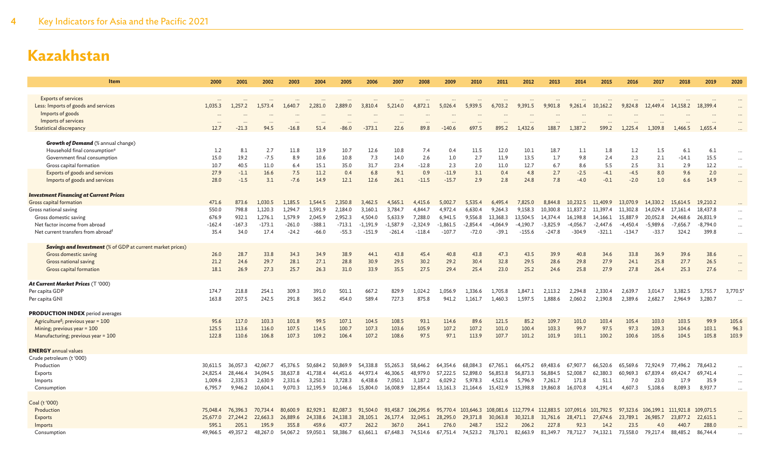| Item                                                                                       | 2000              | 2001              | 2002              | 2003              | 2004              | 2005              | 2006              | 2007              | 2008              | 2009              | 2010        | 2011                         | 2012         | 2013                       | 2014             | 2015                      | 2016       | 2017            | 2018              | 2019              | 2020                  |
|--------------------------------------------------------------------------------------------|-------------------|-------------------|-------------------|-------------------|-------------------|-------------------|-------------------|-------------------|-------------------|-------------------|-------------|------------------------------|--------------|----------------------------|------------------|---------------------------|------------|-----------------|-------------------|-------------------|-----------------------|
| <b>Exports of services</b>                                                                 |                   |                   |                   |                   |                   |                   |                   |                   |                   |                   |             |                              |              |                            |                  |                           |            |                 |                   |                   |                       |
| Less: Imports of goods and services                                                        | 1,035.3           | 1,257.2           | 1,573.4           | 1.640.7           | 2,281.0           | 2,889.0           | 3,810.4           | 5,214.0           | 4,872.1           | 5,026.4           | 5,939.5     | 6,703.2                      | 9,391.5      | 9,901.8                    | 9,261.4          | 10,162.2                  | 9,824.8    | 12,449.4        | 14,158.2          | 18,399.4          | $\cdots$              |
| Imports of goods                                                                           |                   |                   |                   |                   |                   |                   |                   |                   |                   |                   |             |                              |              |                            |                  |                           |            |                 |                   |                   | $\cdots$              |
| Imports of services                                                                        |                   |                   |                   |                   |                   |                   |                   |                   |                   |                   |             |                              |              |                            |                  |                           |            |                 |                   |                   | $\cdots$              |
| <b>Statistical discrepancy</b>                                                             | 12.7              | $-21.3$           | 94.5              | $-16.8$           | 51.4              | $-86.0$           | $-373.1$          | 22.6              | 89.8              | $-140.6$          | 697.5       | 895.2                        | 1,432.6      | 188.7                      | 1,387.2          | 599.2                     | 1.225.4    | 1,309.8         | 1,466.5           | 1,655.4           |                       |
|                                                                                            |                   |                   |                   |                   |                   |                   |                   |                   |                   |                   |             |                              |              |                            |                  |                           |            |                 |                   |                   |                       |
| <b>Growth of Demand</b> (% annual change)                                                  |                   |                   |                   |                   |                   |                   |                   |                   |                   |                   |             |                              |              |                            |                  |                           |            |                 |                   |                   |                       |
| Household final consumption <sup>e</sup><br>Government final consumption                   | 1.2<br>15.0       | 8.1<br>19.2       | 2.7<br>$-7.5$     | 11.8<br>8.9       | 13.9<br>10.6      | 10.7<br>10.8      | 12.6<br>7.3       | 10.8<br>14.0      | 7.4<br>2.6        | 0.4<br>1.0        | 11.5<br>2.7 | 12.0<br>11.9                 | 10.1<br>13.5 | 18.7<br>1.7                | 1.1<br>9.8       | 1.8<br>2.4                | 1.2<br>2.3 | 1.5<br>2.1      | 6.1<br>$-14.1$    | 6.1<br>15.5       | $\ddots$              |
| Gross capital formation                                                                    | 10.7              | 40.5              | 11.0              | 6.4               | 15.1              | 35.0              | 31.7              | 23.4              | $-12.8$           | 2.3               | 2.0         | 11.0                         | 12.7         | 6.7                        | 8.6              | 5.5                       | 2.5        | 3.1             | 2.9               | 12.2              |                       |
| Exports of goods and services                                                              | 27.9              | $-1.1$            | 16.6              | 7.5               | 11.2              | 0.4               | 6.8               | 9.1               | 0.9               | $-11.9$           | 3.1         | 0.4                          | 4.8          | 2.7                        | $-2.5$           | $-4.1$                    | $-4.5$     | 8.0             | 9.6               | 2.0               | $\cdots$              |
| Imports of goods and services                                                              | 28.0              | $-1.5$            | 3.1               | $-7.6$            | 14.9              | 12.1              | 12.6              | 26.1              | $-11.5$           | $-15.7$           | 2.9         | 2.8                          | 24.8         | 7.8                        | $-4.0$           | $-0.1$                    | $-2.0$     | 1.0             | 6.6               | 14.9              | $\cdots$<br>$\ddotsc$ |
|                                                                                            |                   |                   |                   |                   |                   |                   |                   |                   |                   |                   |             |                              |              |                            |                  |                           |            |                 |                   |                   |                       |
| <b>Investment Financing at Current Prices</b>                                              |                   |                   |                   |                   |                   |                   |                   |                   |                   |                   |             |                              |              |                            |                  |                           |            |                 |                   |                   |                       |
| Gross capital formation                                                                    | 471.6             | 873.6             | 1.030.5           | 1,185.5           | 1.544.5           | 2.350.8           | 3,462.5           | 4.565.1           | 4.415.6           | 5,002.7           | 5.535.4     | 6.495.4                      | 7,825.0      | 8,844.8                    | 10.232.5         | 11,409.9                  | 13,070.9   | 14.330.2        | 15.614.5          | 19,210.2          |                       |
| Gross national saving                                                                      | 550.0             | 798.8             | 1,120.3           | 1,294.7           | 1,591.9           | 2.184.0           | 3,160.1           | 3,784.7           | 4,844.7           | 4.972.4           | 6,630.4     | 9,264.3                      | 9,158.3      | 10,300.8                   | 11,837.2         | 11.397.4                  | 11,302.8   | 14,029.4        | 17,161.4          | 18,437.8          | $\cdots$              |
| Gross domestic saving                                                                      | 676.9             | 932.1             | 1,276.1           | 1,579.9           | 2,045.9           | 2,952.3           | 4,504.0           | 5,633.9           | 7,288.0           | 6.941.5           | 9,556.8     | 13,368.3                     | 13.504.5     | 14,374.4                   | 16,198.8         | 14,166.1                  | 15,887.9   | 20,052.8        | 24,468.6          | 26,831.9          | $\cdots$              |
| Net factor income from abroad                                                              | $-162.4$          | $-167.3$          | $-173.1$          | $-261.0$          | $-388.1$          | $-713.1$          | $-1,191.9$        | $-1,587.9$        | $-2,324.9$        | $-1,861.5$        | $-2,854.4$  | $-4,064.9$                   | $-4.190.7$   | $-3,825.9$                 | $-4,056.7$       | $-2,447.6$                | $-4,450.4$ | $-5,989.6$      | $-7,656.7$        | $-8,794.0$        | $\cdots$              |
| Net current transfers from abroad <sup>f</sup>                                             | 35.4              | 34.0              | 17.4              | $-24.2$           | $-66.0$           | $-55.3$           | $-151.9$          | $-261.4$          | $-118.4$          | $-107.7$          | $-72.0$     | $-39.1$                      | $-155.6$     | $-247.8$                   | $-304.9$         | $-321.1$                  | $-134.7$   | $-33.7$         | 324.2             | 399.8             | $\ddots$              |
|                                                                                            |                   |                   |                   |                   |                   |                   |                   |                   |                   |                   |             |                              |              |                            |                  |                           |            |                 |                   |                   |                       |
| <b>Savings and Investment</b> (% of GDP at current market prices)<br>Gross domestic saving | 26.0              | 28.7              | 33.8              | 34.3              | 34.9              | 38.9              | 44.1              | 43.8              | 45.4              | 40.8              | 43.8        | 47.3                         | 43.5         | 39.9                       | 40.8             | 34.6                      | 33.8       | 36.9            | 39.6              | 38.6              |                       |
| Gross national saving                                                                      | 21.2              | 24.6              | 29.7              | 28.1              | 27.1              | 28.8              | 30.9              | 29.5              | 30.2              | 29.2              | 30.4        | 32.8                         | 29.5         | 28.6                       | 29.8             | 27.9                      | 24.1       | 25.8            | 27.7              | 26.5              | $\ldots$              |
| Gross capital formation                                                                    | 18.1              | 26.9              | 27.3              | 25.7              | 26.3              | 31.0              | 33.9              | 35.5              | 27.5              | 29.4              | 25.4        | 23.0                         | 25.2         | 24.6                       | 25.8             | 27.9                      | 27.8       | 26.4            | 25.3              | 27.6              | $\ddots$<br>$\ddots$  |
|                                                                                            |                   |                   |                   |                   |                   |                   |                   |                   |                   |                   |             |                              |              |                            |                  |                           |            |                 |                   |                   |                       |
| At Current Market Prices (T '000)                                                          |                   |                   |                   |                   |                   |                   |                   |                   |                   |                   |             |                              |              |                            |                  |                           |            |                 |                   |                   |                       |
| Per capita GDP                                                                             | 174.7             | 218.8             | 254.1             | 309.3             | 391.0             | 501.1             | 667.2             | 829.9             | 1.024.2           | 1.056.9           | 1,336.6     | 1,705.8                      | 1.847.1      | 2,113.2                    | 2.294.8          | 2,330.4                   | 2,639.7    | 3,014.7         | 3,382.5           | 3,755.7           | 3,770.5               |
| Per capita GNI                                                                             | 163.8             | 207.5             | 242.5             | 291.8             | 365.2             | 454.0             | 589.4             | 727.3             | 875.8             | 941.2             | 1,161.7     | 1,460.3                      | 1.597.5      | 1,888.6                    | 2,060.2          | 2.190.8                   | 2.389.6    | 2,682.7         | 2,964.9           | 3,280.7           | $\ddot{\phantom{a}}$  |
|                                                                                            |                   |                   |                   |                   |                   |                   |                   |                   |                   |                   |             |                              |              |                            |                  |                           |            |                 |                   |                   |                       |
| <b>PRODUCTION INDEX</b> period averages<br>Agriculture <sup>g</sup> ; previous year = 100  | 95.6              | 117.0             | 103.3             | 101.8             | 99.5              | 107.1             | 104.5             | 108.5             | 93.1              | 114.6             | 89.6        | 121.5                        | 85.2         | 109.7                      | 101.0            | 103.4                     | 105.4      | 103.0           | 103.5             | 99.9              | 105.6                 |
| Mining; previous year = 100                                                                | 125.5             | 113.6             | 116.0             | 107.5             | 114.5             | 100.7             | 107.3             | 103.6             | 105.9             | 107.2             | 107.2       | 101.0                        | 100.4        | 103.3                      | 99.7             | 97.5                      | 97.3       | 109.3           | 104.6             | 103.1             | 96.3                  |
| Manufacturing; previous year = 100                                                         | 122.8             | 110.6             | 106.8             | 107.3             | 109.2             | 106.4             | 107.2             | 108.6             | 97.5              | 97.1              | 113.9       | 107.7                        | 101.2        | 101.9                      | 101.1            | 100.2                     | 100.6      | 105.6           | 104.5             | 105.8             | 103.9                 |
|                                                                                            |                   |                   |                   |                   |                   |                   |                   |                   |                   |                   |             |                              |              |                            |                  |                           |            |                 |                   |                   |                       |
| <b>ENERGY</b> annual values                                                                |                   |                   |                   |                   |                   |                   |                   |                   |                   |                   |             |                              |              |                            |                  |                           |            |                 |                   |                   |                       |
| Crude petroleum (t '000)                                                                   |                   |                   |                   |                   |                   |                   |                   |                   |                   |                   |             |                              |              |                            |                  |                           |            |                 |                   |                   |                       |
| Production                                                                                 | 30.611.5          | 36.057.3          | 42,067.7          | 45,376.5          | 50,684.2          | 50,869.9          | 54,338.8          | 55,265.3          | 58,646.2          | 64,354.6          | 68,084.3    | 67,765.1                     | 66,475.2     | 69,483.6                   | 67,907.7         | 66,520.6                  | 65,569.6   | 72,924.9        | 77,496.2          | 78,643.2          |                       |
| Exports                                                                                    | 24,825.4          | 28,446.4          | 34,094.5          | 38,637.8          | 41,738.4          | 44,451.6          | 44,973.4          | 46,306.5          | 48,979.0          | 57,222.5          | 52,898.0    | 56,853.8                     | 56,873.3     | 56,884.5                   | 52,008.7         | 62,380.3                  | 60,969.3   | 67,839.4        | 69,424.7          | 69,741.4          | $\cdots$              |
| Imports                                                                                    | 1.009.6           | 2,335.3           | 2.630.9           | 2.331.6           | 3,250.1           | 3,728.3           | 6,438.6           | 7.050.1           | 3,187.2           | 6,029.2           | 5,978.3     | 4,521.6                      | 5,796.9      | 7,261.7                    | 171.8            | 51.1                      | 7.0        | 23.0            | 17.9              | 35.9              | $\cdots$              |
| Consumption                                                                                | 6,795.7           | 9,946.2           | 10,604.1          | 9,070.3           | 12,195.9          | 10,146.6          | 15,804.0          | 16,008.9          | 12,854.4          | 13,161.3          | 21,164.6    | 15,432.9                     | 15,398.8     | 19,860.8                   | 16,070.8         | 4.191.4                   | 4.607.3    | 5,108.6         | 8,089.3           | 8,937.7           | $\cdots$              |
|                                                                                            |                   |                   |                   |                   |                   |                   |                   |                   |                   |                   |             |                              |              |                            |                  |                           |            |                 |                   |                   |                       |
| Coal (t '000)                                                                              |                   |                   |                   |                   |                   |                   |                   |                   |                   |                   |             |                              |              |                            |                  |                           |            |                 |                   |                   |                       |
| Production                                                                                 | 75,048.4          | 76,396.3          | 70,734.4          | 80,600.9          | 82,929.1          | 82,087.3          | 91,504.0          | 93,458.7          | 106,295.6         |                   |             | 95,770.4 103,646.3 108,081.6 | 112,779.4    | 112,883.5                  | 107,091.6        | 101,792.5                 | 97,323.6   | 106,199.1       | 111,921.8         | 109,071.5         |                       |
| Exports                                                                                    | 25,677.0          | 27,244.2          | 22,663.3<br>195.9 | 26,889.6          | 24,338.6          | 24,138.3          | 28,105.1          | 26,177.4          | 32,045.1          | 28,295.0<br>276.0 | 29,371.8    | 30,063.8                     | 30,321.8     | 31,761.6                   |                  | 28,471.1 27,674.6         | 23,789.1   | 26,985.7        | 23,877.2<br>440.7 | 22,615.1          |                       |
| Imports                                                                                    | 595.1<br>49,966.5 | 205.1<br>49,357.2 | 48,267.0          | 355.8<br>54,067.2 | 459.6<br>59,050.1 | 437.7<br>58,386.7 | 262.2<br>63,661.1 | 367.0<br>67,648.3 | 264.1<br>74,514.6 | 67,751.4          | 248.7       | 152.2<br>74,523.2 78,170.1   | 206.2        | 227.8<br>82,663.9 81,349.7 | 92.3<br>78,712.7 | 14.2<br>74,132.1 73,558.0 | 23.5       | 4.0<br>79,217.4 | 88,485.2          | 288.0<br>86,744.4 |                       |
| Consumption                                                                                |                   |                   |                   |                   |                   |                   |                   |                   |                   |                   |             |                              |              |                            |                  |                           |            |                 |                   |                   |                       |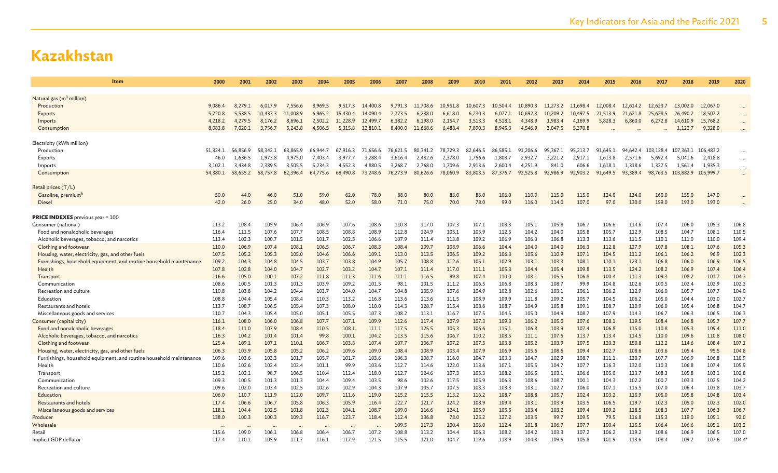| Item                                                                                                                     | 2000           | 2001           | 2002           | 2003           | 2004           | 2005                          | 2006           | 2007           | 2008           | 2009           | 2010           | 2011           | 2012           | 2013           | 2014           | 2015           | 2016           | 2017           | 2018               | 2019           | 2020           |
|--------------------------------------------------------------------------------------------------------------------------|----------------|----------------|----------------|----------------|----------------|-------------------------------|----------------|----------------|----------------|----------------|----------------|----------------|----------------|----------------|----------------|----------------|----------------|----------------|--------------------|----------------|----------------|
|                                                                                                                          |                |                |                |                |                |                               |                |                |                |                |                |                |                |                |                |                |                |                |                    |                |                |
| Natural gas (m <sup>3</sup> million)                                                                                     |                |                |                |                |                |                               |                |                |                |                |                |                |                |                |                |                |                |                |                    |                |                |
| Production                                                                                                               | 9,086.4        | 8,279.1        | 6,017.9        | 7,556.6        | 8,969.5        | 9,517.3                       | 14,400.8       | 9,791.3        | 11,708.6       | 10,951.8       | 10,607.3       | 10,504.4       | 10,890.3       | 11,273.2       | 11,698.4       | 12,008.4       | 12,614.2       | 12,623.7       | 13,002.0           | 12,067.0       | $\cdots$       |
| Exports                                                                                                                  | 5,220.8        | 5,538.5        | 10,437.3       | 11,008.9       | 6,965.2        | 15,430.4                      | 14,090.4       | 7,773.5        | 6,238.0        | 6,618.0        | 6,230.3        | 6,077.1        | 10,692.3       | 10,209.2       | 10,497.5       | 21,513.9       | 21,621.8       | 25,628.5       | 26,490.2           | 18,507.2       | $\cdots$       |
| Imports                                                                                                                  | 4,218.2        | 4,279.5        | 8,176.2        | 8,696.1        | 2,502.2        | 11,228.9                      | 12,499.7       | 6,382.2        | 6,198.0        | 2,154.7        | 3,513.3        | 4,518.1        | 4,348.9        | 1,983.4        | 4,169.9        | 5,828.3        | 6,860.0        | 6,272.8        | 14,610.9           | 15,768.2       |                |
| Consumptior                                                                                                              | 8,083.8        | 7,020.1        | 3,756.7        | 5,243.8        | 4,506.5        | 5,315.8                       | 12,810.1       | 8,400.0        | 11,668.6       | 6,488.4        | 7,890.3        | 8,945.3        | 4,546.9        | 3,047.5        | 5,370.8        | $\ddots$       |                |                | 1,122.7            | 9,328.0        |                |
|                                                                                                                          |                |                |                |                |                |                               |                |                |                |                |                |                |                |                |                |                |                |                |                    |                |                |
| Electricity (kWh million)                                                                                                |                |                |                |                |                |                               |                |                |                |                |                |                |                |                |                |                |                |                |                    |                |                |
| Production                                                                                                               | 51.324.1       | 56,856.9       | 58.342.1       | 63.865.9       | 66,944.7       | 67,916.3                      | 71.656.6       | 76.621.5       | 80.341.2       | 78.729.3       | 82.646.5       | 86.585.1       | 91.206.6       | 95,367.1       | 95.213.7       | 91.645.1       | 94.642.4       | 103.128.4      | 107.363.1          | 106,483.2      | $\cdots$       |
| Exports                                                                                                                  | 46.0           | 1,636.5        | 1,973.8        | 4,975.0        | 7,403.4        | 3,977.7                       | 3,288.4        | 3,616.4        | 2,482.6        | 2,378.0        | 1,756.6        | 1,808.7        | 2,932.7        | 3,221.2        | 2,917.1        | 1,613.8        | 2,571.6        | 5,692.4        | 5,041.6            | 2,418.8        | $\cdots$       |
| Imports                                                                                                                  | 3.102.1        | 3.434.8        | 2,389.5        | 3,505.5        | 5,234.3        | 4.552.3                       | 4.880.5        | 3,268.7        | 2.768.0        | 1.709.6        | 2.913.6        | 2.600.4        | 4.251.9        | 841.0          | 606.6          | 1.618.1        | 1.318.6        | 1.327.5        | 1.561.4            | 1,935.3        | $\cdots$       |
| Consumption                                                                                                              | 54,380.1       | 58,655.2       | 58,757.8       | 62,396.4       | 64,775.6       | 68,490.8                      | 73,248.6       | 76,273.9       | 80,626.6       | 78,060.9       | 83,803.5       | 87,376.7       | 92,525.8       | 92,986.9       | 92,903.2       | 91,649.5       | 93,389.4       |                | 98,763.5 103,882.9 | 105,999.7      | $\cdots$       |
|                                                                                                                          |                |                |                |                |                |                               |                |                |                |                |                |                |                |                |                |                |                |                |                    |                |                |
| Retail prices (T/L)                                                                                                      |                |                |                |                |                |                               |                |                |                |                |                |                |                |                |                |                |                |                |                    |                |                |
| Gasoline, premium <sup>h</sup>                                                                                           | 50.0           | 44.0           | 46.0           | 51.0           | 59.0           | 62.0                          | 78.0           | 88.0           | 80.0           | 83.0           | 86.0           | 106.0          | 110.0          | 115.0          | 115.0          | 124.0          | 134.0          | 160.0          | 155.0              | 147.0          |                |
| <b>Diesel</b>                                                                                                            | 42.0           | 26.0           | 25.0           | 34.0           | 48.0           | 52.0                          | 58.0           | 71.0           | 75.0           | 70.0           | 78.0           | 99.0           | 116.0          | 114.0          | 107.0          | 97.0           | 130.0          | 159.0          | 193.0              | 193.0          |                |
|                                                                                                                          |                |                |                |                |                |                               |                |                |                |                |                |                |                |                |                |                |                |                |                    |                |                |
| <b>PRICE INDEXES</b> previous year = 100                                                                                 |                |                |                |                |                |                               |                |                |                |                |                |                |                |                |                |                |                |                |                    |                |                |
| Consumer (national)                                                                                                      | 113.2          | 108.4          | 105.9          | 106.4          | 106.9          | 107.6                         | 108.6          | 110.8          | 117.0          | 107.3          | 107.1          | 108.3          | 105.1          | 105.8          | 106.7          | 106.6          | 114.6          | 107.4          | 106.0              | 105.3          | 106.8          |
| Food and nonalcoholic beverages                                                                                          | 116.4          | 111.5          | 107.6          | 107.7          | 108.5          | 108.8                         | 108.9          | 112.8          | 124.9          | 105.1          | 105.9          | 112.5          | 104.2          | 104.0          | 105.8          | 105.7          | 112.9          | 108.5          | 104.7              | 108.1          | 110.5          |
| Alcoholic beverages, tobacco, and narcotics                                                                              | 113.4          | 102.3          | 100.7          | 101.5          | 101.7          | 102.5                         | 106.6          | 107.9          | 111.4          | 113.8          | 109.2          | 106.9          | 106.3          | 106.8          | 113.3          | 113.6          | 111.5          | 110.1          | 111.0              | 110.0          | 109.4          |
| Clothing and footwear                                                                                                    | 110.0          | 106.9          | 107.4          | 108.1          | 106.5          | 106.7                         | 108.3          | 108.4          | 109.7          | 108.9          | 106.6          | 104.4          | 104.0          | 104.0          | 106.3          | 112.8          | 127.9          | 107.8          | 108.1              | 107.6          | 105.3          |
| Housing, water, electricity, gas, and other fuels                                                                        | 107.5          | 105.2          | 105.3          | 105.0          | 104.6          | 106.6                         | 109.1          | 113.0          | 113.5          | 106.5          | 109.2          | 106.3          | 105.6          | 110.9          | 107.1          | 104.5          | 111.2          | 106.1          | 106.2              | 96.9           | 102.3          |
| Furnishings, household equipment, and routine household maintenance                                                      | 109.2          | 104.3          | 104.8          | 104.5          | 103.7          | 103.8                         | 104.9          | 105.7          | 108.8          | 112.6          | 105.1          | 102.9          | 103.1          | 103.3          | 108.1          | 110.1          | 123.1          | 106.8          | 106.0              | 106.9          | 106.5          |
| Health                                                                                                                   | 107.8          | 102.8          | 104.0          | 104.7          | 102.7          | 103.2                         | 104.7          | 107.1          | 111.4          | 117.0          | 111.1          | 105.3          | 104.4          | 105.4          | 109.8          | 113.5          | 124.2          | 108.2          | 106.9              | 107.4          | 106.4          |
| Transport                                                                                                                | 116.6          | 105.0          | 100.1          | 107.2          | 111.8          | 111.3                         | 111.6          | 111.1          | 116.5          | 99.8           | 107.4          | 110.0          | 108.1          | 105.5          | 106.8          | 100.4          | 111.3          | 109.3          | 108.2              | 101.7          | 104.3          |
| Communication                                                                                                            | 108.6          | 100.5          | 101.3          | 101.3          | 103.9          | 109.2                         | 101.5          | 98.1           | 101.5          | 111.2          | 106.5          | 106.8          | 108.3          | 108.7          | 99.9           | 104.8          | 102.6          | 100.5          | 102.4              | 102.9          | 102.3          |
| Recreation and culture                                                                                                   | 110.8          | 103.8          | 104.2          | 104.4          | 103.7          | 104.0                         | 104.7          | 104.8          | 105.9          | 107.6          | 104.9          | 102.8          | 102.6          | 103.1          | 106.1          | 106.2          | 112.9          | 106.0          | 105.7              | 107.7          | 104.0          |
| Education                                                                                                                | 108.8          | 104.4          | 105.4          | 108.4          | 110.3          | 113.2                         | 116.8          | 113.6          | 113.6          | 111.5          | 108.9          | 109.9          | 111.8          | 109.2          | 105.7          | 104.5          | 106.2          | 105.0          | 104.4              | 103.0          | 102.7<br>104.7 |
| Restaurants and hotels                                                                                                   | 113.7          | 108.7          | 106.5          | 105.4          | 107.3          | 108.0                         | 110.0          | 114.3          | 128.7          | 115.4          | 108.6          | 108.7<br>104.5 | 104.9          | 105.8          | 109.1          | 108.7          | 110.9          | 106.0          | 105.4              | 106.8          |                |
| Miscellaneous goods and services                                                                                         | 110.7<br>116.1 | 104.3<br>108.0 | 105.4<br>106.0 | 105.0<br>106.8 | 105.1<br>107.7 | 105.5<br>107.1                | 107.3<br>109.9 | 108.2<br>112.6 | 113.1<br>117.4 | 116.7<br>107.9 | 107.5<br>107.3 | 109.3          | 105.0<br>106.2 | 104.9<br>105.0 | 108.7<br>107.6 | 107.9<br>108.1 | 114.3<br>119.5 | 106.7<br>108.4 | 106.3<br>106.8     | 106.5<br>105.7 | 106.3<br>107.7 |
| Consumer (capital city)                                                                                                  | 118.4          | 111.0          | 107.9          | 108.4          | 110.5          | 108.1                         | 111.1          | 117.5          | 125.5          | 105.3          | 106.6          | 115.1          | 106.8          | 103.9          | 107.4          | 106.8          | 115.0          | 110.8          | 105.3              | 109.4          | 111.0          |
| Food and nonalcoholic beverages                                                                                          | 116.3          | 104.2          | 101.4          | 101.4          | 99.8           | 100.1                         | 104.2          | 113.5          | 115.6          | 106.7          | 110.2          | 108.5          | 111.1          | 107.5          | 113.7          | 113.4          | 114.5          | 110.0          | 109.6              | 110.8          | 108.0          |
| Alcoholic beverages, tobacco, and narcotics<br>Clothing and footwear                                                     | 125.4          | 109.1          | 107.1          | 110.1          | 106.7          | 103.8                         | 107.4          | 107.7          | 106.7          | 107.2          | 107.5          | 103.8          | 105.2          | 103.9          | 107.5          | 120.3          | 150.8          | 112.2          | 114.6              | 108.4          | 107.1          |
|                                                                                                                          | 106.3          | 103.9          | 105.8          | 105.2          | 106.2          | 109.6                         | 109.0          | 108.4          | 108.9          | 103.4          | 107.9          | 106.9          | 105.6          | 108.6          | 109.4          | 102.7          | 108.6          | 103.6          | 105.4              | 95.5           | 104.8          |
| Housing, water, electricity, gas, and other fuels<br>Furnishings, household equipment, and routine household maintenance | 109.6          | 103.6          | 103.3          | 101.7          | 105.7          | 101.7                         | 103.6          | 106.3          | 108.7          | 116.0          | 104.7          | 103.3          | 104.7          | 102.9          | 108.7          | 111.1          | 130.7          | 107.7          | 106.9              | 106.8          | 110.9          |
| Health                                                                                                                   | 110.6          | 102.6          | 102.4          | 102.4          | 101.1          | 99.9                          | 103.6          | 112.7          | 114.6          | 122.0          | 113.6          | 107.1          | 105.5          | 104.7          | 107.7          | 116.3          | 132.0          | 110.3          | 106.8              | 107.4          | 105.9          |
| Transport                                                                                                                | 115.2          | 102.1          | 98.7           | 106.5          | 110.4          | 112.4                         | 118.0          | 112.7          | 124.6          | 107.3          | 105.3          | 108.2          | 106.5          | 103.1          | 106.6          | 105.0          | 113.7          | 108.3          | 105.8              | 103.1          | 102.8          |
| Communication                                                                                                            | 109.3          | 100.5          | 101.3          | 101.3          | 104.4          | 109.4                         | 103.5          | 98.6           | 102.6          | 117.5          | 105.9          | 106.3          | 108.6          | 108.7          | 100.1          | 104.3          | 102.2          | 100.7          | 103.3              | 102.5          | 104.2          |
| Recreation and culture                                                                                                   | 109.6          | 102.0          | 103.4          | 102.5          | 102.6          | 102.9                         | 104.3          | 107.9          | 105.7          | 107.5          | 103.3          | 103.3          | 103.1          | 102.7          | 106.0          | 107.1          | 115.5          | 107.0          | 106.4              | 103.8          | 103.7          |
| Education                                                                                                                | 106.0          | 110.7          | 111.9          | 112.0          | 109.7          | 111.6                         | 119.0          | 115.2          | 115.5          | 113.2          | 116.2          | 108.7          | 108.8          | 105.7          | 102.4          | 103.2          | 115.9          | 105.0          | 105.8              | 104.8          | 103.4          |
| Restaurants and hotels                                                                                                   | 117.4          | 106.6          | 106.7          | 105.8          | 106.3          | 105.9                         | 116.4          | 122.7          | 121.7          | 124.2          | 108.9          | 109.4          | 103.1          | 103.9          | 103.5          | 106.5          | 119.7          | 102.3          | 105.0              | 102.3          | 102.0          |
| Miscellaneous goods and services                                                                                         | 118.1          | 104.4          | 102.5          | 101.8          | 102.3          | 104.1                         | 108.7          | 109.0          | 116.6          | 124.1          | 105.9          | 105.5          | 103.4          | 103.2          | 109.4          | 109.2          | 118.5          | 108.3          | 107.7              | 106.3          | 106.7          |
| Producer                                                                                                                 | 138.0          | 100.3          | 100.3          | 109.3          | 116.7          | 123.7                         | 118.4          | 112.4          | 136.8          | 78.0           | 125.2          | 127.2          | 103.5          | 99.7           | 109.5          | 79.5           | 116.8          | 115.3          | 119.0              | 105.1          | 92.0           |
| Wholesale                                                                                                                |                |                |                |                |                |                               |                | 109.5          | 117.3          | 100.4          | 106.0          | 112.4          | 101.8          | 106.7          | 107.7          | 100.4          | 115.5          | 106.4          | 106.6              | 105.1          | 103.2          |
| Retail                                                                                                                   | 115.6          | 109.0          | 106.1          | 106.8          | 106.4          | $\ddot{\phantom{a}}$<br>106.7 | 107.2          | 108.8          | 113.2          | 104.4          | 106.3          | 108.2          | 104.2          | 103.3          | 107.2          | 106.2          | 119.2          | 108.6          | 106.9              | 106.5          | 107.0          |
| Implicit GDP deflator                                                                                                    | 117.4          | 110.1          | 105.9          | 111.7          | 116.1          | 117.9                         | 121.5          | 115.5          | 121.0          | 104.7          | 119.6          | 118.9          | 104.8          | 109.5          | 105.8          | 101.9          | 113.6          | 108.4          | 109.2              | 107.6          | 104.4          |
|                                                                                                                          |                |                |                |                |                |                               |                |                |                |                |                |                |                |                |                |                |                |                |                    |                |                |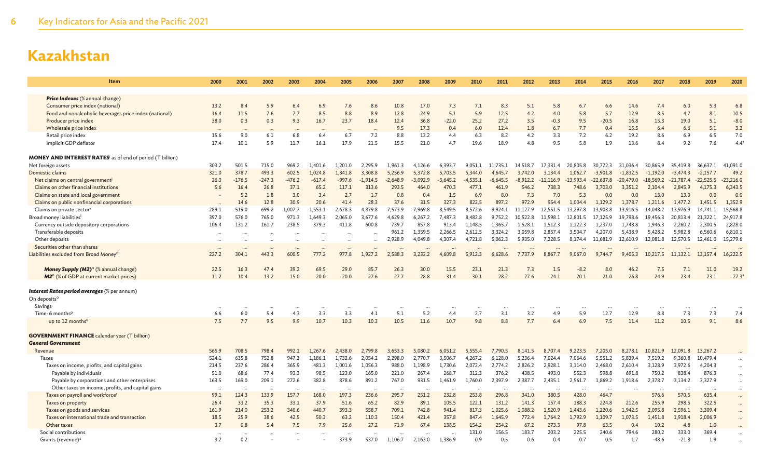| Item                                                                               | 2000           | 2001           | 2002           | 2003           | 2004               | 2005               | 2006                 | 2007               | 2008               | 2009               | 2010               | 2011               | 2012               | 2013               | 2014               | 2015               | 2016               | 2017                | 2018                | 2019                 | 2020                 |
|------------------------------------------------------------------------------------|----------------|----------------|----------------|----------------|--------------------|--------------------|----------------------|--------------------|--------------------|--------------------|--------------------|--------------------|--------------------|--------------------|--------------------|--------------------|--------------------|---------------------|---------------------|----------------------|----------------------|
|                                                                                    |                |                |                |                |                    |                    |                      |                    |                    |                    |                    |                    |                    |                    |                    |                    |                    |                     |                     |                      |                      |
| <b>Price Indexes</b> (% annual change)                                             |                |                |                |                |                    |                    |                      |                    |                    |                    |                    |                    |                    |                    |                    |                    |                    |                     |                     |                      |                      |
| Consumer price index (national)                                                    | 13.2           | 8.4            | 5.9            | 6.4            | 6.9                | 7.6                | 8.6                  | 10.8               | 17.0               | 7.3                | 7.1                | 8.3                | 5.1                | 5.8                | 6.7                | 6.6                | 14.6               | 7.4                 | 6.0                 | 5.3                  | 6.8                  |
| Food and nonalcoholic beverages price index (national)                             | 16.4           | 11.5           | 7.6            | 7.7            | 8.5                | 8.8                | 8.9                  | 12.8               | 24.9               | 5.1                | 5.9                | 12.5               | 4.2                | 4.0                | 5.8                | 5.7                | 12.9               | 8.5                 | 4.7                 | 8.1                  | 10.5                 |
| Producer price index                                                               | 38.0           | 0.3            | 0.3            | 9.3            | 16.7               | 23.7               | 18.4                 | 12.4               | 36.8               | $-22.0$            | 25.2               | 27.2               | 3.5                | $-0.3$             | 9.5                | $-20.5$            | 16.8               | 15.3                | 19.0                | 5.1                  | $-8.0$               |
| Wholesale price index<br>Retail price index                                        |                |                |                |                |                    |                    | 7.2                  | 9.5<br>8.8         | 17.3<br>13.2       | 0.4                | 6.0                | 12.4<br>8.2        | 1.8<br>4.2         | 6.7<br>3.3         | 7.7<br>7.2         | 0.4                | 15.5<br>19.2       | 6.4                 | 6.6<br>6.9          | 5.1<br>6.5           | 3.2<br>7.0           |
| Implicit GDP deflator                                                              | 15.6<br>17.4   | 9.0<br>10.1    | 6.1<br>5.9     | 6.8<br>11.7    | 6.4<br>16.1        | 6.7<br>17.9        | 21.5                 | 15.5               | 21.0               | 4.4<br>4.7         | 6.3<br>19.6        | 18.9               | 4.8                | 9.5                | 5.8                | 6.2<br>1.9         | 13.6               | 8.6<br>8.4          | 9.2                 | 7.6                  | $4.4*$               |
|                                                                                    |                |                |                |                |                    |                    |                      |                    |                    |                    |                    |                    |                    |                    |                    |                    |                    |                     |                     |                      |                      |
| <b>MONEY AND INTEREST RATES</b> <sup>i</sup> as of end of period (T billion)       |                |                |                |                |                    |                    |                      |                    |                    |                    |                    |                    |                    |                    |                    |                    |                    |                     |                     |                      |                      |
| Net foreign assets                                                                 | 303.2          | 501.5          | 715.0          | 969.2          | 1.401.6            | 1.201.0            | 2.295.9              | 1,961.3            | 4.126.6            | 6.393.7            | 9,051.1            | 11.735.1           | 14,518.7           | 17.331.4           | 20,805.8           | 30,772.3           | 31,036.4           | 30,865.9            | 35.419.8            | 36,637.1             | 41,091.0             |
| Domestic claims                                                                    | 321.0          | 378.7          | 493.3          | 602.5          | 1.024.8            | 1.841.8            | 3,308.8              | 5,256.9            | 5.372.8            | 5,703.5            | 5,344.0            | 4,645.7            | 3.742.0            | 3.134.4            | 1.062.7            | $-3.901.8$         | $-1.832.5$         | $-1.192.0$          | $-3,474.3$          | $-2,157.7$           | 49.2                 |
| Net claims on central government                                                   | 26.3           | $-176.5$       | $-247.3$       | $-476.2$       | $-617.4$           | $-997.6$           | $-1,914.5$           | $-2,648.9$         | $-3,092.9$         | $-3.645.2$         | $-4.535.1$         | $-6.645.5$         | $-8,912.2$         | $-11,116.9$        | $-13.993.4$        | $-22,637.8$        | $-20,479.0$        | $-18,569.2$         | $-21,787.4$         | $-22,525.5$          | $-23,216.0$          |
| Claims on other financial institutions                                             | 5.6            | 16.4           | 26.8           | 37.1           | 65.2               | 117.1              | 313.6                | 293.5              | 464.0              | 470.3              | 477.1              | 461.9              | 546.2              | 738.3              | 748.6              | 3,703.0            | 3,351.2            | 2,104.4             | 2.845.9             | 4,175.3              | 6,343.5              |
| Claims on state and local government                                               |                | 5.2            | 1.8            | 3.0            | 3.4                | 2.7                | 1.7                  | 0.8                | 0.4                | 1.5                | 6.9                | 8.0                | 7.3                | 7.0                | 5.3                | 0.0                | 0.0                | 13.0                | 13.0                | 0.0                  | 0.0                  |
| Claims on public nonfinancial corporations                                         |                | 14.6           | 12.8           | 30.9           | 20.6               | 41.4               | 28.3                 | 37.6               | 31.5               | 327.3              | 822.5              | 897.2              | 972.9              | 954.4              | 1.004.4            | 1.129.2            | 1.378.7            | 1.211.6             | 1.477.2             | 1.451.5              | 1,352.9              |
| Claims on private sector <sup>k</sup>                                              | 289.1          | 519.0          | 699.2          | 1,007.7        | 1,553.1            | 2,678.3            | 4,879.8              | 7,573.9            | 7.969.8            | 8.549.5            | 8.572.6            | 9.924.1            | 11.127.9           | 12.551.5           | 13,297.8           | 13,903.8           | 13,916.5           | 14,048.2            | 13,976.9            | 14.741.1             | 15,568.8             |
| Broad money liabilities                                                            | 397.0          | 576.0          | 765.0          | 971.3          | 1,649.3            | 2,065.0            | 3,677.6              | 4,629.8            | 6,267.2            | 7,487.3            | 8,482.8            | 9,752.2            | 10,522.8           | 11,598.1           | 12,801.5           | 17,125.9           | 19,798.6           | 19,456.3            | 20,813.4            | 21,322.1             | 24,917.8             |
| Currency outside depository corporations                                           | 106.4          | 131.2          | 161.7          | 238.5          | 379.3              | 411.8              | 600.8                | 739.7              | 857.8              | 913.4              | 1.148.5            | 1.365.7            | 1.528.1            | 1.512.3            | 1.122.3            | 1.237.0            | 1.748.8            | 1.946.3             | 2.260.2             | 2.300.5              | 2,828.0              |
| Transferable deposits                                                              | $\ddots$       | $\ddotsc$      | $\cdots$       | $\cdots$       |                    | $\ddotsc$          |                      | 961.2              | 1,359.5            | 2,266.5            | 2,612.5            | 3,324.2            | 3,059.8            | 2,857.4            | 3,504.7            | 4,207.0            | 5,438.9            | 5,428.2             | 5,982.8             | 6,560.6              | 6,810.1              |
| Other deposits                                                                     |                |                |                |                |                    |                    | $\ddot{\phantom{a}}$ | 2,928.9            | 4,049.8            | 4,307.4            | 4,721.8            | 5,062.3            | 5,935.0            | 7,228.5            | 8,174.4            | 11,681.9           | 12,610.9           | 12,081.8            | 12,570.5            | 12,461.0             | 15,279.6             |
| Securities other than shares<br>Liabilities excluded from Broad Money <sup>m</sup> | 227.2          | 304.1          | 443.3          | 600.5          | 777.2              | 977.8              | 1,927.2              | 2,588.3            | 3,232.2            | 4,609.8            | 5,912.3            | 6,628.6            |                    | 8,867.7            | 9,067.0            | 9,744.7            | 9,405.3            | 10,217.5            | 11,132.1            | 13,157.4             | 16,222.5             |
|                                                                                    |                |                |                |                |                    |                    |                      |                    |                    |                    |                    |                    | 7,737.9            |                    |                    |                    |                    |                     |                     |                      |                      |
| <b>Money Supply (M2)</b> <sup>n</sup> (% annual change)                            | 22.5           | 16.3           | 47.4           | 39.2           | 69.5               | 29.0               | 85.7                 | 26.3               | 30.0               | 15.5               | 23.1               | 21.3               | 7.3                | 1.5                | $-8.2$             | 8.0                | 46.2               | 7.5                 | 7.1                 | 11.0                 | 19.2                 |
| <b>M2</b> <sup>n</sup> (% of GDP at current market prices)                         | 11.2           | 10.4           | 13.2           | 15.0           | 20.0               | 20.0               | 27.6                 | 27.7               | 28.8               | 31.4               | 30.1               | 28.2               | 27.6               | 24.1               | 20.1               | 21.0               | 26.8               | 24.9                | 23.4                | 23.1                 | 27.3                 |
|                                                                                    |                |                |                |                |                    |                    |                      |                    |                    |                    |                    |                    |                    |                    |                    |                    |                    |                     |                     |                      |                      |
| Interest Rates period averages (% per annum)                                       |                |                |                |                |                    |                    |                      |                    |                    |                    |                    |                    |                    |                    |                    |                    |                    |                     |                     |                      |                      |
| On deposits <sup>o</sup>                                                           |                |                |                |                |                    |                    |                      |                    |                    |                    |                    |                    |                    |                    |                    |                    |                    |                     |                     |                      |                      |
| Savings                                                                            | $\cdots$       | $\ddotsc$      |                |                |                    |                    |                      |                    |                    |                    |                    |                    | $\cdots$           |                    |                    | $\cdots$           |                    |                     |                     |                      |                      |
| Time: 6 months <sup>p</sup>                                                        | 6.6            | 6.0            | 5.4            | 4.3            | 3.3                | 3.3                | 4.1                  | 5.1                | 5.2                | 4.4                | 2.7                | 3.1                | 3.2                | 4.9                | 5.9                | 12.7               | 12.9               | 8.8                 | 7.3                 | 7.3                  | 7.4                  |
| up to 12 months <sup>q</sup>                                                       | 7.5            | 7.7            | 9.5            | 9.9            | 10.7               | 10.3               | 10.3                 | 10.5               | 11.6               | 10.7               | 9.8                | 8.8                | 7.7                | 6.4                | 6.9                | 7.5                | 11.4               | 11.2                | 10.5                | 9.1                  | 8.6                  |
|                                                                                    |                |                |                |                |                    |                    |                      |                    |                    |                    |                    |                    |                    |                    |                    |                    |                    |                     |                     |                      |                      |
| <b>GOVERNMENT FINANCE</b> calendar year (T billion)                                |                |                |                |                |                    |                    |                      |                    |                    |                    |                    |                    |                    |                    |                    |                    |                    |                     |                     |                      |                      |
| <b>General Government</b>                                                          |                |                |                |                |                    |                    |                      |                    |                    |                    |                    |                    |                    |                    |                    |                    |                    |                     |                     |                      |                      |
| Revenue<br><b>Taxes</b>                                                            | 565.9<br>524.1 | 708.5<br>635.8 | 798.4<br>752.8 | 992.1<br>947.3 | 1.267.6<br>1,186.1 | 2,438.0<br>1,732.6 | 2.799.8<br>2,054.2   | 3.653.3<br>2,298.0 | 5.080.2<br>2,770.7 | 6.051.2<br>3,506.7 | 5.555.4<br>4,267.2 | 7.790.5<br>6,128.0 | 8.141.5<br>5,236.4 | 8,707.4<br>7,024.4 | 9.223.5<br>7,064.6 | 7.205.0<br>5,551.2 | 8,278.1<br>5,839.4 | 10,821.9<br>7,519.2 | 12,091.8<br>9,360.8 | 13.267.2<br>10,479.4 |                      |
| Taxes on income, profits, and capital gains                                        | 214.5          | 237.6          | 286.4          | 365.9          | 481.3              | 1.001.6            | 1.056.3              | 988.0              | 1.198.9            | 1.730.6            | 2,072.4            | 2,774.2            | 2.826.2            | 2,928.1            | 3.114.0            | 2.468.0            | 2,610.4            | 3,128.9             | 3.972.6             | 4.204.3              |                      |
| Payable by individuals                                                             | 51.0           | 68.6           | 77.4           | 93.3           | 98.5               | 123.0              | 165.0                | 221.0              | 267.4              | 268.7              | 312.3              | 376.2              | 438.5              | 493.0              | 552.3              | 598.8              | 691.8              | 750.2               | 838.4               | 876.3                | $\cdots$<br>$\cdots$ |
| Payable by corporations and other enterprises                                      | 163.5          | 169.0          | 209.1          | 272.6          | 382.8              | 878.6              | 891.2                | 767.0              | 931.5              | 1,461.9            | 1,760.0            | 2,397.9            | 2,387.7            | 2,435.1            | 2,561.7            | 1,869.2            | 1,918.6            | 2,378.7             | 3,134.2             | 3,327.9              | $\cdots$             |
| Other taxes on income, profits, and capital gains                                  | $\cdots$       | .              |                | $\cdots$       |                    | $\cdots$           | $\cdots$             | $\cdots$           |                    | $\cdots$           | $\cdots$           | $\ddotsc$          | $\cdots$           | $\cdots$           | $\cdots$           | $\cdots$           |                    | $\cdots$            | $\cdots$            |                      | $\cdots$             |
| Taxes on payroll and workforce <sup>r</sup>                                        | 99.1           | 124.3          | 133.9          | 157.7          | 168.0              | 197.3              | 236.6                | 295.7              | 251.2              | 232.8              | 253.8              | 296.8              | 341.0              | 380.5              | 428.0              | 464.7              |                    | 576.6               | 570.5               | 635.4                | $\cdots$             |
| Taxes on property                                                                  | 26.4           | 33.2           | 35.3           | 33.1           | 37.9               | 51.6               | 65.2                 | 82.9               | 89.1               | 105.5              | 122.1              | 131.2              | 141.3              | 157.4              | 188.3              | 224.8              | 212.6              | 255.9               | 298.5               | 322.5                | $\cdots$             |
| Taxes on goods and services                                                        | 161.9          | 214.0          | 253.2          | 340.6          | 440.7              | 393.3              | 558.7                | 709.1              | 742.8              | 941.4              | 817.3              | 1,025.6            | 1,088.2            | 1,520.9            | 1,443.6            | 1,220.6            | 1,942.5            | 2,095.8             | 2,596.1             | 3,309.4              | $\cdots$             |
| Taxes on international trade and transaction                                       | 18.5           | 25.9           | 38.6           | 42.5           | 50.3               | 63.2               | 110.3                | 150.4              | 421.4              | 357.8              | 847.4              | 1,645.9            | 772.4              | 1,764.2            | 1,792.9            | 1,109.7            | 1,073.5            | 1,451.8             | 1,918.4             | 2,006.9              | $\cdots$             |
| Other taxes                                                                        | 3.7            | 0.8            | 5.4            | 7.5            | 7.9                | 25.6               | 27.2                 | 71.9               | 67.4               | 138.5              | 154.2              | 254.2              | 67.2               | 273.3              | 97.8               | 63.5               | 0.4                | 10.2                | 4.8                 | 1.0                  |                      |
| Social contributions                                                               |                |                |                |                |                    |                    |                      |                    |                    |                    | 131.0              | 156.5              | 183.7              | 203.2              | 225.5              | 240.6              | 794.6              | 280.2               | 333.0               | 369.4                |                      |
| Grants (revenue) <sup>s</sup>                                                      | 3.2            | 0.2            |                |                |                    | 373.9              | 537.0                | 1,106.7            | 2,163.0            | 1.386.9            | 0.9                | 0.5                | 0.6                | 0.4                | 0.7                | 0.5                | 1.7                | $-48.6$             | $-21.8$             | 1.9                  |                      |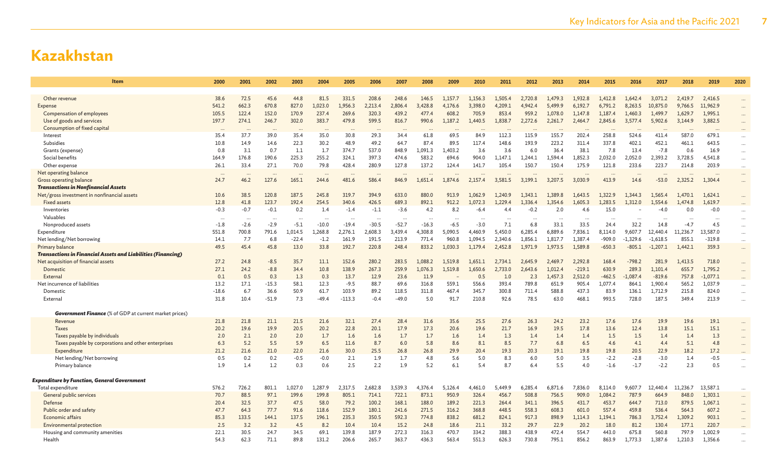| Item                                                                | 2000            | 2001            | 2002            | 2003              | 2004               | 2005                 | 2006               | 2007               | 2008               | 2009              | 2010              | 2011               | 2012               | 2013               | 2014                 | 2015            | 2016                 | 2017             | 2018               | 2019               | 2020     |
|---------------------------------------------------------------------|-----------------|-----------------|-----------------|-------------------|--------------------|----------------------|--------------------|--------------------|--------------------|-------------------|-------------------|--------------------|--------------------|--------------------|----------------------|-----------------|----------------------|------------------|--------------------|--------------------|----------|
|                                                                     |                 |                 |                 |                   |                    |                      |                    |                    |                    |                   |                   |                    |                    |                    |                      |                 |                      |                  |                    |                    |          |
| Other revenue                                                       | 38.6            | 72.5            | 45.6            | 44.8              | 81.5               | 331.5                | 208.6              | 248.6              | 146.5              | 1.157.7           | 1,156.3           | 1,505.4            | 2,720.8            | 1,479.3            | 1.932.8              | 1,412.8         | 1.642.4              | 3,071.2          | 2,419.7            | 2,416.5            |          |
| <b>Expense</b>                                                      | 541.2           | 662.3           | 670.8           | 827.0             | 1,023.0            | 1,956.3              | 2,213.4            | 2,806.4            | 3,428.8            | 4,176.6           | 3,398.0           | 4,209.1            | 4,942.4            | 5,499.9            | 6,192.7              | 6,791.2         | 8,263.5              | 10,875.0         | 9,766.5            | 11,962.9           | $\cdots$ |
| Compensation of employees                                           | 105.5           | 122.4           | 152.0           | 170.9             | 237.4              | 269.6                | 320.3              | 439.2              | 477.4              | 608.2             | 705.9             | 853.4              | 959.2              | 1.078.0            | 1.147.8              | 1,187.4         | 1,460.3              | 1,499.7          | 1,629.7            | 1,995.1            | $\cdots$ |
| Use of goods and services                                           | 197.7           | 274.1           | 246.7           | 302.0             | 383.7              | 479.8                | 599.5              | 816.7              | 990.6              | 1,187.2           | 1,440.5           | 1,838.7            | 2,272.6            | 2,261.7            | 2,464.7              | 2,845.6         | 3,577.4              | 5,902.6          | 3,144.9            | 3,882.5            | $\cdots$ |
| Consumption of fixed capital                                        |                 | $\ddots$        |                 |                   |                    | $\ddotsc$            |                    |                    |                    |                   |                   |                    |                    |                    |                      |                 |                      |                  |                    |                    |          |
| Interest                                                            | 35.4            | 37.7            | 39.0            | 35.4              | 35.0               | 30.8                 | 29.3               | 34.4               | 61.8               | 69.5              | 84.9              | 112.3              | 115.9              | 155.7              | 202.4                | 258.8           | 524.6                | 411.4            | 587.0              | 679.1              |          |
| Subsidies                                                           | 10.8            | 14.9            | 14.6            | 22.3              | 30.2               | 48.9                 | 49.2               | 64.7               | 87.4               | 89.5              | 117.4             | 148.6              | 193.9              | 223.2              | 311.4                | 337.8           | 402.1                | 452.1            | 461.1              | 643.5              |          |
| Grants (expense)                                                    | 0.8             | 3.1             | 0.7             | 1.1               | 1.7                | 374.7                | 537.0              | 848.9              | .,091.3            | 1.403.2           | 3.6               | 3.6                | 6.0                | 36.4               | 38.1                 | 7.8             | 13.4                 | $-7.8$           | 0.6                | 16.9               | $\cdots$ |
| Social benefits                                                     | 164.9           | 176.8           | 190.6           | 225.3             | 255.2              | 324.1                | 397.3              | 474.6              | 583.2              | 694.6             | 904.0             | 1,147.1            | 1,244.1            | 1.594.4            | 1,852.3              | 2,032.0         | 2,052.0              | 2,393.2          | 3,728.5            | 4,541.8            | $\cdots$ |
| Other expense                                                       | 26.1            | 33.4            | 27.1            | 70.0              | 79.8               | 428.4                | 280.9              | 127.8              | 137.2              | 124.4             | 141.7             | 105.4              | 150.7              | 150.4              | 175.9                | 121.8           | 233.6                | 223.7            | 214.8              | 203.9              | $\cdots$ |
| Net operating balance                                               | $\cdots$        | $\cdots$        |                 | $\cdots$          |                    | $\ddotsc$            | $\cdots$           |                    | $\cdots$           | $\cdots$          |                   |                    | $\cdots$           |                    | $\ddot{\phantom{a}}$ | $\ddotsc$       |                      | $\cdots$         | $\cdots$           |                    | $\cdots$ |
| Gross operating balance                                             | 24.7            | 46.2            | 127.6           | 165.1             | 244.6              | 481.6                | 586.4              | 846.9              | 1,651.4            | 1,874.6           | 2,157.4           | 3,581.5            | 3,199.1            | 3,207.5            | 3,030.9              | 413.9           | 14.6                 | $-53.0$          | 2,325.2            | 1,304.4            | $\cdots$ |
| <b>Transactions in Nonfinancial Assets</b>                          |                 |                 |                 |                   |                    |                      |                    |                    |                    |                   |                   |                    |                    |                    |                      |                 |                      |                  |                    |                    |          |
| Net/gross investment in nonfinancial assets                         | 10.6            | 38.5            | 120.8           | 187.5             | 245.8              | 319.7                | 394.9              | 633.0              | 880.0              | 913.9             | 1,062.9           | 1,240.9            | 1,343.1            | 1,389.8            | 1.643.5              | 1,322.9         | 1,344.3              | 1,565.4          | 1,470.1            | 1,624.1            | $\cdots$ |
| <b>Fixed assets</b>                                                 | 12.8            | 41.8            | 123.7           | 192.4             | 254.5              | 340.6                | 426.5              | 689.3              | 892.1              | 912.2             | 1,072.3           | 1,229.4            | 1,336.4            | 1.354.6            | 1,605.3              | 1,283.5         | 1.312.0              | 1.554.6          | 1,474.8            | L,619.7            |          |
| Inventories                                                         | $-0.3$          | $-0.7$          | $-0.1$          | 0.2               | 1.4                | $-1.4$               | $-1.1$             | $-3.6$             | 4.2                | 8.2               | $-6.4$            | 4.4                | $-0.2$             | 2.0                | 4.6                  | 15.0            |                      | -4.0             | 0.0                | $-0.0$             |          |
| Valuables                                                           |                 | $\cdots$        |                 |                   |                    | $\ddot{\phantom{a}}$ |                    |                    |                    |                   |                   |                    | $\ddotsc$          |                    | 33.5                 |                 | $\ddot{\phantom{a}}$ |                  |                    |                    | $\cdots$ |
| Nonproduced assets                                                  | $-1.8$<br>551.8 | $-2.6$<br>700.8 | $-2.9$<br>791.6 | $-5.1$<br>1,014.5 | $-10.0$<br>1,268.8 | $-19.4$<br>2,276.1   | $-30.5$<br>2,608.3 | $-52.7$<br>3,439.4 | $-16.3$<br>4,308.8 | $-6.5$<br>5,090.5 | $-3.0$<br>4,460.9 | 7.1<br>5,450.0     | 6.8<br>6,285.4     | 33.1<br>6,889.6    | 7,836.1              | 24.4<br>8,114.0 | 32.2<br>9,607.7      | 14.8<br>12,440.4 | $-4.7$<br>11,236.7 | 4.5<br>13,587.0    |          |
| Expenditure                                                         |                 | 7.7             |                 |                   |                    | 161.9                | 191.5              | 213.9              | 771.4              | 960.8             | 1,094.5           |                    |                    |                    | 1,387.4              | $-909.0$        | $-1,329.6$           | $-1,618.5$       |                    |                    | $\cdots$ |
| Net lending/Net borrowing<br>Primary balance                        | 14.1<br>49.5    | 45.4            | 6.8<br>45.8     | $-22.4$<br>13.0   | $-1.2$<br>33.8     | 192.7                | 220.8              | 248.4              | 833.2              | 1,030.3           | 1,179.4           | 2,340.6<br>2,452.8 | 1,856.1<br>1.971.9 | 1,817.7<br>1,973.5 | 1,589.8              | $-650.3$        | $-805.1$             | $-1,207.1$       | 855.1<br>1,442.1   | $-319.8$<br>359.3  | $\cdots$ |
| <b>Transactions in Financial Assets and Liabilities (Financing)</b> |                 |                 |                 |                   |                    |                      |                    |                    |                    |                   |                   |                    |                    |                    |                      |                 |                      |                  |                    |                    | $\cdots$ |
| Net acquisition of financial assets                                 | 27.2            | 24.8            | $-8.5$          | 35.7              | 11.1               | 152.6                | 280.2              | 283.5              | 1.088.2            | 1.519.8           | 1.651.1           | 2.734.1            | 2.645.9            | 2.469.             | 2.292.8              | 168.4           | $-798.2$             | 281.9            | 1,413.5            | 718.0              |          |
| Domestic                                                            | 27.1            | 24.2            | $-8.8$          | 34.4              | 10.8               | 138.9                | 267.3              | 259.9              | 1,076.3            | 1,519.8           | 1,650.6           | 2,733.0            | 2,643.6            | 1,012.4            | $-219.1$             | 630.9           | 289.3                | 1,101.4          | 655.7              | 1,795.2            | $\cdots$ |
| External                                                            | 0.1             | 0.5             | 0.3             | 1.3               | 0.3                | 13.7                 | 12.9               | 23.6               | 11.9               |                   | 0.5               | 1.0                | 2.3                | 1,457.3            | 2,512.0              | $-462.5$        | $-1,087.4$           | $-819.6$         | 757.8              | $-1,077.1$         | $\cdots$ |
| Net incurrence of liabilities                                       | 13.2            | 17.1            | $-15.3$         | 58.1              | 12.3               | $-9.5$               | 88.7               | 69.6               | 316.8              | 559.1             | 556.6             | 393.4              | 789.8              | 651.9              | 905.4                | 1.077.4         | 864.1                | 1,900.4          | 565.2              | 1,037.9            |          |
| Domestio                                                            | $-18.6$         | 6.7             | 36.6            | 50.9              | 61.7               | 103.9                | 89.2               | 118.5              | 311.8              | 467.4             | 345.7             | 300.8              | 711.4              | 588.8              | 437.3                | 83.9            | 136.1                | 1,712.9          | 215.8              | 824.0              |          |
| Externa                                                             | 31.8            | 10.4            | $-51.9$         | 7.3               | $-49.4$            | $-113.3$             | $-0.4$             | $-49.0$            | 5.0                | 91.7              | 210.8             | 92.6               | 78.5               | 63.0               | 468.1                | 993.5           | 728.0                | 187.5            | 349.4              | 213.9              | $\cdots$ |
|                                                                     |                 |                 |                 |                   |                    |                      |                    |                    |                    |                   |                   |                    |                    |                    |                      |                 |                      |                  |                    |                    |          |
| <b>Government Finance</b> (% of GDP at current market prices)       |                 |                 |                 |                   |                    |                      |                    |                    |                    |                   |                   |                    |                    |                    |                      |                 |                      |                  |                    |                    |          |
| Revenue                                                             | 21.8            | 21.8            | 21.1            | 21.5              | 21.6               | 32.1                 | 27.4               | 28.4               | 31.6               | 35.6              | 25.5              | 27.6               | 26.3               | 24.2               | 23.2                 | 17.6            | 17.6                 | 19.9             | 19.6               | 19.1               | $\cdots$ |
| <b>Taxes</b>                                                        | 20.2            | 19.6            | 19.9            | 20.5              | 20.2               | 22.8                 | 20.1               | 17.9               | 17.3               | 20.6              | 19.6              | 21.7               | 16.9               | 19.5               | 17.8                 | 13.6            | 12.4                 | 13.8             | 15.1               | 15.1               | $\cdots$ |
| Taxes payable by individuals                                        | 2.0             | 2.1             | 2.0             | 2.0               | 1.7                | 1.6                  | 1.6                | 1.7                | 1.7                | 1.6               | 1.4               | 1.3                | 1.4                | 1.4                | 1.4                  | 1.5             | 1.5                  | 1.4              | 1.4                | 1.3                | $\cdots$ |
| Taxes payable by corporations and other enterprises                 | 6.3             | 5.2             | 5.5             | 5.9               | 6.5                | 11.6                 | 8.7                | 6.0                | 5.8                | 8.6               | 8.1               | 8.5                | 7.7                | 6.8                | 6.5                  | 4.6             | 4.1                  | 4.4              | 5.1                | 4.8                | $\cdots$ |
| Expenditure                                                         | 21.2            | 21.6            | 21.0            | 22.0              | 21.6               | 30.0                 | 25.5               | 26.8               | 26.8               | 29.9              | 20.4              | 19.3               | 20.3               | 19.1               | 19.8                 | 19.8            | 20.5                 | 22.9             | 18.2               | 17.2               |          |
| Net lending/Net borrowing                                           | 0.5             | 0.2             | 0.2             | $-0.5$            | $-0.0$             | 2.1                  | 1.9                | 1.7                | 4.8                | 5.6               | 5.0               | 8.3                | 6.0                | 5.0                | 3.5                  | $-2.2$          | $-2.8$               | $-3.0$           | 1.4                | $-0.5$             |          |
| Primary balance                                                     | 1.9             | 1.4             | 1.2             | 0.3               | 0.6                | 2.5                  | 2.2                | 1.9                | 5.2                | 6.1               | 5.4               | 8.7                | 6.4                | 5.5                | 4.0                  | $-1.6$          | $-1.7$               | $-2.2$           | 2.3                | 0.5                |          |
|                                                                     |                 |                 |                 |                   |                    |                      |                    |                    |                    |                   |                   |                    |                    |                    |                      |                 |                      |                  |                    |                    |          |
| Expenditure by Function, General Government                         |                 |                 |                 |                   |                    |                      |                    |                    |                    |                   |                   |                    |                    |                    |                      |                 |                      |                  |                    |                    |          |
| Total expenditure                                                   | 576.2           | 726.2           | 801.1           | 1,027.0           | 1,287.9            | 2,317.5              | 2,682.8            | 3,539.3            | 4,376.4            | 5,126.4           | 4,461.0           | 5,449.9            | 6,285.4            | 6,871.6            | 7,836.0              | 8,114.0         | 9,607.7              | 12,440.4         | 11,236.7           | 13,587.1           | $\cdots$ |
| General public services                                             | 70.7            | 88.5            | 97.1            | 199.6             | 199.8              | 805.1                | 714.1              | 722.1              | 873.1              | 950.9             | 326.4             | 456.7              | 508.8              | 756.5              | 909.0                | 1.084.2         | 787.9                | 664.9            | 848.0              | 1,303.1            |          |
| Defense                                                             | 20.4            | 32.5            | 37.7            | 47.5              | 58.0               | 79.2                 | 100.2              | 168.1              | 188.0              | 189.2             | 221.3             | 264.4              | 341.1              | 396.5              | 431.7                | 453.7           | 644.7                | 713.0            | 879.5              | 1,067.1            | $\cdots$ |
| Public order and safety                                             | 47.7            | 64.3            | 77.7            | 91.6              | 118.6              | 152.9                | 180.1              | 241.6              | 271.5              | 316.2             | 368.8             | 448.5              | 558.3              | 608.3              | 601.0                | 557.4           | 459.8                | 536.4            | 564.3              | 607.2              | $\cdots$ |
| Economic affairs                                                    | 85.3            | 133.5           | 144.1           | 137.5             | 196.1              | 235.3                | 350.5              | 592.3              | 774.8              | 838.2             | 681.2             | 824.1              | 917.3              | 898.9              | 1,114.3              | 1,194.1         | 786.3                | 3,752.4          | 1,309.2            | 903.1              | $\cdots$ |
| <b>Environmental protection</b>                                     | 2.5             | 3.2             | 3.2             | 4.5               | 8.2                | 10.4                 | 10.4               | 15.2               | 24.8               | 18.6              | 21.1              | 33.2               | 29.7               | 22.9               | 20.2                 | 18.0            | 81.2                 | 130.4            | 177.1              | 220.7              |          |
| Housing and community amenities                                     | 22.1<br>54.3    | 30.5<br>62.3    | 24.7<br>71.1    | 34.5<br>89.8      | 69.1<br>131.2      | 139.8                | 187.9<br>265.7     | 272.3<br>363.7     | 316.3<br>436.3     | 470.7<br>563.4    | 334.2<br>551.3    | 388.3<br>626.3     | 438.9<br>730.8     | 472.4<br>795.1     | 554.7<br>856.2       | 443.0<br>863.9  | 675.8                | 560.8<br>1.387.6 | 797.9              | 1,002.9<br>1.356.6 |          |
| Health                                                              |                 |                 |                 |                   |                    | 206.6                |                    |                    |                    |                   |                   |                    |                    |                    |                      |                 | 1,773.3              |                  | 1,210.3            |                    |          |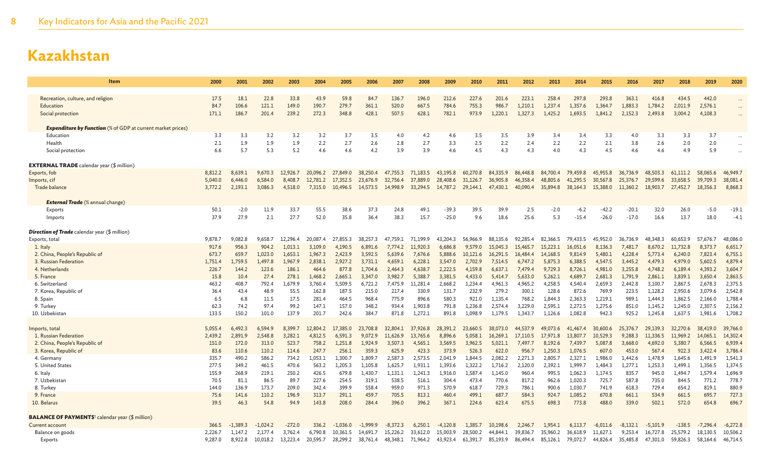| Item                                                               | 2000        | 2001        | 2002         | 2003         | 2004           | 2005           | 2006           | 2007           | 2008             | 2009           | 2010             | 2011               | 2012             | 2013               | 2014               | 2015               | 2016          | 2017               | 2018               | 2019               | 2020               |
|--------------------------------------------------------------------|-------------|-------------|--------------|--------------|----------------|----------------|----------------|----------------|------------------|----------------|------------------|--------------------|------------------|--------------------|--------------------|--------------------|---------------|--------------------|--------------------|--------------------|--------------------|
|                                                                    |             |             |              |              |                |                |                |                |                  |                |                  |                    |                  |                    |                    |                    |               |                    |                    |                    |                    |
| Recreation, culture, and religion                                  | 17.5        | 18.1        | 22.8         | 33.8         | 43.9           | 59.8           | 84.7           | 136.7          | 196.0            | 212.6          | 227.6            | 201.6              | 223.1            | 258.4              | 297.8              | 293.8              | 363.1         | 416.8              | 434.5              | 442.0              |                    |
| Education                                                          | 84.7        | 106.6       | 121.1        | 149.0        | 190.7          | 279.7          | 361.1          | 520.0          | 667.5            | 784.6          | 755.3            | 986.7              | 1,210.1          | 1,237.4            | 1,357.6            | 1,364.7            | 1,883.3       | 1,784.2            | 2,011.9            | 2,576.1            | $\cdots$           |
| Social protection                                                  | 171.1       | 186.7       | 201.4        | 239.2        | 272.3          | 348.8          | 428.1          | 507.5          | 628.1            | 782.1          | 973.9            | 1.220.1            | 1.327.3          | 1.425.2            | 1.693.5            | 1.841.2            | 2,152.3       | 2,493.8            | 3,004.2            | 4,108.3            | $\ddots$           |
| <b>Expenditure by Function</b> (% of GDP at current market prices) |             |             |              |              |                |                |                |                |                  |                |                  |                    |                  |                    |                    |                    |               |                    |                    |                    |                    |
| Education                                                          | 3.3         | 3.3         | 3.2          | 3.2          | 3.2            | 3.7            | 3.5            | 4.0            | 4.2              | 4.6            | 3.5              | 3.5                | 3.9              | 3.4                | 3.4                | 3.3                | 4.0           | 3.3                | 3.3                | 3.7                |                    |
| Health                                                             | 2.1         | 1.9         | 1.9          | 1.9          | 2.2            | 2.7            | 2.6            | 2.8            | 2.7              | 3.3            | 2.5              | 2.2                | 2.4              | 2.2                | 2.2                | 2.1                | 3.8           | 2.6                | 2.0                | 2.0                |                    |
| Social protection                                                  | 6.6         | 5.7         | 5.3          | 5.2          | 4.6            | 4.6            | 4.2            | 3.9            | 3.9              | 4.6            | 4.5              | 4.3                | 4.3              | 4.0                | 4.3                | 4.5                | 4.6           | 4.6                | 4.9                | 5.9                |                    |
| <b>EXTERNAL TRADE</b> calendar year (\$ million)                   |             |             |              |              |                |                |                |                |                  |                |                  |                    |                  |                    |                    |                    |               |                    |                    |                    |                    |
| Exports, fob                                                       | 8,812.2     | 8,639.1     | 9,670.3      | 12,926.7     | 20,096.2       | 27,849.0       | 38,250.4       | 47,755.3       | 71,183.5         | 43,195.8       | 60,270.8         | 84,335.9           | 86,448.8         | 84,700.4           | 79,459.8           | 45,955.8           | 36,736.9      | 48,503.3           | 61,111.2           | 58,065.6           | 46,949.7           |
| Imports, cif                                                       | 5.040.0     | 6,446.0     | 6,584.0      | 8,408.7      | 12,781.2       | 17,352.5       | 23,676.9       | 32,756.4       | 37,889.0         | 28,408.6       | 31,126.7         | 36,905.8           | 46,358.4         | 48,805.6           | 41,295.5           | 30,567.8           | 25,376.7      | 29,599.6           | 33,658.5           | 39,709.3           | 38,081.4           |
| Trade balance                                                      | 3,772.2     | 2,193.1     | 3,086.3      | 4,518.0      | 7,315.0        | 10,496.5       | 14,573.5       | 14,998.9       | 33,294.5         | 14,787.2       | 29,144.1         | 47,430.1           | 40,090.4         | 35,894.8           | 38,164.3           | 15,388.0           | 11,360.2      | 18,903.7           | 27,452.7           | 18,356.3           | 8,868.3            |
|                                                                    |             |             |              |              |                |                |                |                |                  |                |                  |                    |                  |                    |                    |                    |               |                    |                    |                    |                    |
| <b>External Trade</b> (% annual change)                            |             |             |              |              |                |                |                |                |                  |                |                  |                    |                  |                    |                    |                    |               |                    |                    |                    |                    |
| Exports                                                            | 50.1        | $-2.0$      | 11.9         | 33.7         | 55.5           | 38.6           | 37.3           | 24.8           | 49.1             | $-39.3$        | 39.5             | 39.9               | 2.5              | -2.0               | $-6.2$             | $-42.2$            | $-20.1$       | 32.0               | 26.0               | $-5.0$             | $-19.1$            |
| Imports                                                            | 37.9        | 27.9        | 2.1          | 27.7         | 52.0           | 35.8           | 36.4           | 38.3           | 15.7             | $-25.0$        | 9.6              | 18.6               | 25.6             | 5.3                | $-15.4$            | $-26.0$            | $-17.0$       | 16.6               | 13.7               | 18.0               | $-4.1$             |
| <b>Direction of Trade</b> calendar year (\$ million)               |             |             |              |              |                |                |                |                |                  |                |                  |                    |                  |                    |                    |                    |               |                    |                    |                    |                    |
| Exports, total                                                     | 9,878.7     | 9,082.8     | 9,658.7      | 12,296.4     | 20,087.4       | 27,855.3       | 38,257.3       | 47,759.1       | 71.199.9         | 43,204.3       | 56,966.9         | 88.135.6           | 92,285.4         | 82,366.5           | 79,433.5           | 45,952.0           | 36,736.9      | 48,348.3           | 60,653.9           | 57,676.7           | 48,086.0           |
| 1. Italy                                                           | 917.6       | 956.3       | 904.2        | 1.013.1      | 3,109.0        | 4.190.5        | 6.891.6        | 7.774.2        | 11,920.3         | 6.686.8        | 9.579.0          | 15,045.3           | 15,465.7         | 15,223.1           | 16.051.6           | 8.136.3            | 7.481.7       | 8.670.2            | 11,732.8           | 8,373.7            | 6,651.7            |
| 2. China, People's Republic of                                     | 673.7       | 659.7       | 1,023.0      | 1,653.1      | 1,967.3        | 2,423.9        | 3,592.5        | 5,639.6        | 7,676.6          | 5,888.6        | 10,121.6         | 16,291.5           | 16,484.4         | 14,168.5           | 9,814.9            | 5,480.1            | 4,228.4       | 5,773.4            | 6,240.0            | 7,823.4            | 6,755.1            |
| 3. Russian Federation                                              | 1.751.4     | 1.759.5     | 1.497.8      | 1.967.9      | 2.838.1        | 2.927.2        | 3.731.1        | 4.659.1        | 6.228.1          | 3.547.0        | 2,702.9          | 7,514.5            | 6,747.2          | 5,875.3            | 6.388.5            | 4,547.5            | 3,445.2       | 4.479.3            | 4,979.0            | 5.602.5            | 4,879.4            |
| 4. Netherlands                                                     | 226.7       | 144.2       | 123.6        | 186.1        | 464.6          | 877.8          | 1,704.6        | 2,464.3        | 4,638.7          | 2,222.5        | 4,159.8          | 6,637.1            | 7,479.4          | 9,729.3            | 8,726.1            | 4,981.0            | 3,255.8       | 4,748.2            | 6,189.4            | 4,393.2            | 3,604.7            |
| 5. France                                                          | 15.8        | 10.4        | 27.4         | 278.1        | 1.468.2        | 2.665.1        | 3.347.0        | 3.982.7        | 5,388.7          | 3.381.5        | 4.433.0          | 5.414.7            | 5.633.0          | 5.262.1            | 4.689.7            | 2.681.3            | 1,791.9       | 2.861.1            | 3,839.1            | 3.650.4            | 2,863.5            |
| 6. Switzerland                                                     | 463.2       | 408.7       | 792.4        | 1.679.9      | 3,760.4        | 5.509.5        | 6,721.2        | 7,475.9        | 11.281.4         | 2.668.2        | 1.234.4          | 4.961.3            | 4,965.2          | 4.258.5            | 4.540.4            | 2,659.3            | 2,442.8       | 3,100.7            | 2,867.5            | 2,678.3            | 2,375.5            |
| 7. Korea, Republic of                                              | 36.4        | 43.4        | 48.9         | 55.5         | 162.8          | 187.5          | 215.0          | 217.4          | 330.9            | 131.7          | 232.9            | 279.2              | 300.1            | 128.6              | 872.6              | 769.9              | 223.5         | 1.128.2            | 2.950.6            | 3,079.6            | 2,542.8            |
| 8. Spain                                                           | 6.5<br>62.3 | 6.8<br>74.2 | 11.5<br>97.4 | 17.5<br>99.2 | 281.4<br>147.1 | 464.5<br>157.0 | 968.4<br>348.2 | 775.9<br>934.4 | 896.6<br>1,903.8 | 580.3<br>791.8 | 921.0<br>1.236.8 | 1,135.4<br>2,574.4 | 768.2<br>3.229.0 | 1.844.3<br>2,595.1 | 2,363.3<br>2,272.5 | 1.219.1<br>1.275.6 | 989.<br>851.0 | 1.444.3            | 1.862.5            | 2,166.0            | 1,788.4<br>2,156.2 |
| 9. Turkey<br>10. Uzbekistan                                        | 133.5       | 150.2       | 101.0        | 137.9        | 201.7          | 242.6          | 384.7          | 871.8          | 1.272.1          | 891.8          | 1.098.9          | 1,179.5            | 1.343.7          | 1,126.6            | 1.082.8            | 942.3              | 925.2         | 1,145.2<br>1,245.8 | 1,245.0<br>1.637.5 | 2,307.5<br>1.981.6 | 1,708.2            |
|                                                                    |             |             |              |              |                |                |                |                |                  |                |                  |                    |                  |                    |                    |                    |               |                    |                    |                    |                    |
| Imports, total                                                     | 5.055.4     | 492.3<br>6  | 6,594.9      | 8.399.7      | 12,804.2       | 17,385.0       | 23,708.8       | 32,804.1       | 37,926.8         | 28.391.2       | 23,660.5         | 38,073.0           | 44,537.9         | 49,073.6           | 41,467             | 30,600.6           | 25.376.7      | 29,139.3           | 32,270.6           | 38,419.0           | 39,766.0           |
| 1. Russian Federation                                              | 2,439.2     | 2,891.9     | 2,548.8      | 3,282.1      | 4,812.5        | 6,591.3        | 9,072.9        | 11,626.9       | 13,765.6         | 8,896.6        | 5,058.1          | 16,269.1           | 17,110.5         | ,971.8             | 13,807.7           | 10,529.3           | 9,288.3       | 11,336.5           | 11,969.2           | 14,065.1           | 14,302.4           |
| 2. China, People's Republic of                                     | 151.0       | 172.0       | 313.0        | 523.7        | 758.2          | 1.251.8        | 1.924.9        | 3.507.3        | 4.565.1          | 3,569.5        | 3,962.5          | 5,021.1            | 7.497.7          | 8,192.6            | 7.439.7            | 5.087.8            | 3.668.0       | 4,692.0            | 5.380.7            | 6,566.5            | 6,939.4            |
| 3. Korea, Republic of                                              | 83.6        | 110.6       | 110.2        | 114.6        | 247.7          | 256.1          | 359.3          | 625.9          | 423.3            | 373.9          | 526.3            | 622.0              | 956.7            | 1,250.3            | 1,076.5            | 607.0              | 453.0         | 567.4              | 922.3              | 3,422.4            | 3,786.4            |
| 4. Germany                                                         | 335.7       | 490.2       | 586.2        | 734.2        | 1,053.1        | 1.300.7        | 1.809.7        | 2,587.3        | 2.573.5          | 2.041.9        | 1.844.5          | 2,082.2            | 2.271.3          | 2.805.7            | 2,327.1            | 1.986.0            | 1.442.6       | 1.478.9            | 1.645.6            | 1.491.9            | 1,541.3            |
| 5. United States                                                   | 277.5       | 349.2       | 461.5        | 470.6        | 563.2          | 1,205.3        | 1,105.8        | 1,625.7        | 1,931.1          | 1,393.6        | 1,322.2          | 1,716.2            | 2,120.0          | 2,392.1            | 1,999.7            | 1,484.3            | 1,277.1       | 1,253.3            | 1,499.1            | 1,356.5            | 1,374.5            |
| 6. Italy                                                           | 155.9       | 268.9       | 219.1        | 250.2        | 426.5          | 679.8          | 1.430.7        | 1.131.1        | 1.241.3          | 1.916.0        | 1.587.4          | 1.145.0            | 960.4            | 995.5              | 1.062.3            | 1.174.5            | 835.7         | 945.0              | 1.494.7            | 1,579.4            | 1,696.9            |
| 7. Uzbekistan                                                      | 70.5        | 81.1        | 86.5         | 89.7         | 227.6          | 254.5          | 319.1          | 538.5          | 516.1            | 304.4          | 473.4            | 770.6              | 817.2            | 962.6              | 1,020.3            | 725.7              | 587.8         | 735.0              | 844.5              | 771.2              | 778.7              |
| 8. Turkey                                                          | 144.0       | 136.9       | 173.7        | 209.0        | 342.4          | 399.9          | 558.4          | 959.0          | 971.3            | 570.9          | 618.7            | 729.3              | 786.1            | 900.6              | 1.030.7            | 741.9              | 618.3         | 729.4              | 654.2              | 819.1              | 880.9              |
| 9. France                                                          | 75.6        | 141.6       | 110.2        | 196.9        | 313.7          | 291.1          | 459.7          | 705.5          | 813.1            | 460.4          | 499.1            | 687.7              | 584.3            | 924.7              | 1,085.2            | 670.8              | 661.1         | 534.9              | 661.5              | 695.7              | 727.3              |
| 10. Belarus                                                        | 39.5        | 46.3        | 54.8         | 94.9         | 143.8          | 208.0          | 284.4          | 396.0          | 396.2            | 367.1          | 224.6            | 623.4              | 675.5            | 698.3              | 773.8              | 488.0              | 339.0         | 502.1              | 572.0              | 654.8              | 696.7              |
| <b>BALANCE OF PAYMENTS<sup>t</sup> calendar year (\$ million)</b>  |             |             |              |              |                |                |                |                |                  |                |                  |                    |                  |                    |                    |                    |               |                    |                    |                    |                    |
| <b>Current account</b>                                             | 366.5       | $-1.389.3$  | $-1.024.2$   | $-272.0$     | 336.2          | $-1.036.0$     | $-1.999.9$     | $-8,372.3$     | 6,250.1          | $-4,120.8$     | 1,385.7          | 10,198.6           | 2,246.7          | 1,954.1            | 6,113.7            | $-6.011.6$         | $-8,132.1$    | $-5,101.9$         | $-138.5$           | $-7,296.4$         | $-6,272.8$         |
| Balance on goods                                                   | 2,226.7     | 1,147.2     | 2,177.4      | 3,762.4      | 6,790.8        | 10,361.5       | 14,691.7       | 15,226.2       | 33,612.0         | 15,003.9       | 28,500.2         | 44,844.1           | 39,836.7         | 35,960.2           | 36,618.9           | 11,627.1           | 9,253.4       | 16,727.8           | 25,579.2           | 18,130.5           | 10,506.2           |
| Exports                                                            | 9,287.0     | 8,922.8     | 10,018.2     | 13,223.4     | 20,595.7       | 28,299.2       | 38,761.4       | 48,348.1       | 71,964.2         | 43,923.4       | 61,391.7         | 85,193.9           | 86,494.4         | 85,126.1           | 79,072.7           | 44,826.4           | 35,485.8      | 47,301.0           | 59,826.3           | 58,164.6           | 46,714.5           |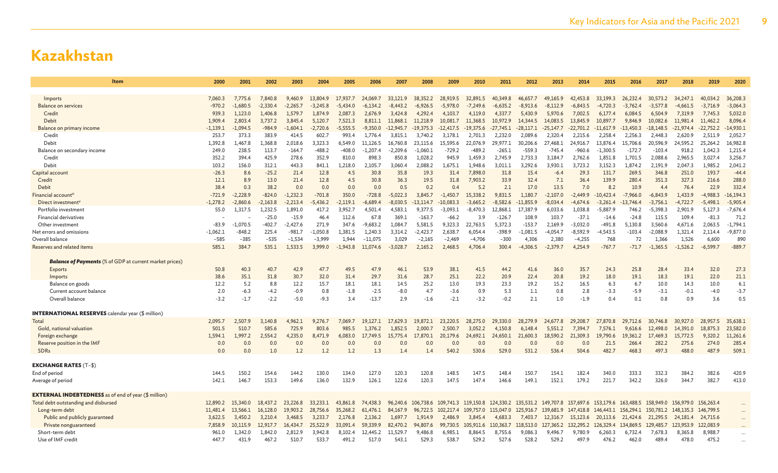| <b>Item</b>                                                    | 2000            | 2001       | 2002            | 2003         | 2004         | 2005       | 2006         | 2007         | 2008         | 2009         | 2010               | 2011                                    | 2012         | 2013          | 2014         | 2015                | 2016           | 2017           | 2018           | 2019           | 2020             |
|----------------------------------------------------------------|-----------------|------------|-----------------|--------------|--------------|------------|--------------|--------------|--------------|--------------|--------------------|-----------------------------------------|--------------|---------------|--------------|---------------------|----------------|----------------|----------------|----------------|------------------|
|                                                                |                 |            |                 |              |              |            |              |              |              |              |                    |                                         |              |               |              |                     |                |                |                |                |                  |
| Imports                                                        | 7.060.3         | 7,775.6    | 7,840.8         | 9,460.9      | 13,804.9     | 17,937.7   | 24,069.7     | 33,121.9     | 38,352.2     | 28,919.5     | 32,891.5           | 40.349.8                                | 46,657.7     | 49,165.9      | 42,453.8     | 33,199.3            | 26,232.4       | 30,573.2       | 34,247.1       | 40.034.2       | 36,208.3         |
| <b>Balance on services</b>                                     | $-970.2$        | $-1.680.5$ | $-2.330.4$      | $-2,265.7$   | $-3.245.8$   | $-5,434.0$ | $-6,134.2$   | $-8,443.2$   | $-6.926.5$   | $-5,978.0$   | $-7,249.6$         | $-6.635.2$                              | $-8,913.6$   | $-8,112.9$    | $-6.843.5$   | $-4,720.3$          | $-3,762.4$     | $-3,577.8$     | $-4,661.5$     | $-3,716.9$     | $-3,064.3$       |
| Credit                                                         | 939.3           | 1,123.0    | 1,406.8         | 1,579.7      | 1,874.9      | 2,087.3    | 2,676.9      | 3,424.8      | 4,292.4      | 4,103.7      | 4,119.0            | 4,337.7                                 | 5,430.9      | 5,970.6       | 7,002.5      | 6,177.4             | 6,084.5        | 6,504.9        | 7,319.9        | 7,745.3        | 5,032.0          |
| Debit                                                          | 1,909.4         | 2,803.4    | 3,737.2         | 3,845.4      | 5,120.7      | 7,521.3    | 8,811.1      | 11,868.1     | 11,218.9     | 10,081.7     | 11,368.5           | 10,972.9                                | 14,344.5     | 14,083.5      | 13,845.9     | 10,897.7            | 9,846.9        | 10,082.6       | 11,981.4       | 11,462.2       | 8,096.4          |
| Balance on primary income                                      | $-1,139.1$      | -1.094.5   | $-984.9$        | $-1.604.1$   | $-2,720.6$   | $-5,555.5$ | $-9,350.0$   | -12.945.7    | $-19,375.3$  | -12,417.5    | $-19,375.6$        | -27.745.1                               | $-28,117.1$  | -25.147.7     | $-22.701.2$  | $-11,617.9$         | $-13,450.3$    | -18,148.5      | $-21.974.4$    | $-22,752.2$    | $-14,930.1$      |
| Credit                                                         | 253.7           | 373.3      | 383.9           | 414.5        | 602.7        | 993.4      | 1.776.4      | 3.815.1      | 3.740.2      | 3.178.1      | 2.701.3            | 2.232.0                                 | 2.089.6      | 2.320.4       | 2.215.6      | 2.258.              | 2.256.3        | 2.448.3        | 2.620.9        | 2.511.9        | 2,052.           |
| Debit                                                          | 1,392.8         | 1,467.8    | 1,368.8         | 2,018.6      | 3,323.3      | 6,549.0    | 11,126.5     | 16,760.8     | 23,115.6     | 15,595.6     | 22,076.9           | 29,977.1                                | 30,206.6     | 27,468.1      | 24,916.7     | 13,876.4            | 15,706.6       | 20,596.9       | 24,595.2       | 25,264.2       | 16,982.8         |
| Balance on secondary income                                    | 249.0           | 238.5      | 113.7           | $-164.7$     | $-488.2$     | $-408.0$   | $-1.207.$    | $-2,209.6$   | $-1.060.1$   | $-729.2$     | $-489.2$           | $-265.1$                                | $-559.3$     | $-745.4$      | $-960.6$     | $-1.300.5$          | $-172.7$       | $-103.4$       | 918.2          | 1,042.3        | 1,215.4          |
| Credit                                                         | 352.2           | 394.4      | 425.9           | 278.6        | 352.9        | 810.0      | 898.3        | 850.8        | 1,028.2      | 945.9        | 1,459.3            | 2,745.9                                 | 2,733.3      | 3,184.7       | 2,762.6      | 1,851.8             | 1,701.5        | 2,088.6        | 2,965.5        | 3,027.4        | 3,256.7          |
| Debit                                                          | 103.2           | 156.0      | 312.1           | 443.3        | 841.1        | 1.218.0    | 2.105.7      | 3.060.4      | 2.088.2      | 1.675.1      | 1,948.6            | 3.011.1                                 | 3.292.6      | 3.930.1       | 3.723.2      | 3.152.3             | 1.874.2        | 2.191.9        | 2.047.3        | 1.985.2        | 2,041.2          |
| Capital account                                                | $-26.3$<br>12.1 | 8.6<br>8.9 | $-25.2$<br>13.0 | 21.4<br>21.4 | 12.8<br>12.8 | 4.5<br>4.5 | 30.8<br>30.8 | 35.8<br>36.3 | 19.3<br>19.5 | 31.4<br>31.8 | 7,898.0<br>7,903.2 | 31.8<br>33.9                            | 15.4<br>32.4 | $-6.4$<br>7.1 | 29.3<br>36.4 | 131.7<br>139.9      | 269.5<br>280.4 | 346.8<br>351.3 | 251.0<br>327.3 | 193.7<br>216.6 | $-44.4$<br>288.0 |
| Credit<br>Debit                                                | 38.4            | 0.3        | 38.2            | 0.0          | 0.0          | 0.0        | 0.0          | 0.5          | 0.2          | 0.4          | 5.2                | 2.1                                     | 17.0         | 13.5          | 7.0          | 8.2                 | 10.9           | 4.4            | 76.4           | 22.9           | 332.4            |
| Financial account <sup>u</sup>                                 | $-721.9$        | $-2.228.9$ | $-824.0$        | $-1.232.3$   | $-701.8$     | 350.0      | $-728.8$     | $-5.022.3$   | 3,845.7      | $-1.450.7$   | 15.338.2           | 9,831.5                                 | 1.180.7      | $-2.107.0$    | $-2,449.9$   | $-10,423.4$         | $-7.966.0$     | $-6.843.9$     | 1.433.9        | $-4.988.3$     | $-16, 194.3$     |
| Direct investment                                              | $-1,278.2$      | $-2,860.6$ | $-2,163.8$      | $-2,213.4$   | $-5,436.2$   | $-2,119.1$ | $-6,689.4$   | 8,030.5      | $-13,114.7$  | $-10,083.3$  | $-3,665.2$         | $-8,582.6$                              | $-11,855.9$  | $-8,034.4$    | $-4,674.6$   | $-3,261.4$          | $-13,746.4$    | $-3,756.1$     | $-4,722.7$     | $-5,498.1$     | $-5,905.4$       |
| Portfolio investment                                           | 55.0            | 1,317.5    | 1,232.5         | 1.891.0      | 417.2        | 3,952.7    | 4,501.4      | 4,583.1      | 9,377.5      | $-3,093.1$   | $-8,470.3$         | 12,868.1                                | 17,387.9     | 6,033.6       | 1,038.8      | $-5,887.9$          | 746.2          | $-5,398.3$     | 2,901.9        | 5,127.3        | $-7,676.4$       |
| Financial derivatives                                          |                 |            | $-25.0$         | $-15.9$      | 46.4         | 112.6      | 67.8         | 369.1        | $-163.7$     | -66.2        | 3.9                | $-126.7$                                | 108.9        | 103.          | $-37.1$      | $-14.6$             | $-24.8$        | 115.5          | 109.4          | $-81.3$        | 71.2             |
| Other investment                                               | $-83.9$         | $-1,070.5$ | -402.7          | $-2,427.6$   | 271.9        | 347.6      | $-9,683.2$   | 1,084.7      | 5,581.5      | 9,323.3      | 22,763.5           | 5,372.3                                 | $-153.7$     | 2,169.9       | $-3,032.0$   | $-491.8$            | 5,130.8        | 3,560.6        | 4,671.6        | 2,063.5        | $-1,794.1$       |
| Net errors and omissions                                       | $-1,062.1$      | $-848.2$   | 225.4           | $-981.7$     | $-1,050.8$   | 1,381.5    | 1,240.3      | 3,314.2      | $-2,423.7$   | 2,638.7      | 6,054.4            | $-398.9$                                | $-1,081.5$   | $-4,054.7$    | $-8,592.9$   | $-4,543.5$          | $-103.4$       | $-2,088.9$     | 1,321.4        | 2,114.4        | $-9,877.0$       |
| Overall balance                                                | $-585$          | $-385$     | $-535$          | $-1,534$     | $-3,999$     | 1,944      | $-11,075$    | 3,029        | $-2,165$     | $-2,469$     | $-4,706$           | $-300$                                  | 4,306        | 2,380         | $-4,255$     | 768                 | 72             | 1,366          | 1,526          | 6,600          | 890              |
| Reserves and related items                                     | 585.1           | 384.7      | 535.1           | 1,533.5      | 3.999.0      | $-1,943.8$ | 11,074.6     | $-3,028.7$   | 2,165.2      | 2,468.5      | 4,706.4            | 300.4                                   | $-4,306.5$   | $-2.379.7$    | 4,254.9      | $-767.7$            | $-71.7$        | $-1,365.5$     | $-1,526.2$     | $-6,599.7$     | $-889.7$         |
|                                                                |                 |            |                 |              |              |            |              |              |              |              |                    |                                         |              |               |              |                     |                |                |                |                |                  |
| <b>Balance of Payments</b> (% of GDP at current market prices) |                 |            |                 |              |              |            |              |              |              |              |                    |                                         |              |               |              |                     |                |                |                |                |                  |
| Exports                                                        | 50.8            | 40.3       | 40.7            | 42.9         | 47.7         | 49.5       | 47.9         | 46.1         | 53.9         | 38.1         | 41.5               | 44.2                                    | 41.6         | 36.0          | 35.7         | 24.3                | 25.8           | 28.4           | 33.4           | 32.0           | 27.3             |
| Imports                                                        | 38.6            | 35.1       | 31.8            | 30.7         | 32.0         | 31.4       | 29.7         | 31.6         | 28.7         | 25.1         | 22.2               | 20.9                                    | 22.4         | 20.8          | 19.2         | 18.0                | 19.1           | 18.3           | 19.1           | 22.0           | 21.1             |
| Balance on goods                                               | 12.2            | 5.2        | 8.8             | 12.2         | 15.7         | 18.1       | 18.1         | 14.5         | 25.2         | 13.0         | 19.3               | 23.3                                    | 19.2         | 15.2          | 16.5         | 6.3                 | 6.7            | 10.0           | 14.3           | 10.0           | 6.1              |
| Current account balance                                        | 2.0             | $-6.3$     | -4.2            | $-0.9$       | 0.8          | $-1.8$     | $-2.5$       | $-8.0$       | 4.7          | $-3.6$       | 0.9                | 5.3                                     | 1.1          | 0.8           | 2.8          | $-3.3$              | $-5.9$         | $-3.1$         | $-0.1$         | $-4.0$         | $-3.7$           |
| Overall balance                                                | $-3.2$          | $-1.7$     | $-2.2$          | $-5.0$       | $-9.3$       | 3.4        | $-13.7$      | 2.9          | $-1.6$       | $-2.1$       | $-3.2$             | $-0.2$                                  | 2.1          | 1.0           | $-1.9$       | 0.4                 | 0.1            | 0.8            | 0.9            | 3.6            | 0.5              |
|                                                                |                 |            |                 |              |              |            |              |              |              |              |                    |                                         |              |               |              |                     |                |                |                |                |                  |
| <b>INTERNATIONAL RESERVES</b> calendar year (\$ million)       |                 |            |                 |              |              |            |              |              |              |              |                    |                                         |              |               |              |                     |                |                |                |                |                  |
| Total                                                          | 2,095.7         | 2.507.9    | 3.140.8         | 4,962.1      | 9,276.7      | 7.069.7    | 19,127.1     | 17,629.3     | 19,872.1     | 23,220.5     | 28,275.0           | 29,330.0                                | 28,279.9     | 24,677.8      | 29,208.7     | 27,870.8            | 29,712.6       | 30,746.8       | 30,927.0       | 28,957.5       | 35,638.          |
| Gold, national valuation                                       | 501.5           | 510.7      | 585.6           | 725.9        | 803.6        | 985.5      | 1,376.2      | 1.852.5      | 2,000.7      | 2,500.7      | 3.052.2            | 4.150.8                                 | 6,148.4      | 5,551.2       | 7,394.7      | 7,576.1             | 9,616.6        | 12,498.0       | 14,391.0       | 18,875.3       | 23,582.0         |
| Foreign exchange                                               | 1.594.1         | 1.997.2    | 2.554.2         | 4.235.0      | 8,471.9      | 6.083.0    | 17,749.5     | 15,775.4     | 17,870.1     | 20,179.6     | 24,692.1           | 24,650.1                                | 21,600.3     | 18,590.2      | 21,309.3     | 19,790.6            | 19,361.2       | 17,469.3       | 15,772.5       | 9,320.2        | 11,261.6         |
| Reserve position in the IMF                                    | 0.0             | 0.0        | 0.0             | 0.0          | 0.0          | 0.0        | 0.0          | 0.0          | 0.0          | 0.0          | 0.0<br>530.6       | 0.0                                     | 0.0          | 0.0<br>536.4  | 0.0          | 21.5<br>482.7       | 266.4          | 282.2<br>497.3 | 275.6          | 274.0          | 285.4<br>509.1   |
| <b>SDRs</b>                                                    | 0.0             | 0.0        | 1.0             | 1.2          | 1.2          | 1.2        | 1.3          | 1.4          | 1.4          | 540.2        |                    | 529.0                                   | 531.2        |               | 504.6        |                     | 468.3          |                | 488.0          | 487.9          |                  |
| <b>EXCHANGE RATES</b> $(T - $)$                                |                 |            |                 |              |              |            |              |              |              |              |                    |                                         |              |               |              |                     |                |                |                |                |                  |
| End of period                                                  | 144.5           | 150.2      | 154.6           | 144.2        | 130.0        | 134.0      | 127.0        | 120.3        | 120.8        | 148.5        | 147.5              | 148.4                                   | 150.7        | 154.1         | 182.4        | 340.0               | 333.3          | 332.3          | 384.2          | 382.6          | 420.9            |
| Average of period                                              | 142.1           | 146.7      | 153.3           | 149.6        | 136.0        | 132.9      | 126.1        | 122.6        | 120.3        | 147.5        | 147.4              | 146.6                                   | 149.1        | 152.1         | 179.2        | 221.7               | 342.2          | 326.0          | 344.7          | 382.7          | 413.0            |
|                                                                |                 |            |                 |              |              |            |              |              |              |              |                    |                                         |              |               |              |                     |                |                |                |                |                  |
| <b>EXTERNAL INDEBTEDNESS</b> as of end of year (\$ million)    |                 |            |                 |              |              |            |              |              |              |              |                    |                                         |              |               |              |                     |                |                |                |                |                  |
| Total debt outstanding and disbursed                           | 12,890.2        | 15,340.0   | 18,437.2        | 23,226.8     | 33,233.1     | 43,861.8   | 74,438.3     | 96,240.6     | 106,738.6    | 109,741.3    |                    | 119,150.8 124,330.2 135,531.2 149,707.8 |              |               |              | 157,697.6 153,179.6 | 163,488.5      | 158,949.0      | 156,979.0      | 156,263.4      | $\cdots$         |
| Long-term debt                                                 | 11,481.4        | 13,566.1   | 16,128.0        | 19,903.2     | 28,756.6     | 35,268.2   | 61,476.1     | 84,167.9     | 96.722.5     | 102,217.4    | 109,757.0          | 115,047.0                               | 125,916.7    | 139,681.9     | 147,418.8    | 146,443.1           | 156,294.1      | 150,781.2      | 148,135.3      | 146,799.5      | $\cdots$         |
| Public and publicly guaranteed                                 | 3,622.5         | 3,450.2    | 3,210.4         | 3,468.5      | 3,233.7      | 2,176.8    | 2,136.2      | 1,697.7      | 1,914.9      | 2,486.9      | 3,845.4            | 4,683.3                                 | 7,403.7      | 12,316.7      | 15,123.6     | 20,113.6            | 21,424.6       | 21,295.5       | 24,181.4       | 24,715.6       | $\cdots$         |
| Private nonguaranteed                                          | 7,858.9         | 10,115.9   | 12,917.7        | 16,434.7     | 25,522.9     | 33,091.4   | 59,339.9     | 82,470.2     | 94,807.6     | 99,730.5     | 105,911.6          | 110,363.7                               | 118,513.0    | 127,365.2     | 132,295.2    | 126,329.4           | 134,869.5      | 129,485.7      | 123,953.9      | 122,083.9      |                  |
| Short-term debt                                                | 961.0           | 1,342.0    | 1,842.0         | 2,812.9      | 3,942.8      | 8,102.4    | 12,445.2     | 11,529.7     | 9,486.8      | 6,985.1      | 8,864.5            | 8,755.6                                 | 9,086.3      | 9,496.7       | 9,780.9      | 6,260.3             | 6,732.4        | 7,678.3        | 8,365.8        | 8,988.7        |                  |
| Use of IMF credit                                              | 447.7           | 431.9      | 467.2           | 510.7        | 533.7        | 491.2      | 517.0        | 543.1        | 529.3        | 538.7        | 529.2              | 527.6                                   | 528.2        | 529.2         | 497.9        | 476.2               | 462.0          | 489.4          | 478.0          | 475.2          |                  |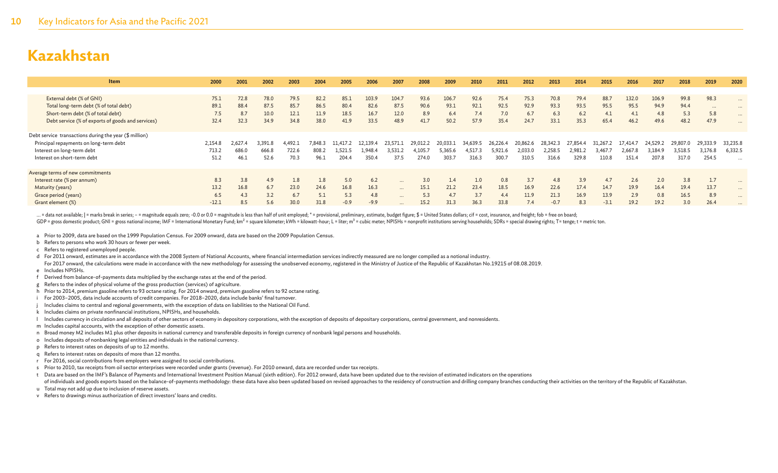| Item                                                               | 2000    | 2001    | 2002    | 2003    | 2004    | 2005     | 2006     | 2007     | 2008     | 2009     | 2010     | 2011     | 2012     | 2013     | 2014     | 2015    | 2016     | 2017     | 2018     | 2019     | 2020     |
|--------------------------------------------------------------------|---------|---------|---------|---------|---------|----------|----------|----------|----------|----------|----------|----------|----------|----------|----------|---------|----------|----------|----------|----------|----------|
|                                                                    |         |         |         |         |         |          |          |          |          |          |          |          |          |          |          |         |          |          |          |          |          |
| External debt (% of GNI)                                           | 75.1    | 72.8    | 78.0    | 79.5    | 82.2    | 85.1     | 103.9    | 104.7    | 93.6     | 106.7    | 92.6     | 75.4     | 75.3     | 70.8     | 79.4     | 88.7    | 132.0    | 106.9    | 99.8     | 98.3     | $\cdots$ |
| Total long-term debt (% of total debt)                             | 89.1    | 88.4    | 87.5    | 85.7    | 86.5    | 80.4     | 82.6     | 87.5     | 90.6     | 93.1     | 92.1     | 92.5     | 92.9     | 93.3     | 93.5     | 95.5    | 95.5     | 94.9     | 94.4     | $\cdots$ | $\cdots$ |
| Short-term debt (% of total debt)                                  | 7.5     | 8.7     | 10.0    | 12.1    | 11.9    | 18.5     | 16.7     | 12.0     | 8.9      | 6.4      | 7.4      | 7.0      | 6.7      | 6.3      | 6.2      | 4.1     | 4.1      | 4.8      | 5.3      | 5.8      | $\cdots$ |
| Debt service (% of exports of goods and services)                  | 32.4    | 32.3    | 34.9    | 34.8    | 38.0    | 41.9     | 33.5     | 48.9     | 41.7     | 50.2     | 57.9     | 35.4     | 24.7     | 33.1     | 35.3     | 65.4    | 46.2     | 49.6     | 48.2     | 47.9     | $\cdots$ |
| Debt service transactions during the year $(\frac{4}{3})$ million) |         |         |         |         |         |          |          |          |          |          |          |          |          |          |          |         |          |          |          |          |          |
| Principal repayments on long-term debt                             | 2,154.8 | 2,627.4 | 3,391.8 | 4,492.1 | 7.848.3 | 11,417.2 | 12,139.4 | 23,571.1 | 29.012.2 | 20,033.1 | 34,639.5 | 26,226.4 | 20,862.6 | 28,342.3 | 27,854.4 | 31,267. | 17,414.7 | 24,529.2 | 29,807.0 | 29,333.9 | 33,235.8 |
| Interest on long-term debt                                         | 713.2   | 686.0   | 666.8   | 722.6   | 808.2   | 1,521.5  | 1.948.4  | 3,531.2  | ,105.    | 5,365.6  | 4,517.3  | 5,921.6  | 2,033.0  | 2,258.5  | 2,981.2  | 3.467.  | 2,667.   | 3,184.9  | 3,518.5  | 3,176.8  | 6,332.5  |
| Interest on short-term debt                                        | 51.2    | 46.1    | 52.6    | 70.3    | 96.1    | 204.4    | 350.4    | 37.5     | 274.0    | 303.7    | 316.3    | 300.7    | 310.5    | 316.6    | 329.8    | 110.8   | 151.4    | 207.8    | 317.0    | 254.5    | $\cdots$ |
| Average terms of new commitments                                   |         |         |         |         |         |          |          |          |          |          |          |          |          |          |          |         |          |          |          |          |          |
| Interest rate (% per annum)                                        | 8.3     | 3.8     | 4.9     | 1.8     | 1.8     | 5.0      | 6.2      | $\cdots$ | 3.0      | 1.4      | 1.0      | 0.8      | 3.7      | 4.8      | 3.9      | 4.7     | 2.6      | 2.0      | 3.8      | 1.7      | $\cdots$ |
| Maturity (years)                                                   | 13.2    | 16.8    | 6.7     | 23.0    | 24.6    | 16.8     | 16.3     | $\cdots$ | 15.1     | 21.2     | 23.4     | 18.5     | 16.9     | 22.6     | 17.4     | 14.7    | 19.9     | 16.4     | 19.4     | 13.7     | $\cdots$ |
| Grace period (years)                                               | 6.5     | 4.3     | 3.2     | 6.7     | 5.1     | 5.3      | 4.8      | $\cdots$ | 5.3      | 4.7      | 3.7      | 4.4      | 11.9     | 21.3     | 16.9     | 13.9    | 2.9      | 0.8      | 16.5     | 8.9      | $\cdots$ |
| Grant element (%)                                                  | $-12.1$ | 8.5     | 5.6     | 30.0    | 31.8    | $-0.9$   | $-9.9$   |          | 15.2     | 31.3     | 36.3     | 33.8     | 7.4      | $-0.7$   | 8.3      | $-3.1$  | 19.2     | 19.2     | 3.0      | 26.4     | $\cdots$ |

... = data not available; | = marks break in series; - = magnitude equals zero; -0.0 or 0.0 = magnitude is less than half of unit employed; \* = provisional, preliminary, estimate, budget figure; \$ = United States dollars;

GDP = gross domestic product; GNI = gross national income; IMF = International Monetary Fund; km<sup>2</sup> = square kilometer; kWh = kilowatt-hour; L = liter; m<sup>3</sup> = cubic meter; NPISHs = nonprofit institutions serving households

a Prior to 2009, data are based on the 1999 Population Census. For 2009 onward, data are based on the 2009 Population Census.

- b Refers to persons who work 30 hours or fewer per week.
- c Refers to registered unemployed people.

d For 2011 onward, estimates are in accordance with the 2008 System of National Accounts, where financial intermediation services indirectly measured are no longer compiled as a notional industry.

For 2017 onward, the calculations were made in accordance with the new methodology for assessing the unobserved economy, registered in the Ministry of Justice of the Republic of Kazakhstan No.19215 of 08.08.2019. e Includes NPISHs.

- f Derived from balance-of-payments data multiplied by the exchange rates at the end of the period.
- g Refers to the index of physical volume of the gross production (services) of agriculture.
- h Prior to 2014, premium gasoline refers to 93 octane rating. For 2014 onward, premium gasoline refers to 92 octane rating.
- i For 2003–2005, data include accounts of credit companies. For 2018–2020, data include banks' final turnover.
- Includes claims to central and regional governments, with the exception of data on liabilities to the National Oil Fund.
- k Includes claims on private nonfinancial institutions, NPISHs, and households.
- I Includes currency in circulation and all deposits of other sectors of economy in depository corporations, with the exception of deposits of depositary corporations, central government, and nonresidents.
- m Includes capital accounts, with the exception of other domestic assets.
- n Broad money M2 includes M1 plus other deposits in national currency and transferable deposits in foreign currency of nonbank legal persons and households.
- o Includes deposits of nonbanking legal entities and individuals in the national currency.
- p Refers to interest rates on deposits of up to 12 months.
- q Refers to interest rates on deposits of more than 12 months.
- r For 2016, social contributions from employers were assigned to social contributions.
- s Prior to 2010, tax receipts from oil sector enterprises were recorded under grants (revenue). For 2010 onward, data are recorded under tax receipts.
- t Data are based on the IMF's Balance of Payments and International Investment Position Manual (sixth edition). For 2012 onward, data have been updated due to the revision of estimated indicators on the operations
- of individuals and goods exports based on the balance-of-payments methodology: these data have also been updated based on revised approaches to the residency of construction and drilling company branches conducting their a u Total may not add up due to inclusion of reserve assets.
- v Refers to drawings minus authorization of direct investors' loans and credits.